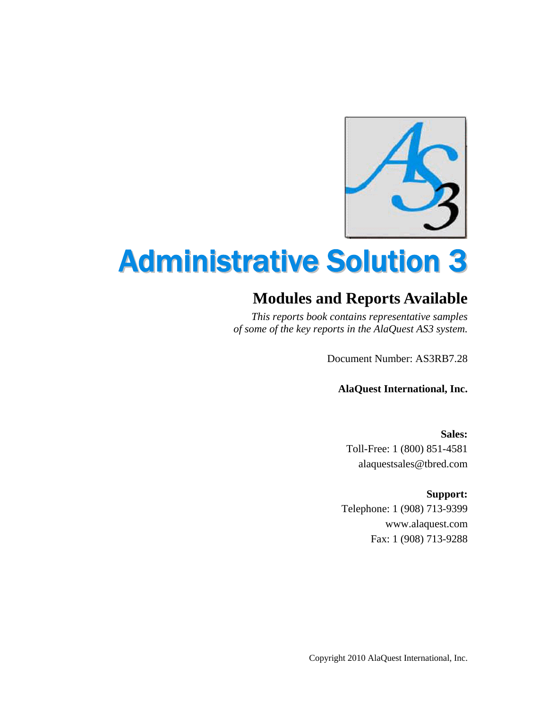

## Administrative Solution 3

## **Modules and Reports Available**

*This reports book contains representative samples of some of the key reports in the AlaQuest AS3 system.* 

Document Number: AS3RB7.28

**AlaQuest International, Inc.** 

**Sales:**  Toll-Free: 1 (800) 851-4581 alaquestsales@tbred.com

**Support:** 

Telephone: 1 (908) 713-9399 www.alaquest.com Fax: 1 (908) 713-9288

Copyright 2010 AlaQuest International, Inc.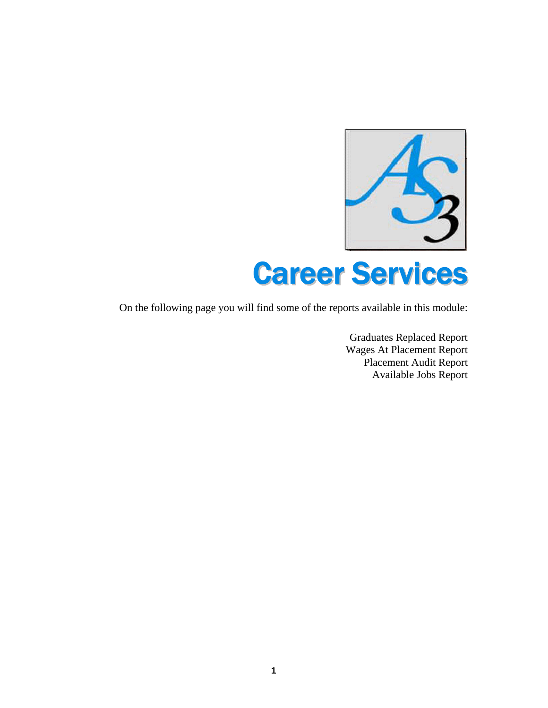

On the following page you will find some of the reports available in this module:

Graduates Replaced Report Wages At Placement Report Placement Audit Report Available Jobs Report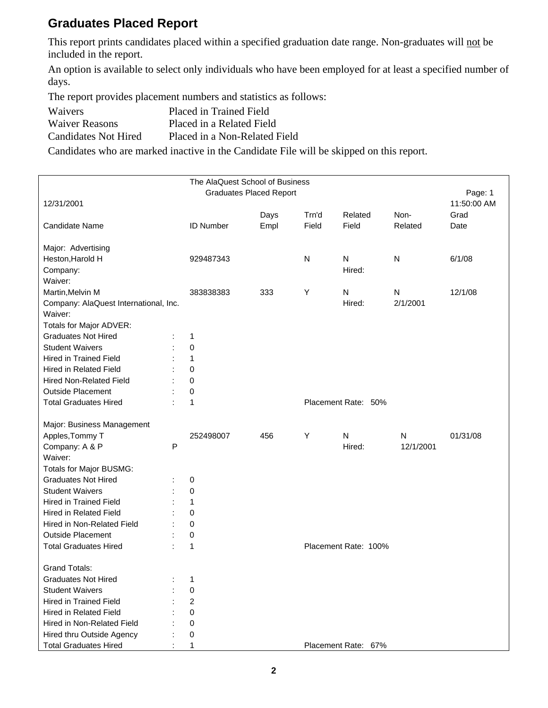#### **Graduates Placed Report**

This report prints candidates placed within a specified graduation date range. Non-graduates will not be included in the report.

An option is available to select only individuals who have been employed for at least a specified number of days.

The report provides placement numbers and statistics as follows:

| <b>Waivers</b>        | Placed in Trained Field       |
|-----------------------|-------------------------------|
| <b>Waiver Reasons</b> | Placed in a Related Field     |
| Candidates Not Hired  | Placed in a Non-Related Field |

Candidates who are marked inactive in the Candidate File will be skipped on this report.

|                                                          |   | The AlaQuest School of Business |                                |       |                      |           |             |
|----------------------------------------------------------|---|---------------------------------|--------------------------------|-------|----------------------|-----------|-------------|
|                                                          |   |                                 | <b>Graduates Placed Report</b> |       |                      |           | Page: 1     |
| 12/31/2001                                               |   |                                 |                                |       |                      |           | 11:50:00 AM |
|                                                          |   |                                 | Days                           | Trn'd | Related              | Non-      | Grad        |
| <b>Candidate Name</b>                                    |   | <b>ID Number</b>                | Empl                           | Field | Field                | Related   | Date        |
| Major: Advertising                                       |   |                                 |                                |       |                      |           |             |
| Heston, Harold H                                         |   | 929487343                       |                                | N     | N                    | N         | 6/1/08      |
| Company:                                                 |   |                                 |                                |       | Hired:               |           |             |
| Waiver:                                                  |   |                                 |                                |       |                      |           |             |
| Martin, Melvin M                                         |   | 383838383                       | 333                            | Υ     | N                    | N         | 12/1/08     |
| Company: AlaQuest International, Inc.                    |   |                                 |                                |       | Hired:               | 2/1/2001  |             |
| Waiver:                                                  |   |                                 |                                |       |                      |           |             |
| Totals for Major ADVER:                                  |   |                                 |                                |       |                      |           |             |
| <b>Graduates Not Hired</b>                               |   | 1                               |                                |       |                      |           |             |
| <b>Student Waivers</b>                                   |   | 0                               |                                |       |                      |           |             |
| <b>Hired in Trained Field</b>                            |   | 1                               |                                |       |                      |           |             |
| <b>Hired in Related Field</b>                            |   | 0                               |                                |       |                      |           |             |
| <b>Hired Non-Related Field</b>                           |   | 0                               |                                |       |                      |           |             |
| <b>Outside Placement</b>                                 |   | 0                               |                                |       |                      |           |             |
| <b>Total Graduates Hired</b>                             |   | 1                               |                                |       | Placement Rate: 50%  |           |             |
|                                                          |   |                                 |                                |       |                      |           |             |
| Major: Business Management                               |   |                                 |                                |       |                      |           |             |
| Apples, Tommy T                                          |   | 252498007                       | 456                            | Y     | N                    | N         | 01/31/08    |
| Company: A & P                                           | P |                                 |                                |       | Hired:               | 12/1/2001 |             |
| Waiver:                                                  |   |                                 |                                |       |                      |           |             |
| Totals for Major BUSMG:                                  |   |                                 |                                |       |                      |           |             |
| <b>Graduates Not Hired</b><br><b>Student Waivers</b>     |   | 0                               |                                |       |                      |           |             |
|                                                          |   | 0                               |                                |       |                      |           |             |
| <b>Hired in Trained Field</b>                            |   | 1                               |                                |       |                      |           |             |
| Hired in Related Field                                   |   | 0                               |                                |       |                      |           |             |
| Hired in Non-Related Field                               |   | 0                               |                                |       |                      |           |             |
| <b>Outside Placement</b><br><b>Total Graduates Hired</b> |   | 0                               |                                |       |                      |           |             |
|                                                          |   | 1                               |                                |       | Placement Rate: 100% |           |             |
| <b>Grand Totals:</b>                                     |   |                                 |                                |       |                      |           |             |
| <b>Graduates Not Hired</b>                               |   | 1                               |                                |       |                      |           |             |
| <b>Student Waivers</b>                                   |   | 0                               |                                |       |                      |           |             |
| <b>Hired in Trained Field</b>                            |   | $\overline{c}$                  |                                |       |                      |           |             |
| Hired in Related Field                                   |   | 0                               |                                |       |                      |           |             |
| Hired in Non-Related Field                               |   | 0                               |                                |       |                      |           |             |
| Hired thru Outside Agency                                |   | 0                               |                                |       |                      |           |             |
| <b>Total Graduates Hired</b>                             |   | 1                               |                                |       | Placement Rate: 67%  |           |             |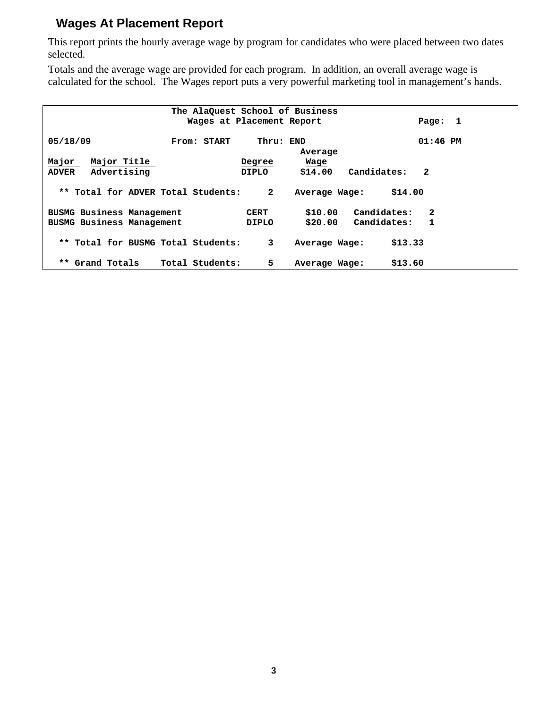#### **Wages At Placement Report**

This report prints the hourly average wage by program for candidates who were placed between two dates selected.

Totals and the average wage are provided for each program. In addition, an overall average wage is calculated for the school. The Wages report puts a very powerful marketing tool in management's hands.

|                                    | The AlaQuest School of Business |              |               |                             |  |
|------------------------------------|---------------------------------|--------------|---------------|-----------------------------|--|
|                                    | Wages at Placement Report       |              |               | Page: 1                     |  |
|                                    |                                 |              |               |                             |  |
| 05/18/09                           | From: START                     | Thru: END    |               | $01:46$ PM                  |  |
|                                    |                                 |              | Average       |                             |  |
| Major Title<br>Major               |                                 | Degree       | Wage          |                             |  |
| Advertising<br><b>ADVER</b>        |                                 | <b>DIPLO</b> | \$14.00       | Candidates:<br>$\mathbf{2}$ |  |
|                                    |                                 |              |               |                             |  |
| ** Total for ADVER Total Students: |                                 | $\mathbf{2}$ | Average Wage: | \$14.00                     |  |
|                                    |                                 |              |               |                             |  |
| <b>BUSMG Business Management</b>   |                                 | <b>CERT</b>  | \$10.00       | Candidates:<br>$\mathbf{2}$ |  |
| BUSMG Business Management          |                                 | <b>DIPLO</b> | \$20.00       | Candidates:<br>1            |  |
|                                    |                                 |              |               |                             |  |
| ** Total for BUSMG Total Students: |                                 | 3            | Average Wage: | \$13.33                     |  |
|                                    |                                 |              |               |                             |  |
| ** Grand Totals                    | Total Students:                 | 5            | Average Wage: | \$13.60                     |  |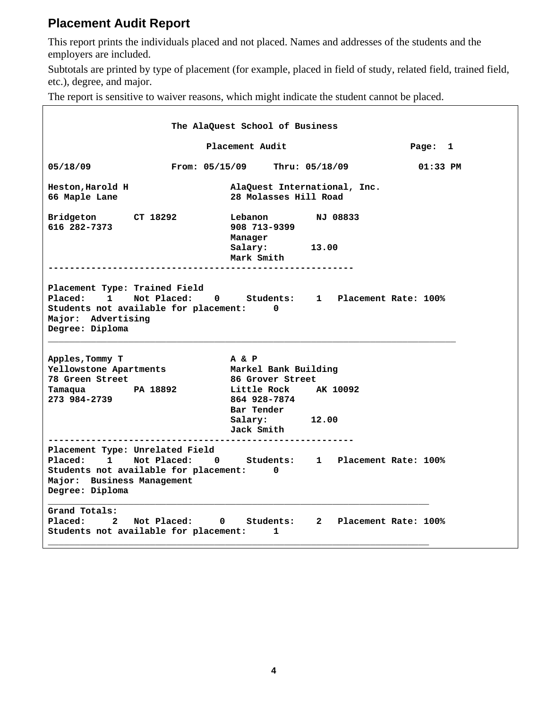#### **Placement Audit Report**

This report prints the individuals placed and not placed. Names and addresses of the students and the employers are included.

Subtotals are printed by type of placement (for example, placed in field of study, related field, trained field, etc.), degree, and major.

The report is sensitive to waiver reasons, which might indicate the student cannot be placed.

|                                                                                     |                                                                                           | The AlaQuest School of Business                                        |                                  |                        |
|-------------------------------------------------------------------------------------|-------------------------------------------------------------------------------------------|------------------------------------------------------------------------|----------------------------------|------------------------|
|                                                                                     | Page: 1                                                                                   |                                                                        |                                  |                        |
| 05/18/09                                                                            | From: 05/15/09                                                                            |                                                                        | Thru: 05/18/09                   | $01:33$ PM             |
| Heston, Harold H<br>66 Maple Lane                                                   |                                                                                           | 28 Molasses Hill Road                                                  | AlaQuest International, Inc.     |                        |
| Bridgeton CT 18292<br>616 282-7373                                                  |                                                                                           | Lebanon<br>908 713-9399<br>Manager                                     | NJ 08833                         |                        |
|                                                                                     |                                                                                           | Salary:<br>Mark Smith                                                  | 13.00                            |                        |
| Placement Type: Trained Field<br>Placed: 1<br>Major: Advertising<br>Degree: Diploma | Not Placed: 0 Students: 1 Placement Rate: 100%<br>Students not available for placement:   | $\mathbf 0$                                                            |                                  |                        |
| Apples, Tommy T<br>Yellowstone Apartments                                           |                                                                                           | A & P<br>Markel Bank Building                                          |                                  |                        |
| 78 Green Street<br>Tamaqua PA 18892<br>273 984-2739                                 |                                                                                           | 86 Grover Street<br>Little Rock AK 10092<br>864 928-7874<br>Bar Tender |                                  |                        |
|                                                                                     |                                                                                           | Salary:<br>Jack Smith                                                  | 12.00                            |                        |
| Placed:<br>$\mathbf{1}$<br>Major: Business Management<br>Degree: Diploma            | Placement Type: Unrelated Field<br>Not Placed: 0<br>Students not available for placement: | 0                                                                      | Students: 1 Placement Rate: 100% |                        |
| Grand Totals:<br>Placed:<br>$\mathbf{2}$                                            | Not Placed:<br>Students not available for placement:                                      | Students:<br>$\mathbf{0}$<br>1                                         |                                  | 2 Placement Rate: 100% |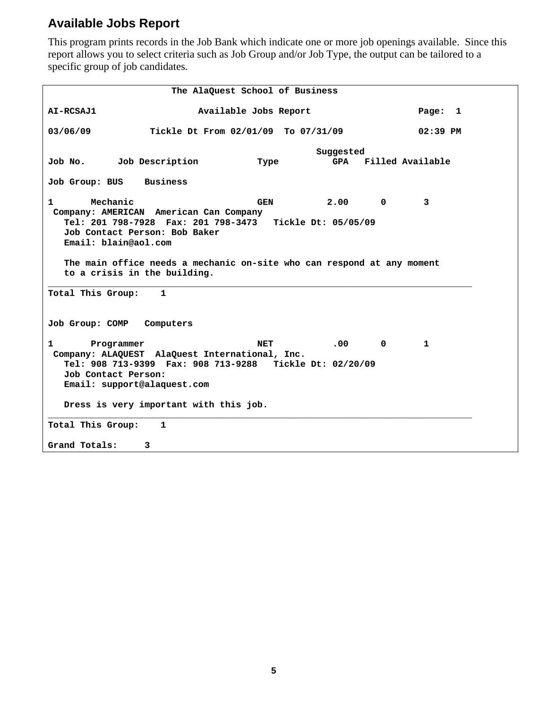#### **Available Jobs Report**

This program prints records in the Job Bank which indicate one or more job openings available. Since this report allows you to select criteria such as Job Group and/or Job Type, the output can be tailored to a specific group of job candidates.

 **The AlaQuest School of Business AI-RCSAJ1 Available Jobs Report Page: 1 03/06/09 Tickle Dt From 02/01/09 To 07/31/09 02:39 PM Suggested**  Job No. Job Description Type GPA **Job Group: BUS Business 1 Mechanic GEN 2.00 0 3 Company: AMERICAN American Can Company Tel: 201 798-7928 Fax: 201 798-3473 Tickle Dt: 05/05/09 Job Contact Person: Bob Baker Email: blain@aol.com The main office needs a mechanic on-site who can respond at any moment to a crisis in the building. \_\_\_\_\_\_\_\_\_\_\_\_\_\_\_\_\_\_\_\_\_\_\_\_\_\_\_\_\_\_\_\_\_\_\_\_\_\_\_\_\_\_\_\_\_\_\_\_\_\_\_\_\_\_\_\_\_\_\_\_\_\_\_\_\_\_\_\_\_\_\_\_\_\_\_\_\_\_\_ Total This Group: 1 Job Group: COMP Computers**  1 **Programmer NET** .00 0 1  **Company: ALAQUEST AlaQuest International, Inc. Tel: 908 713-9399 Fax: 908 713-9288 Tickle Dt: 02/20/09 Job Contact Person: Email: support@alaquest.com Dress is very important with this job. \_\_\_\_\_\_\_\_\_\_\_\_\_\_\_\_\_\_\_\_\_\_\_\_\_\_\_\_\_\_\_\_\_\_\_\_\_\_\_\_\_\_\_\_\_\_\_\_\_\_\_\_\_\_\_\_\_\_\_\_\_\_\_\_\_\_\_\_\_\_\_\_\_\_\_\_\_\_\_ Total This Group: 1 Grand Totals: 3**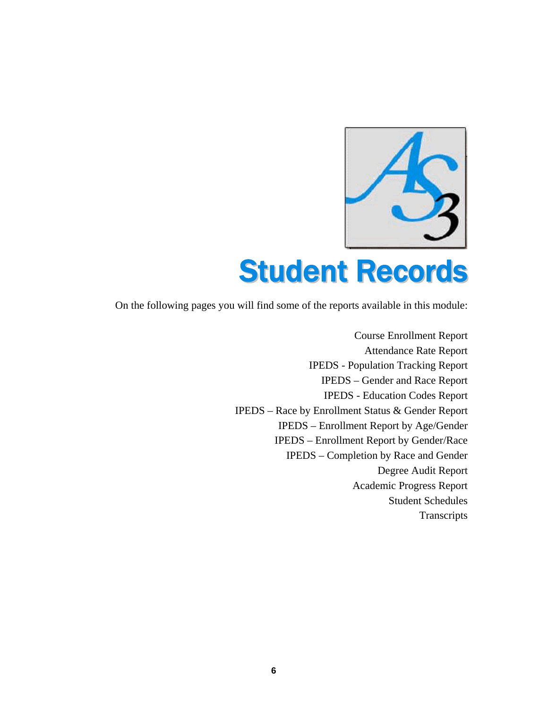

## Student Records

On the following pages you will find some of the reports available in this module:

Course Enrollment Report Attendance Rate Report IPEDS - Population Tracking Report IPEDS – Gender and Race Report IPEDS - Education Codes Report IPEDS – Race by Enrollment Status & Gender Report IPEDS – Enrollment Report by Age/Gender IPEDS – Enrollment Report by Gender/Race IPEDS – Completion by Race and Gender Degree Audit Report Academic Progress Report Student Schedules **Transcripts**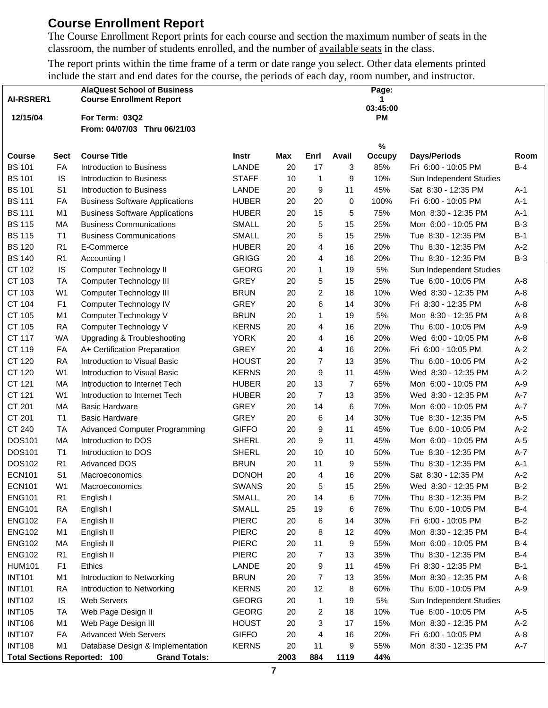#### **Course Enrollment Report**

The Course Enrollment Report prints for each course and section the maximum number of seats in the classroom, the number of students enrolled, and the number of available seats in the class.

The report prints within the time frame of a term or date range you select. Other data elements printed include the start and end dates for the course, the periods of each day, room number, and instructor.

|               |                | <b>AlaQuest School of Business</b>                          |              |            |                |       | Page:                 |                         |       |
|---------------|----------------|-------------------------------------------------------------|--------------|------------|----------------|-------|-----------------------|-------------------------|-------|
| AI-RSRER1     |                | <b>Course Enrollment Report</b>                             |              |            |                |       | 1                     |                         |       |
| 12/15/04      |                | For Term: 03Q2                                              |              |            |                |       | 03:45:00<br><b>PM</b> |                         |       |
|               |                | From: 04/07/03 Thru 06/21/03                                |              |            |                |       |                       |                         |       |
|               |                |                                                             |              |            |                |       |                       |                         |       |
| <b>Course</b> | <b>Sect</b>    | <b>Course Title</b>                                         | Instr        | <b>Max</b> | Enrl           | Avail | $\%$<br><b>Occupy</b> | <b>Days/Periods</b>     | Room  |
| <b>BS 101</b> | FA             | Introduction to Business                                    | LANDE        | 20         | 17             | 3     | 85%                   | Fri 6:00 - 10:05 PM     | $B-4$ |
| <b>BS 101</b> | IS             | Introduction to Business                                    | <b>STAFF</b> | 10         | $\mathbf{1}$   | 9     | 10%                   | Sun Independent Studies |       |
| <b>BS 101</b> | S <sub>1</sub> | Introduction to Business                                    | LANDE        | 20         | 9              | 11    | 45%                   | Sat 8:30 - 12:35 PM     | $A-1$ |
| <b>BS 111</b> | FA             | <b>Business Software Applications</b>                       | <b>HUBER</b> | 20         | 20             | 0     | 100%                  | Fri 6:00 - 10:05 PM     | $A-1$ |
| <b>BS 111</b> | M <sub>1</sub> | <b>Business Software Applications</b>                       | <b>HUBER</b> | 20         | 15             | 5     | 75%                   | Mon 8:30 - 12:35 PM     | $A-1$ |
| <b>BS 115</b> | MA             | <b>Business Communications</b>                              | <b>SMALL</b> | 20         | 5              | 15    | 25%                   | Mon 6:00 - 10:05 PM     | $B-3$ |
| <b>BS 115</b> | T1             | <b>Business Communications</b>                              | <b>SMALL</b> | 20         | 5              | 15    | 25%                   | Tue 8:30 - 12:35 PM     | $B-1$ |
| <b>BS 120</b> | R <sub>1</sub> | E-Commerce                                                  | <b>HUBER</b> | 20         | 4              | 16    | 20%                   | Thu 8:30 - 12:35 PM     | $A-2$ |
| <b>BS 140</b> | R <sub>1</sub> | Accounting I                                                | <b>GRIGG</b> | 20         | 4              | 16    | 20%                   | Thu 8:30 - 12:35 PM     | $B-3$ |
| CT 102        | IS             | Computer Technology II                                      | <b>GEORG</b> | 20         | 1              | 19    | 5%                    | Sun Independent Studies |       |
| CT 103        | <b>TA</b>      | Computer Technology III                                     | <b>GREY</b>  | 20         | 5              | 15    | 25%                   | Tue 6:00 - 10:05 PM     | $A-8$ |
| CT 103        | W <sub>1</sub> | Computer Technology III                                     | <b>BRUN</b>  | 20         | 2              | 18    | 10%                   | Wed 8:30 - 12:35 PM     | $A-8$ |
| CT 104        | F <sub>1</sub> | Computer Technology IV                                      | <b>GREY</b>  | 20         | 6              | 14    | 30%                   | Fri 8:30 - 12:35 PM     | $A-8$ |
| CT 105        | M <sub>1</sub> | Computer Technology V                                       | <b>BRUN</b>  | 20         | 1              | 19    | 5%                    | Mon 8:30 - 12:35 PM     | $A-8$ |
| CT 105        | <b>RA</b>      | Computer Technology V                                       | <b>KERNS</b> | 20         | 4              | 16    | 20%                   | Thu 6:00 - 10:05 PM     | $A-9$ |
| CT 117        | <b>WA</b>      | Upgrading & Troubleshooting                                 | <b>YORK</b>  | 20         | 4              | 16    | 20%                   | Wed 6:00 - 10:05 PM     | $A-8$ |
| CT 119        | FA             | A+ Certification Preparation                                | <b>GREY</b>  | 20         | 4              | 16    | 20%                   | Fri 6:00 - 10:05 PM     | $A-2$ |
|               |                | Introduction to Visual Basic                                |              |            |                |       |                       |                         |       |
| CT 120        | <b>RA</b>      |                                                             | <b>HOUST</b> | 20         | $\overline{7}$ | 13    | 35%                   | Thu 6:00 - 10:05 PM     | $A-2$ |
| CT 120        | W <sub>1</sub> | Introduction to Visual Basic                                | <b>KERNS</b> | 20         | 9              | 11    | 45%                   | Wed 8:30 - 12:35 PM     | $A-2$ |
| CT 121        | МA             | Introduction to Internet Tech                               | <b>HUBER</b> | 20         | 13             | 7     | 65%                   | Mon 6:00 - 10:05 PM     | $A-9$ |
| CT 121        | W <sub>1</sub> | Introduction to Internet Tech                               | <b>HUBER</b> | 20         | 7              | 13    | 35%                   | Wed 8:30 - 12:35 PM     | $A-7$ |
| CT 201        | MA             | <b>Basic Hardware</b>                                       | <b>GREY</b>  | 20         | 14             | 6     | 70%                   | Mon 6:00 - 10:05 PM     | $A-7$ |
| CT 201        | T <sub>1</sub> | <b>Basic Hardware</b>                                       | <b>GREY</b>  | 20         | 6              | 14    | 30%                   | Tue 8:30 - 12:35 PM     | $A-5$ |
| CT 240        | <b>TA</b>      | Advanced Computer Programming                               | <b>GIFFO</b> | 20         | 9              | 11    | 45%                   | Tue 6:00 - 10:05 PM     | $A-2$ |
| DOS101        | MA             | Introduction to DOS                                         | <b>SHERL</b> | 20         | 9              | 11    | 45%                   | Mon 6:00 - 10:05 PM     | $A-5$ |
| <b>DOS101</b> | T <sub>1</sub> | Introduction to DOS                                         | <b>SHERL</b> | 20         | 10             | 10    | 50%                   | Tue 8:30 - 12:35 PM     | $A-7$ |
| DOS102        | R <sub>1</sub> | <b>Advanced DOS</b>                                         | <b>BRUN</b>  | 20         | 11             | 9     | 55%                   | Thu 8:30 - 12:35 PM     | $A-1$ |
| <b>ECN101</b> | S <sub>1</sub> | <b>Macroeconomics</b>                                       | <b>DONOH</b> | 20         | 4              | 16    | 20%                   | Sat 8:30 - 12:35 PM     | $A-2$ |
| <b>ECN101</b> | W <sub>1</sub> | Macroeconomics                                              | <b>SWANS</b> | $20\,$     | $\sqrt{5}$     | 15    | 25%                   | Wed 8:30 - 12:35 PM     | $B-2$ |
| <b>ENG101</b> | R <sub>1</sub> | English I                                                   | SMALL        | 20         | 14             | 6     | 70%                   | Thu 8:30 - 12:35 PM     | $B-2$ |
| <b>ENG101</b> | <b>RA</b>      | English I                                                   | <b>SMALL</b> | 25         | 19             | 6     | 76%                   | Thu 6:00 - 10:05 PM     | $B-4$ |
| <b>ENG102</b> | FA             | English II                                                  | <b>PIERC</b> | 20         | 6              | 14    | 30%                   | Fri 6:00 - 10:05 PM     | $B-2$ |
| <b>ENG102</b> | M <sub>1</sub> | English II                                                  | <b>PIERC</b> | 20         | 8              | 12    | 40%                   | Mon 8:30 - 12:35 PM     | $B-4$ |
| <b>ENG102</b> | МA             | English II                                                  | <b>PIERC</b> | 20         | 11             | 9     | 55%                   | Mon 6:00 - 10:05 PM     | $B-4$ |
| <b>ENG102</b> | R <sub>1</sub> | English II                                                  | <b>PIERC</b> | 20         | 7              | 13    | 35%                   | Thu 8:30 - 12:35 PM     | $B-4$ |
| <b>HUM101</b> | F <sub>1</sub> | Ethics                                                      | LANDE        | 20         | 9              | 11    | 45%                   | Fri 8:30 - 12:35 PM     | $B-1$ |
| <b>INT101</b> | M <sub>1</sub> | Introduction to Networking                                  | <b>BRUN</b>  | 20         | 7              | 13    | 35%                   | Mon 8:30 - 12:35 PM     | $A-8$ |
| <b>INT101</b> | RA             | Introduction to Networking                                  | <b>KERNS</b> | 20         | 12             | 8     | 60%                   | Thu 6:00 - 10:05 PM     | $A-9$ |
| <b>INT102</b> | IS             | Web Servers                                                 | <b>GEORG</b> | 20         | 1              | 19    | 5%                    | Sun Independent Studies |       |
| <b>INT105</b> | <b>TA</b>      | Web Page Design II                                          | <b>GEORG</b> | 20         | 2              | 18    | 10%                   | Tue 6:00 - 10:05 PM     | $A-5$ |
| <b>INT106</b> | M <sub>1</sub> | Web Page Design III                                         | <b>HOUST</b> | 20         | 3              | 17    | 15%                   | Mon 8:30 - 12:35 PM     | $A-2$ |
| <b>INT107</b> | FA             | <b>Advanced Web Servers</b>                                 | <b>GIFFO</b> | 20         | 4              | 16    | 20%                   | Fri 6:00 - 10:05 PM     | $A-8$ |
| <b>INT108</b> | M <sub>1</sub> | Database Design & Implementation                            | <b>KERNS</b> | 20         | 11             | 9     | 55%                   | Mon 8:30 - 12:35 PM     | $A-7$ |
|               |                | <b>Total Sections Reported: 100</b><br><b>Grand Totals:</b> |              | 2003       | 884            | 1119  | 44%                   |                         |       |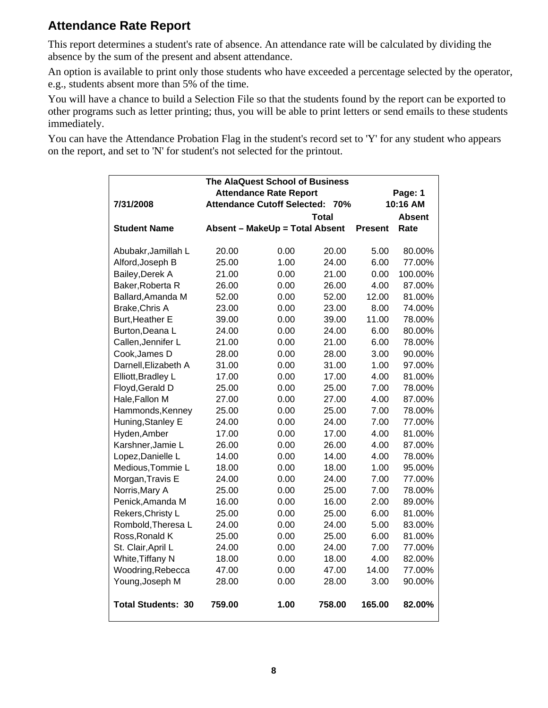#### **Attendance Rate Report**

This report determines a student's rate of absence. An attendance rate will be calculated by dividing the absence by the sum of the present and absent attendance.

An option is available to print only those students who have exceeded a percentage selected by the operator, e.g., students absent more than 5% of the time.

You will have a chance to build a Selection File so that the students found by the report can be exported to other programs such as letter printing; thus, you will be able to print letters or send emails to these students immediately.

You can have the Attendance Probation Flag in the student's record set to 'Y' for any student who appears on the report, and set to 'N' for student's not selected for the printout.

|                           |        | The AlaQuest School of Business    |        |                |               |
|---------------------------|--------|------------------------------------|--------|----------------|---------------|
|                           |        | <b>Attendance Rate Report</b>      |        |                | Page: 1       |
| 7/31/2008                 |        | <b>Attendance Cutoff Selected:</b> | 70%    |                | 10:16 AM      |
|                           |        |                                    | Total  |                | <b>Absent</b> |
| <b>Student Name</b>       |        | Absent - MakeUp = Total Absent     |        | <b>Present</b> | Rate          |
|                           |        |                                    |        |                |               |
| Abubakr, Jamillah L       | 20.00  | 0.00                               | 20.00  | 5.00           | 80.00%        |
| Alford, Joseph B          | 25.00  | 1.00                               | 24.00  | 6.00           | 77.00%        |
| Bailey, Derek A           | 21.00  | 0.00                               | 21.00  | 0.00           | 100.00%       |
| Baker, Roberta R          | 26.00  | 0.00                               | 26.00  | 4.00           | 87.00%        |
| Ballard, Amanda M         | 52.00  | 0.00                               | 52.00  | 12.00          | 81.00%        |
| <b>Brake, Chris A</b>     | 23.00  | 0.00                               | 23.00  | 8.00           | 74.00%        |
| Burt, Heather E           | 39.00  | 0.00                               | 39.00  | 11.00          | 78.00%        |
| Burton, Deana L           | 24.00  | 0.00                               | 24.00  | 6.00           | 80.00%        |
| Callen, Jennifer L        | 21.00  | 0.00                               | 21.00  | 6.00           | 78.00%        |
| Cook, James D             | 28.00  | 0.00                               | 28.00  | 3.00           | 90.00%        |
| Darnell, Elizabeth A      | 31.00  | 0.00                               | 31.00  | 1.00           | 97.00%        |
| Elliott, Bradley L        | 17.00  | 0.00                               | 17.00  | 4.00           | 81.00%        |
| Floyd, Gerald D           | 25.00  | 0.00                               | 25.00  | 7.00           | 78.00%        |
| Hale, Fallon M            | 27.00  | 0.00                               | 27.00  | 4.00           | 87.00%        |
| Hammonds, Kenney          | 25.00  | 0.00                               | 25.00  | 7.00           | 78.00%        |
| Huning, Stanley E         | 24.00  | 0.00                               | 24.00  | 7.00           | 77.00%        |
| Hyden, Amber              | 17.00  | 0.00                               | 17.00  | 4.00           | 81.00%        |
| Karshner, Jamie L         | 26.00  | 0.00                               | 26.00  | 4.00           | 87.00%        |
| Lopez, Danielle L         | 14.00  | 0.00                               | 14.00  | 4.00           | 78.00%        |
| Medious, Tommie L         | 18.00  | 0.00                               | 18.00  | 1.00           | 95.00%        |
| Morgan, Travis E          | 24.00  | 0.00                               | 24.00  | 7.00           | 77.00%        |
| Norris, Mary A            | 25.00  | 0.00                               | 25.00  | 7.00           | 78.00%        |
| Penick, Amanda M          | 16.00  | 0.00                               | 16.00  | 2.00           | 89.00%        |
| Rekers, Christy L         | 25.00  | 0.00                               | 25.00  | 6.00           | 81.00%        |
| Rombold, Theresa L        | 24.00  | 0.00                               | 24.00  | 5.00           | 83.00%        |
| Ross, Ronald K            | 25.00  | 0.00                               | 25.00  | 6.00           | 81.00%        |
| St. Clair, April L        | 24.00  | 0.00                               | 24.00  | 7.00           | 77.00%        |
| White, Tiffany N          | 18.00  | 0.00                               | 18.00  | 4.00           | 82.00%        |
| Woodring, Rebecca         | 47.00  | 0.00                               | 47.00  | 14.00          | 77.00%        |
| Young, Joseph M           | 28.00  | 0.00                               | 28.00  | 3.00           | 90.00%        |
|                           |        |                                    |        |                |               |
| <b>Total Students: 30</b> | 759.00 | 1.00                               | 758.00 | 165.00         | 82.00%        |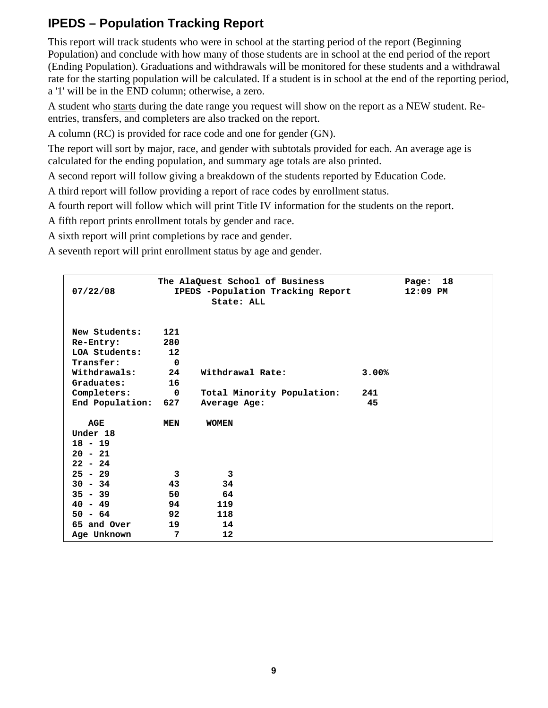#### **IPEDS – Population Tracking Report**

This report will track students who were in school at the starting period of the report (Beginning Population) and conclude with how many of those students are in school at the end period of the report (Ending Population). Graduations and withdrawals will be monitored for these students and a withdrawal rate for the starting population will be calculated. If a student is in school at the end of the reporting period, a '1' will be in the END column; otherwise, a zero.

A student who starts during the date range you request will show on the report as a NEW student. Reentries, transfers, and completers are also tracked on the report.

A column (RC) is provided for race code and one for gender (GN).

The report will sort by major, race, and gender with subtotals provided for each. An average age is calculated for the ending population, and summary age totals are also printed.

A second report will follow giving a breakdown of the students reported by Education Code.

A third report will follow providing a report of race codes by enrollment status.

A fourth report will follow which will print Title IV information for the students on the report.

A fifth report prints enrollment totals by gender and race.

A sixth report will print completions by race and gender.

A seventh report will print enrollment status by age and gender.

|                 |             | The AlaQuest School of Business   |       | Page:      | 18 |
|-----------------|-------------|-----------------------------------|-------|------------|----|
| 07/22/08        |             | IPEDS -Population Tracking Report |       | $12:09$ PM |    |
|                 |             | State: ALL                        |       |            |    |
|                 |             |                                   |       |            |    |
| New Students:   | 121         |                                   |       |            |    |
|                 |             |                                   |       |            |    |
| Re-Entry:       | 280         |                                   |       |            |    |
| LOA Students:   | 12          |                                   |       |            |    |
| Transfer:       | 0           |                                   |       |            |    |
| Withdrawals:    | 24          | Withdrawal Rate:                  | 3.00% |            |    |
| Graduates:      | 16          |                                   |       |            |    |
| Completers:     | $\mathbf 0$ | Total Minority Population:        | 241   |            |    |
| End Population: | 627         | Average Age:                      | 45    |            |    |
|                 |             |                                   |       |            |    |
| AGE             | MEN         | <b>WOMEN</b>                      |       |            |    |
| Under 18        |             |                                   |       |            |    |
| $18 - 19$       |             |                                   |       |            |    |
| $20 - 21$       |             |                                   |       |            |    |
| $22 - 24$       |             |                                   |       |            |    |
| $25 - 29$       | 3           | 3                                 |       |            |    |
| $30 - 34$       | 43          | 34                                |       |            |    |
| $35 - 39$       | 50          | 64                                |       |            |    |
| $40 - 49$       | 94          | 119                               |       |            |    |
|                 |             |                                   |       |            |    |
| $50 - 64$       | 92          | 118                               |       |            |    |
| 65 and Over     | 19          | 14                                |       |            |    |
| Age Unknown     | 7           | 12                                |       |            |    |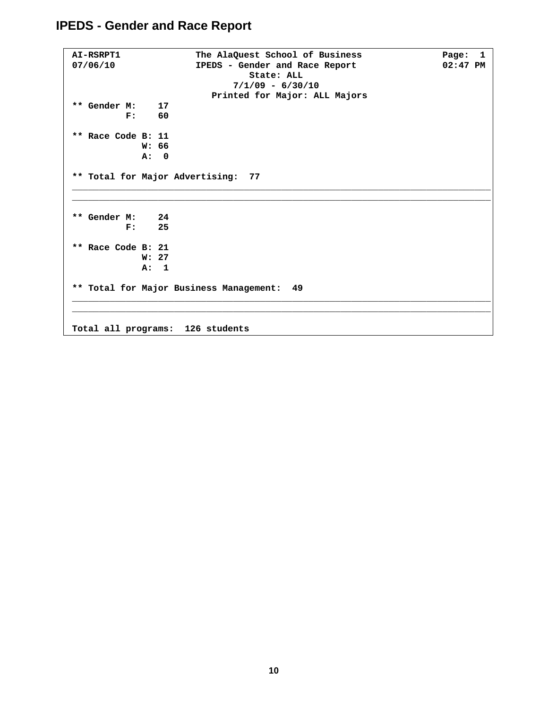#### **IPEDS - Gender and Race Report**

```
AI-RSRPT1 The AlaQuest School of Business Page: 1<br>07/06/10 TPEDS - Gender and Race Report 02:47 PM
07/06/10 IPEDS - Gender and Race Report
                                   State: ALL 
                                7/1/09 - 6/30/10 
                           Printed for Major: ALL Majors 
** Gender M: 17 
           F: 60 
** Race Code B: 11 
              W: 66 
              A: 0 
** Total for Major Advertising: 77 
______________________________________________________________________________ 
______________________________________________________________________________ 
** Gender M: 24 
         M: 24<br>F: 25
** Race Code B: 21 
              W: 27 
              A: 1 
** Total for Major Business Management: 49 
______________________________________________________________________________ 
______________________________________________________________________________ 
Total all programs: 126 students
```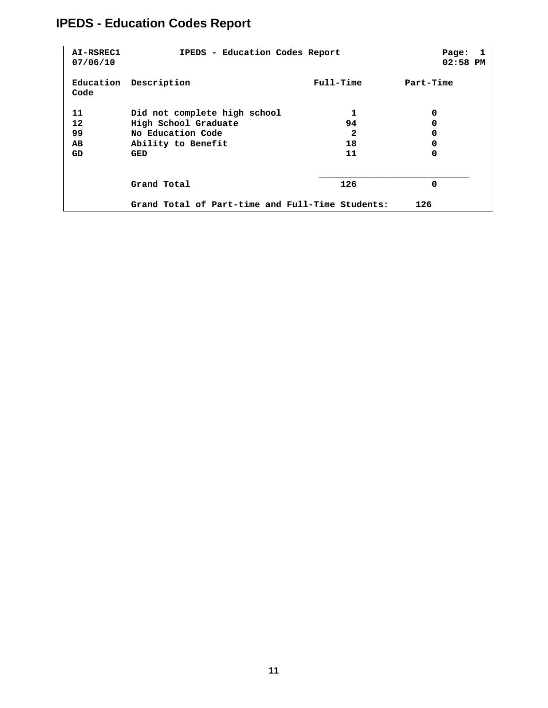## **IPEDS - Education Codes Report**

| AI-RSREC1<br>07/06/10 | IPEDS - Education Codes Report                   |             | Page:<br>- 1<br>02:58 PM |
|-----------------------|--------------------------------------------------|-------------|--------------------------|
| Education<br>Code     | Description                                      | $Full-Time$ | Part-Time                |
| 11                    | Did not complete high school                     | 1           | 0                        |
| 12                    | High School Graduate                             | 94          | 0                        |
| 99                    | No Education Code                                | 2           | 0                        |
| AВ                    | Ability to Benefit                               | 18          | 0                        |
| GD                    | GED                                              | 11          | 0                        |
|                       | Grand Total                                      | 126         | 0                        |
|                       | Grand Total of Part-time and Full-Time Students: |             | 126                      |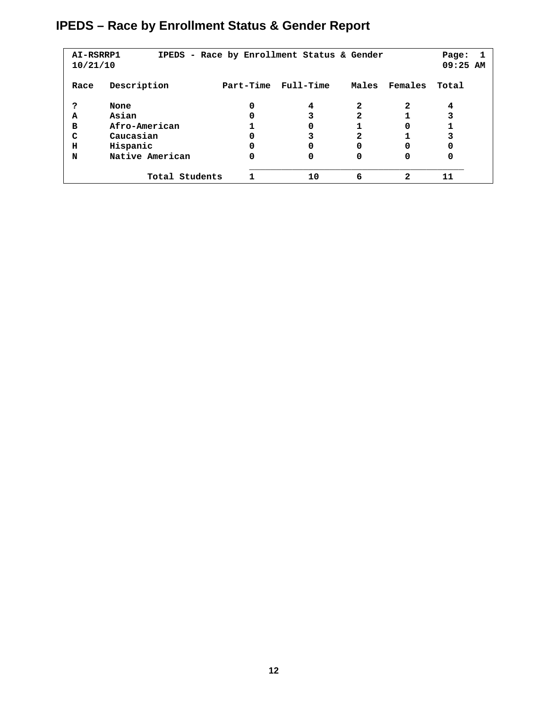## **IPEDS – Race by Enrollment Status & Gender Report**

| AI-RSRRP1<br>10/21/10 |                 |           | IPEDS - Race by Enrollment Status & Gender |       |              | Page:<br>$09:25$ AM |  |
|-----------------------|-----------------|-----------|--------------------------------------------|-------|--------------|---------------------|--|
| Race                  | Description     | Part-Time | Full-Time                                  | Males | Females      | Total               |  |
| ?                     | None            | 0         | 4                                          | 2     | 2            | 4                   |  |
| A                     | Asian           | 0         |                                            | 2     |              |                     |  |
| в                     | Afro-American   |           | 0                                          |       | 0            |                     |  |
| C                     | Caucasian       | 0         |                                            | 2     |              |                     |  |
| н                     | Hispanic        | 0         | 0                                          | 0     | 0            | 0                   |  |
| N                     | Native American | 0         | 0                                          | 0     | 0            | 0                   |  |
|                       | Total Students  |           | 10                                         | 6     | $\mathbf{2}$ | 11                  |  |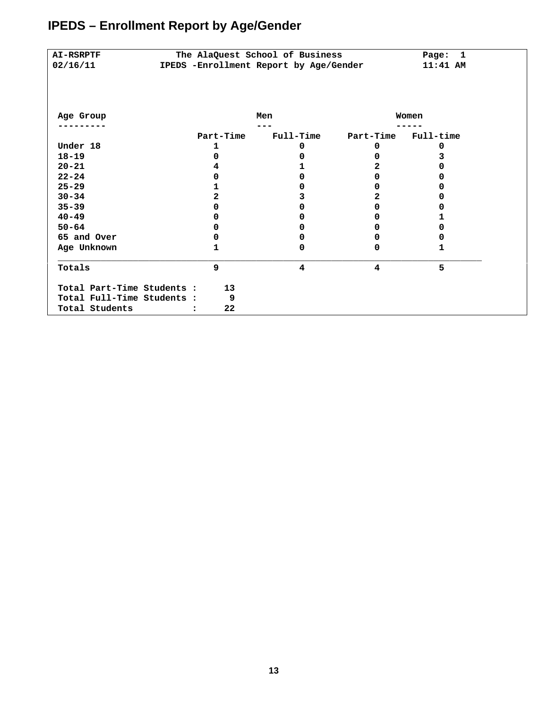| <b>AI-RSRPTF</b>           | The AlaQuest School of Business        | 1<br>Page:       |           |           |
|----------------------------|----------------------------------------|------------------|-----------|-----------|
| 02/16/11                   | IPEDS -Enrollment Report by Age/Gender |                  |           | 11:41 AM  |
|                            |                                        |                  |           |           |
|                            |                                        |                  |           |           |
|                            |                                        |                  |           |           |
| Age Group                  |                                        | Men              |           | Women     |
|                            |                                        |                  |           |           |
|                            | Part-Time                              | <b>Full-Time</b> | Part-Time | Full-time |
| Under 18                   | 1                                      | 0                | 0         | 0         |
| $18 - 19$                  | O                                      | 0                | 0         | 3         |
| $20 - 21$                  |                                        | 1                | 2         | o         |
| $22 - 24$                  | o                                      | 0                | 0         | 0         |
| $25 - 29$                  |                                        | 0                | 0         | o         |
| $30 - 34$                  | 2                                      | 3                | 2         | Ω         |
| $35 - 39$                  | n                                      | 0                | 0         | o         |
| $40 - 49$                  |                                        | 0                | 0         |           |
| $50 - 64$                  |                                        | 0                | 0         | o         |
| 65 and Over                | o                                      | 0                | 0         | 0         |
| Age Unknown                | 1                                      | 0                | 0         | 1         |
| Totals                     | 9                                      | 4                | 4         | 5         |
|                            |                                        |                  |           |           |
| Total Part-Time Students : | 13                                     |                  |           |           |
| Total Full-Time Students : | 9                                      |                  |           |           |
| Total Students             | 22                                     |                  |           |           |

## **IPEDS – Enrollment Report by Age/Gender**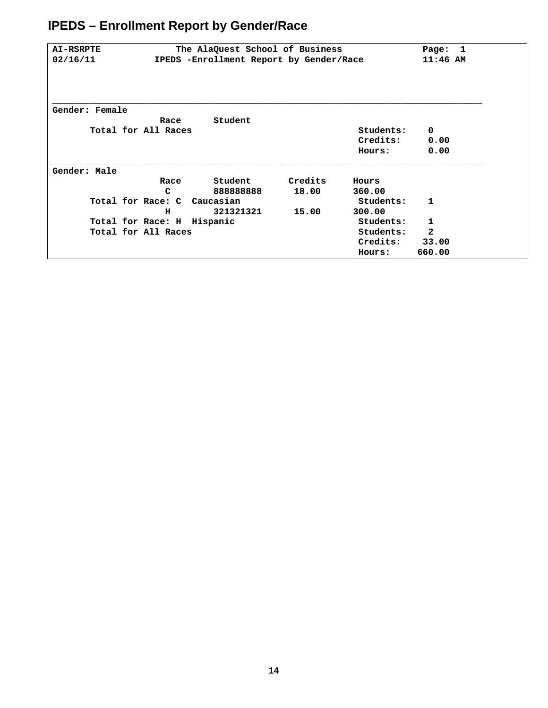## **IPEDS – Enrollment Report by Gender/Race**

| <b>AI-RSRPTE</b> |                                         | The AlaQuest School of Business |         |            | Page:<br>-1  |
|------------------|-----------------------------------------|---------------------------------|---------|------------|--------------|
| 02/16/11         | IPEDS -Enrollment Report by Gender/Race |                                 |         | $11:46$ AM |              |
|                  |                                         |                                 |         |            |              |
| Gender: Female   | Race                                    | Student                         |         |            |              |
|                  | Total for All Races                     |                                 |         | Students:  | $\mathbf 0$  |
|                  |                                         |                                 |         | Credits:   | 0.00         |
|                  |                                         |                                 |         | Hours:     | 0.00         |
| Gender: Male     |                                         |                                 |         |            |              |
|                  | Race                                    | Student                         | Credits | Hours      |              |
|                  | C                                       | 88888888                        | 18.00   | 360.00     |              |
|                  | Total for Race: C Caucasian             |                                 |         | Students:  | 1.           |
|                  | н                                       | 321321321                       | 15.00   | 300.00     |              |
|                  | Total for Race: H                       | Hispanic                        |         | Students:  | 1            |
|                  | Total for All Races                     |                                 |         | Students:  | $\mathbf{2}$ |
|                  |                                         |                                 |         | Credits:   | 33.00        |
|                  |                                         |                                 |         | Hours:     | 660.00       |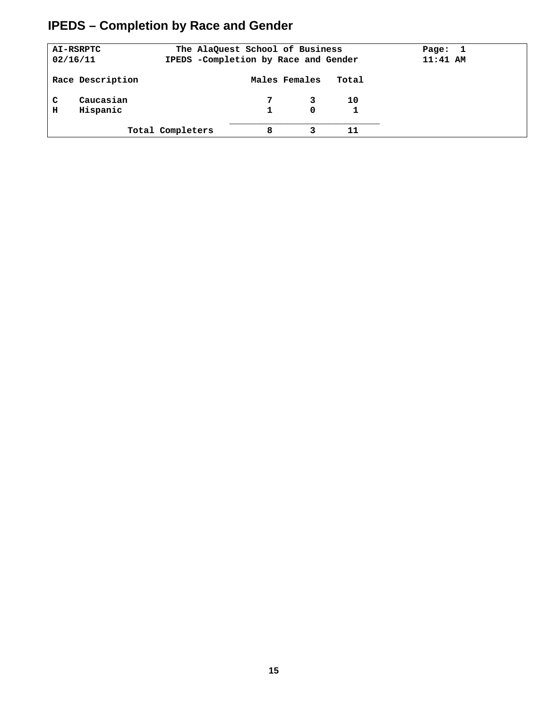## **IPEDS – Completion by Race and Gender**

| 02/16/11 | AI-RSRPTC             |                  | The AlaQuest School of Business<br>IPEDS -Completion by Race and Gender |               |       | Page:<br>$11:41$ AM | - 1 |
|----------|-----------------------|------------------|-------------------------------------------------------------------------|---------------|-------|---------------------|-----|
|          | Race Description      |                  |                                                                         | Males Females | Total |                     |     |
| C<br>н   | Caucasian<br>Hispanic |                  |                                                                         | 0             | 10    |                     |     |
|          |                       | Total Completers | 8                                                                       |               | 11    |                     |     |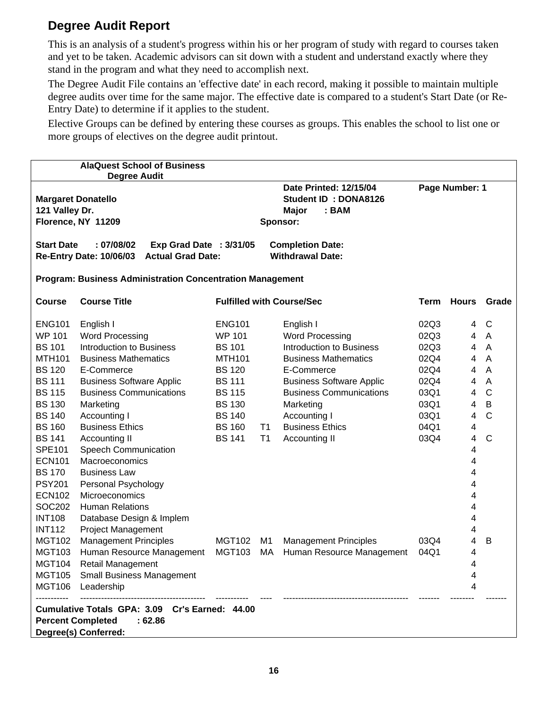#### **Degree Audit Report**

This is an analysis of a student's progress within his or her program of study with regard to courses taken and yet to be taken. Academic advisors can sit down with a student and understand exactly where they stand in the program and what they need to accomplish next.

The Degree Audit File contains an 'effective date' in each record, making it possible to maintain multiple degree audits over time for the same major. The effective date is compared to a student's Start Date (or Re-Entry Date) to determine if it applies to the student.

Elective Groups can be defined by entering these courses as groups. This enables the school to list one or more groups of electives on the degree audit printout.

|                   | <b>AlaQuest School of Business</b>                                                                           |               |                |                                                                                            |             |                |                |
|-------------------|--------------------------------------------------------------------------------------------------------------|---------------|----------------|--------------------------------------------------------------------------------------------|-------------|----------------|----------------|
|                   | <b>Degree Audit</b>                                                                                          |               |                |                                                                                            |             |                |                |
| 121 Valley Dr.    | <b>Margaret Donatello</b><br>Florence, NY 11209                                                              |               |                | <b>Date Printed: 12/15/04</b><br>Student ID: DONA8126<br>Major<br>: <b>BAM</b><br>Sponsor: |             | Page Number: 1 |                |
| <b>Start Date</b> | : 07/08/02<br>Exp Grad Date : 3/31/05<br><b>Re-Entry Date: 10/06/03</b><br><b>Actual Grad Date:</b>          |               |                | <b>Completion Date:</b><br><b>Withdrawal Date:</b>                                         |             |                |                |
|                   | <b>Program: Business Administration Concentration Management</b>                                             |               |                |                                                                                            |             |                |                |
| <b>Course</b>     | <b>Course Title</b>                                                                                          |               |                | <b>Fulfilled with Course/Sec</b>                                                           | <b>Term</b> | <b>Hours</b>   | Grade          |
| <b>ENG101</b>     | English I                                                                                                    | <b>ENG101</b> |                | English I                                                                                  | 02Q3        | 4              | C              |
| <b>WP 101</b>     | <b>Word Processing</b>                                                                                       | <b>WP 101</b> |                | <b>Word Processing</b>                                                                     | 02Q3        | 4              | $\mathsf{A}$   |
| <b>BS 101</b>     | <b>Introduction to Business</b>                                                                              | <b>BS 101</b> |                | <b>Introduction to Business</b>                                                            | 02Q3        | 4              | A              |
| <b>MTH101</b>     | <b>Business Mathematics</b>                                                                                  | <b>MTH101</b> |                | <b>Business Mathematics</b>                                                                | 02Q4        | 4              | $\overline{A}$ |
| <b>BS 120</b>     | E-Commerce                                                                                                   | <b>BS 120</b> |                | E-Commerce                                                                                 | 02Q4        | 4              | $\overline{A}$ |
| <b>BS 111</b>     | <b>Business Software Applic</b>                                                                              | <b>BS 111</b> |                | <b>Business Software Applic</b>                                                            | 02Q4        | 4              | $\overline{A}$ |
| <b>BS 115</b>     | <b>Business Communications</b>                                                                               | <b>BS 115</b> |                | <b>Business Communications</b>                                                             | 03Q1        | 4              | $\mathsf{C}$   |
| <b>BS 130</b>     | Marketing                                                                                                    | <b>BS 130</b> |                | Marketing                                                                                  | 03Q1        | 4              | $\sf B$        |
| <b>BS 140</b>     | Accounting I                                                                                                 | <b>BS 140</b> |                | Accounting I                                                                               | 03Q1        | 4              | $\overline{C}$ |
| <b>BS 160</b>     | <b>Business Ethics</b>                                                                                       | <b>BS 160</b> | T1             | <b>Business Ethics</b>                                                                     | 04Q1        | 4              |                |
| <b>BS 141</b>     | Accounting II                                                                                                | <b>BS 141</b> | T <sub>1</sub> | Accounting II                                                                              | 03Q4        | 4              | $\mathsf{C}$   |
| <b>SPE101</b>     | <b>Speech Communication</b>                                                                                  |               |                |                                                                                            |             | 4              |                |
| <b>ECN101</b>     | Macroeconomics                                                                                               |               |                |                                                                                            |             | 4              |                |
| <b>BS 170</b>     | <b>Business Law</b>                                                                                          |               |                |                                                                                            |             | 4              |                |
| <b>PSY201</b>     | Personal Psychology                                                                                          |               |                |                                                                                            |             | 4              |                |
| <b>ECN102</b>     | Microeconomics                                                                                               |               |                |                                                                                            |             | 4              |                |
| SOC202            | <b>Human Relations</b>                                                                                       |               |                |                                                                                            |             | 4              |                |
| <b>INT108</b>     | Database Design & Implem                                                                                     |               |                |                                                                                            |             | 4              |                |
| <b>INT112</b>     | <b>Project Management</b>                                                                                    |               |                |                                                                                            |             | 4              |                |
| <b>MGT102</b>     | <b>Management Principles</b>                                                                                 | <b>MGT102</b> | M <sub>1</sub> | <b>Management Principles</b>                                                               | 03Q4        | 4              | B              |
| <b>MGT103</b>     | Human Resource Management                                                                                    | <b>MGT103</b> | MA             | Human Resource Management                                                                  | 04Q1        | 4              |                |
| <b>MGT104</b>     | Retail Management                                                                                            |               |                |                                                                                            |             | 4              |                |
| <b>MGT105</b>     | <b>Small Business Management</b>                                                                             |               |                |                                                                                            |             | 4              |                |
| <b>MGT106</b>     | Leadership                                                                                                   |               |                |                                                                                            |             | 4              |                |
|                   | Cumulative Totals GPA: 3.09 Cr's Earned: 44.00<br><b>Percent Completed</b><br>:62.86<br>Degree(s) Conferred: |               |                |                                                                                            |             |                |                |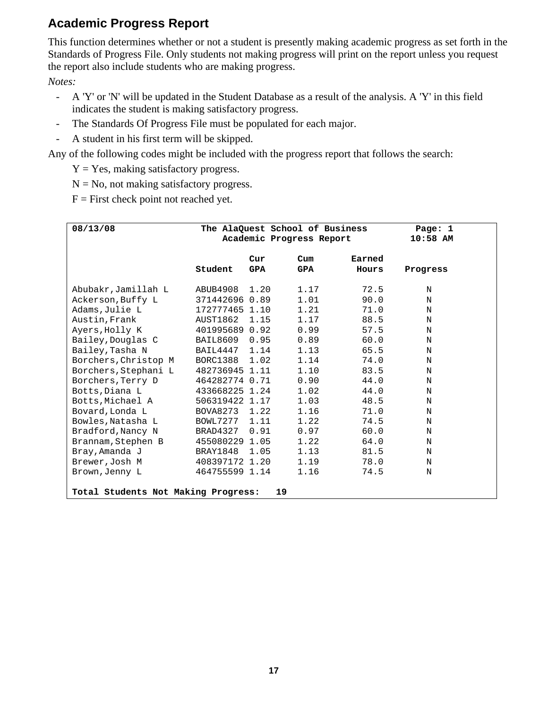#### **Academic Progress Report**

This function determines whether or not a student is presently making academic progress as set forth in the Standards of Progress File. Only students not making progress will print on the report unless you request the report also include students who are making progress.

*Notes:* 

- A 'Y' or 'N' will be updated in the Student Database as a result of the analysis. A 'Y' in this field indicates the student is making satisfactory progress.
- The Standards Of Progress File must be populated for each major.
- A student in his first term will be skipped.

Any of the following codes might be included with the progress report that follows the search:

 $Y = Yes$ , making satisfactory progress.

 $N = No$ , not making satisfactory progress.

 $F =$  First check point not reached yet.

| 08/13/08                                                                                                                                                                                                                                                           |                                                                                                                                                                                                              |                              | The AlaQuest School of Business<br>Academic Progress Report                                          |                                                                                                      | Page: 1<br>$10:58$ AM                                         |
|--------------------------------------------------------------------------------------------------------------------------------------------------------------------------------------------------------------------------------------------------------------------|--------------------------------------------------------------------------------------------------------------------------------------------------------------------------------------------------------------|------------------------------|------------------------------------------------------------------------------------------------------|------------------------------------------------------------------------------------------------------|---------------------------------------------------------------|
|                                                                                                                                                                                                                                                                    | Student                                                                                                                                                                                                      | Cur<br><b>GPA</b>            | $_{\text{Cum}}$<br>GPA                                                                               | Earned<br>Hours                                                                                      | Progress                                                      |
| Abubakr,Jamillah L<br>Ackerson, Buffy L<br>Adams, Julie L<br>Austin, Frank<br>Ayers, Holly K<br>Bailey, Douglas C<br>Bailey, Tasha N<br>Borchers, Christop M<br>Borchers, Stephani L<br>Borchers, Terry D<br>Botts, Diana L<br>Botts, Michael A<br>Bovard, Londa L | ABUB4908<br>371442696 0.89<br>172777465 1.10<br>AUST1862<br>401995689 0.92<br>BAIL8609<br>BAIL4447 1.14<br>BORC1388 1.02<br>482736945 1.11<br>464282774 0.71<br>433668225 1.24<br>506319422 1.17<br>BOVA8273 | 1.20<br>1.15<br>0.95<br>1.22 | 1.17<br>1.01<br>1.21<br>1.17<br>0.99<br>0.89<br>1.13<br>1.14<br>1.10<br>0.90<br>1.02<br>1.03<br>1.16 | 72.5<br>90.0<br>71.0<br>88.5<br>57.5<br>60.0<br>65.5<br>74.0<br>83.5<br>44.0<br>44.0<br>48.5<br>71.0 | N<br>N<br>N<br>N<br>N<br>N<br>N<br>N<br>N<br>N<br>N<br>N<br>N |
| Bowles, Natasha L<br>Bradford, Nancy N<br>Brannam, Stephen B<br>Bray, Amanda J<br>Brewer, Josh M<br>Brown, Jenny L<br>Total Students Not Making Progress:                                                                                                          | BOWL7277 1.11<br>BRAD4327<br>455080229 1.05<br>BRAY1848<br>408397172 1.20<br>464755599 1.14                                                                                                                  | 0.91<br>1.05<br>19           | 1.22<br>0.97<br>1.22<br>1.13<br>1.19<br>1.16                                                         | 74.5<br>60.0<br>64.0<br>81.5<br>78.0<br>74.5                                                         | N<br>N<br>N<br>N<br>N<br>N                                    |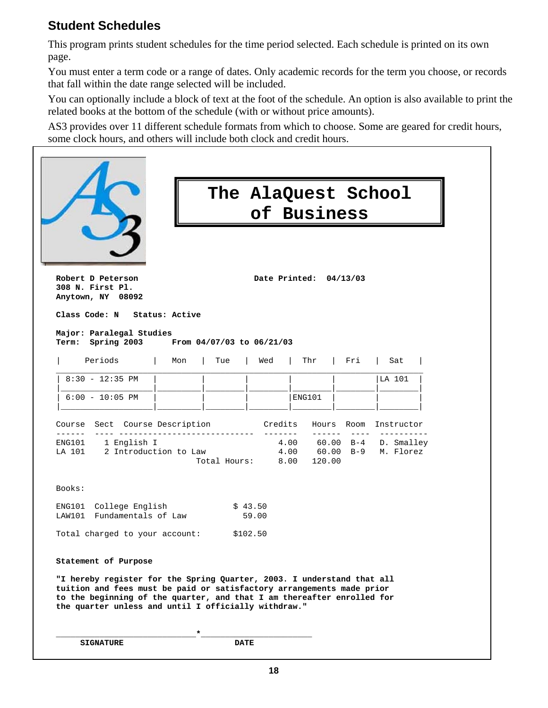#### **Student Schedules**

This program prints student schedules for the time period selected. Each schedule is printed on its own page.

You must enter a term code or a range of dates. Only academic records for the term you choose, or records that fall within the date range selected will be included.

You can optionally include a block of text at the foot of the schedule. An option is also available to print the related books at the bottom of the schedule (with or without price amounts).

AS3 provides over 11 different schedule formats from which to choose. Some are geared for credit hours, some clock hours, and others will include both clock and credit hours.

|                                                                                                                                                                                                                                                                                   |                |                   |                  | The AlaQuest School<br>of Business |            |                                        |
|-----------------------------------------------------------------------------------------------------------------------------------------------------------------------------------------------------------------------------------------------------------------------------------|----------------|-------------------|------------------|------------------------------------|------------|----------------------------------------|
| Robert D Peterson<br>308 N. First Pl.<br>Anytown, NY 08092<br>Class Code: N                                                                                                                                                                                                       | Status: Active |                   |                  | Date Printed: 04/13/03             |            |                                        |
| Major: Paralegal Studies<br>Term: Spring 2003 From 04/07/03 to 06/21/03                                                                                                                                                                                                           |                |                   |                  |                                    |            |                                        |
| Periods                                                                                                                                                                                                                                                                           | Mon            | Tue               | Wed              | Thr                                | Fri        | Sat                                    |
| $8:30 - 12:35$ PM                                                                                                                                                                                                                                                                 |                |                   |                  |                                    |            | LA 101                                 |
| $6:00 - 10:05$ PM                                                                                                                                                                                                                                                                 |                |                   |                  | ENG101                             |            |                                        |
| Course Sect Course Description                                                                                                                                                                                                                                                    |                |                   |                  | Credits                            | Hours Room | Instructor                             |
| -----<br>ENG101 1 English I<br>2 Introduction to Law<br>LA 101                                                                                                                                                                                                                    |                | Total Hours: 8.00 | --------         | $4.00$ $60.00$ B-9<br>120.00       |            | 4.00 60.00 B-4 D. Smalley<br>M. Florez |
| Books:                                                                                                                                                                                                                                                                            |                |                   |                  |                                    |            |                                        |
| ENG101 College English<br>LAW101 Fundamentals of Law                                                                                                                                                                                                                              |                |                   | \$43.50<br>59.00 |                                    |            |                                        |
| Total charged to your account: \$102.50                                                                                                                                                                                                                                           |                |                   |                  |                                    |            |                                        |
| Statement of Purpose                                                                                                                                                                                                                                                              |                |                   |                  |                                    |            |                                        |
| "I hereby register for the Spring Quarter, 2003. I understand that all<br>tuition and fees must be paid or satisfactory arrangements made prior<br>to the beginning of the quarter, and that I am thereafter enrolled for<br>the quarter unless and until I officially withdraw." |                |                   |                  |                                    |            |                                        |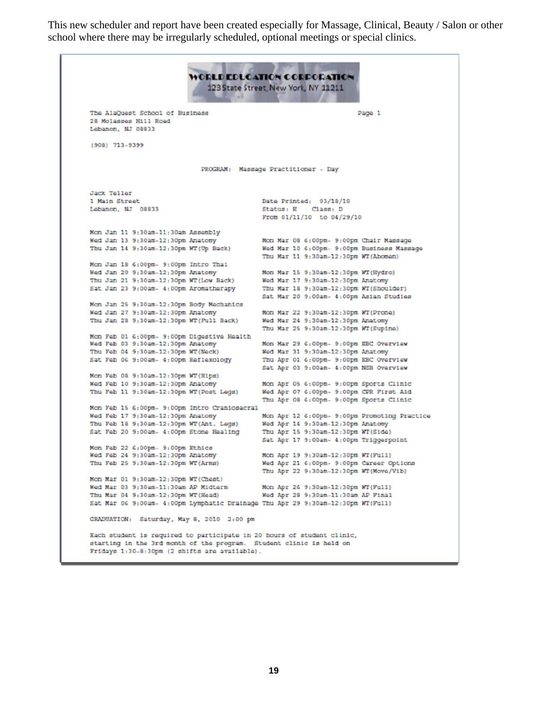This new scheduler and report have been created especially for Massage, Clinical, Beauty / Salon or other school where there may be irregularly scheduled, optional meetings or special clinics.

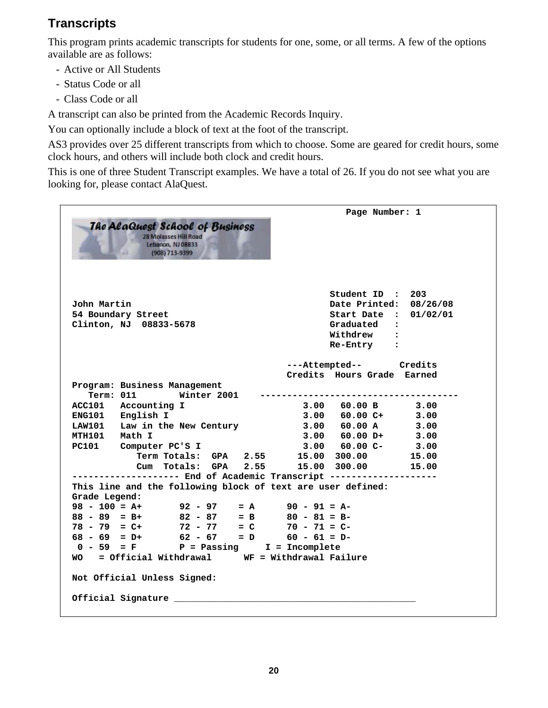#### **Transcripts**

This program prints academic transcripts for students for one, some, or all terms. A few of the options available are as follows:

- Active or All Students
- Status Code or all
- Class Code or all

A transcript can also be printed from the Academic Records Inquiry.

You can optionally include a block of text at the foot of the transcript.

AS3 provides over 25 different transcripts from which to choose. Some are geared for credit hours, some clock hours, and others will include both clock and credit hours.

This is one of three Student Transcript examples. We have a total of 26. If you do not see what you are looking for, please contact AlaQuest.

```
 Page Number: 1 
   The AlaQuest School of Business
           28 Molasses Hill Road
            Lebanon, NJ 08833
            (908) 713-9399
                                L,
                                          Student ID : 203 
John Martin Date Printed: 08/26/08 
54 Boundary Street Start Date : 01/02/01 
Clinton, NJ 08833-5678
                                          Withdrew : 
                                          Re-Entry : 
                                   ---Attempted-- Credits 
                                   Credits Hours Grade Earned 
Program: Business Management 
   Term: 011 Winter 2001 ------------------------------------- 
ACC101 Accounting I 3.00 60.00 B 3.00<br>ENG101 English I 3.00 60.00 C+ 3.00
ENG101 English I 3.00 60.00 C+ 3.00 
LAW101 Law in the New Century 3.00 60.00 A 3.00 
MTH101 Math I 3.00 60.00 D+ 3.00 
PC101 Computer PC'S I 3.00 60.00 C- 3.00 
          Term Totals: GPA 2.55 15.00 300.00 15.00 
                                  Cum Totals: GPA 2.55 15.00 300.00 15.00 
-------------------- End of Academic Transcript -------------------- 
This line and the following block of text are user defined: 
Grade Legend: 
98 - 100 = A+ 92 - 97 = A 90 - 91 = A-
88 - 89 = B+ 82 - 87 = B 80 - 81 = B-
78 - 79 = C+ 72 - 77 = C 70 - 71 = C-
68 - 69 = D+ 62 - 67 = D 60 - 61 = D- 
 0 - 59 = F P = Passing I = Incomplete 
WO = Official Withdrawal WF = Withdrawal Failure 
Not Official Unless Signed: 
Official Signature _____________________________________________
```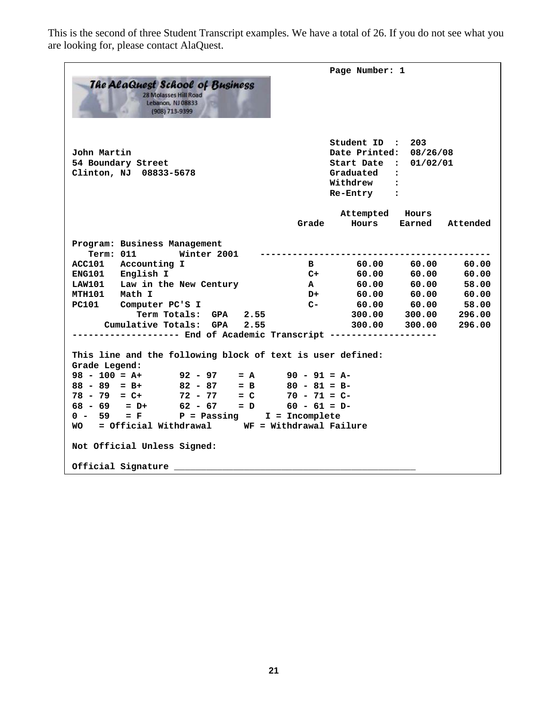This is the second of three Student Transcript examples. We have a total of 26. If you do not see what you are looking for, please contact AlaQuest.

| <b>The AlaQuest School of Business</b><br><b>28 Molasses Hill Road</b><br>Lebanon, NJ 08833<br>(908) 713-9399                                                                                                                                                                                                                                                                                                                                                            | Page Number: 1                                                                                                                                                                                                                                                                                                                                                           |
|--------------------------------------------------------------------------------------------------------------------------------------------------------------------------------------------------------------------------------------------------------------------------------------------------------------------------------------------------------------------------------------------------------------------------------------------------------------------------|--------------------------------------------------------------------------------------------------------------------------------------------------------------------------------------------------------------------------------------------------------------------------------------------------------------------------------------------------------------------------|
| John Martin<br>54 Boundary Street<br>Clinton, NJ 08833-5678                                                                                                                                                                                                                                                                                                                                                                                                              | Student ID: 203<br>Date Printed:<br>08/26/08<br>Start Date :<br>01/02/01<br>Graduated :<br>Withdrew :<br>Re-Entry :                                                                                                                                                                                                                                                      |
|                                                                                                                                                                                                                                                                                                                                                                                                                                                                          | Attempted Hours<br>Hours<br>Earned<br>Grade<br>Attended                                                                                                                                                                                                                                                                                                                  |
| Program: Business Management<br>Winter 2001<br>Term: 011<br>ACC101 Accounting I<br>ENG101 English I<br>LAW101 Law in the New Century<br>MTH101 Math I<br>PC101 Computer PC'S I<br>Term Totals: GPA 2.55<br>Cumulative Totals: GPA 2.55<br>This line and the following block of text is user defined:<br>Grade Legend:<br>$98 - 100 = A+$ 92 - 97<br>$88 - 89 = B+$<br>$82 - 87$<br>$78 - 79 = C+$<br>$72 - 77$<br>$= C$<br>$62 - 67 = D$ $60 - 61 = D$<br>$68 - 69 = D+$ | 60.00 60.00<br>60.00<br>$\mathbf{B}$<br>60.00<br>$C+$<br>60.00<br>60.00<br>60.00<br>58.00<br>$\mathbf{A}$<br>60.00<br>$60.00$ $60.00$ $60.00$<br>D+<br>$C-$<br>$60.00$ $60.00$ 58.00<br>300.00 300.00<br>296.00<br>300.00 300.00<br>296.00<br>----------- End of Academic Transcript --------------------<br>$= A$ 90 - 91 = A-<br>$= B$ 80 - 81 = B-<br>$70 - 71 = C -$ |
| $= F$ $P =$ Passing   I = Incomplete<br>$0 - 59$<br>WO = Official Withdrawal WF = Withdrawal Failure                                                                                                                                                                                                                                                                                                                                                                     |                                                                                                                                                                                                                                                                                                                                                                          |
| Not Official Unless Signed:<br>Official Signature                                                                                                                                                                                                                                                                                                                                                                                                                        |                                                                                                                                                                                                                                                                                                                                                                          |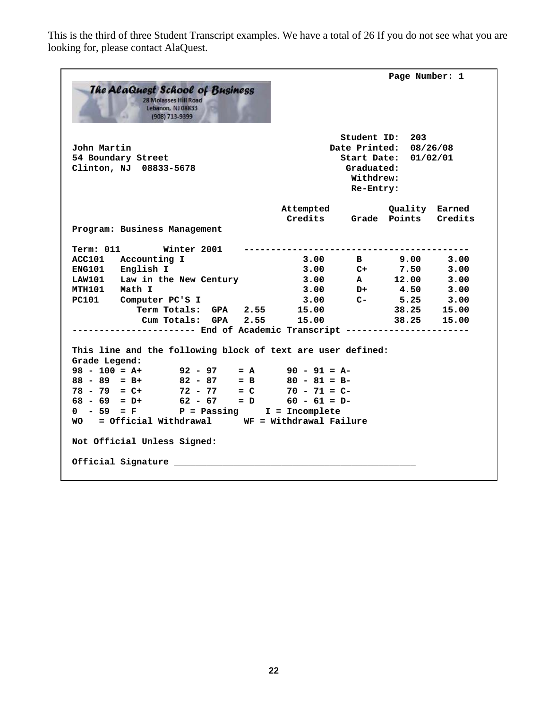This is the third of three Student Transcript examples. We have a total of 26 If you do not see what you are looking for, please contact AlaQuest.

| <b>The AlaQuest School of Business</b><br><b>28 Molasses Hill Road</b><br>Lebanon, NJ 08833<br>(908) 713-9399 |                                   |                                      | Page Number: 1                                                    |         |
|---------------------------------------------------------------------------------------------------------------|-----------------------------------|--------------------------------------|-------------------------------------------------------------------|---------|
| John Martin<br>54 Boundary Street<br>Clinton, NJ 08833-5678                                                   |                                   | Graduated:<br>Withdrew:<br>Re-Entry: | Student ID: 203<br>Date Printed: 08/26/08<br>Start Date: 01/02/01 |         |
|                                                                                                               | Attempted<br>Credits Grade Points |                                      | Quality Earned                                                    | Credits |
| Program: Business Management                                                                                  |                                   |                                      |                                                                   |         |
| Term: 011 Winter 2001                                                                                         |                                   |                                      |                                                                   |         |
| ACC101 Accounting I                                                                                           |                                   |                                      | $3.00$ B $9.00$                                                   | 3.00    |
| ENG101 English I                                                                                              |                                   |                                      | $3.00$ C+ 7.50                                                    | 3.00    |
| LAW101 Law in the New Century                                                                                 |                                   |                                      | $3.00$ A 12.00                                                    | 3.00    |
| MTH101 Math I                                                                                                 | $3.00$ D+                         |                                      | 4.50                                                              | 3.00    |
| PC101 Computer PC'S I                                                                                         | 3.00                              | $C-$                                 | 5.25                                                              | 3.00    |
| Term Totals: GPA 2.55                                                                                         | 15.00                             |                                      | 38.25                                                             | 15.00   |
| Cum Totals: GPA 2.55                                                                                          | 15.00                             |                                      | 38.25                                                             | 15.00   |
| ------------- End of Academic Transcript --------------------                                                 |                                   |                                      |                                                                   |         |
| This line and the following block of text are user defined:<br>Grade Legend:                                  |                                   |                                      |                                                                   |         |
| $98 - 100 = A+$<br>$92 - 97$                                                                                  | $= A$ 90 - 91 = A-                |                                      |                                                                   |         |
| 82 – 87 = B<br>72 – 77 = C<br>$=$ B<br>$88 - 89 = B +$                                                        | $80 - 81 = B-$                    |                                      |                                                                   |         |
| $78 - 79 = C+$<br>$62 - 67 = D$<br>$68 - 69 = D+$                                                             | $70 - 71 = C -$                   |                                      |                                                                   |         |
| $0 - 59 = F$ P = Passing                                                                                      | $60 - 61 = D -$                   |                                      |                                                                   |         |
| WO = Official Withdrawal WF = Withdrawal Failure                                                              | $I = Incomplete$                  |                                      |                                                                   |         |
| Not Official Unless Signed:                                                                                   |                                   |                                      |                                                                   |         |
| Official Signature                                                                                            |                                   |                                      |                                                                   |         |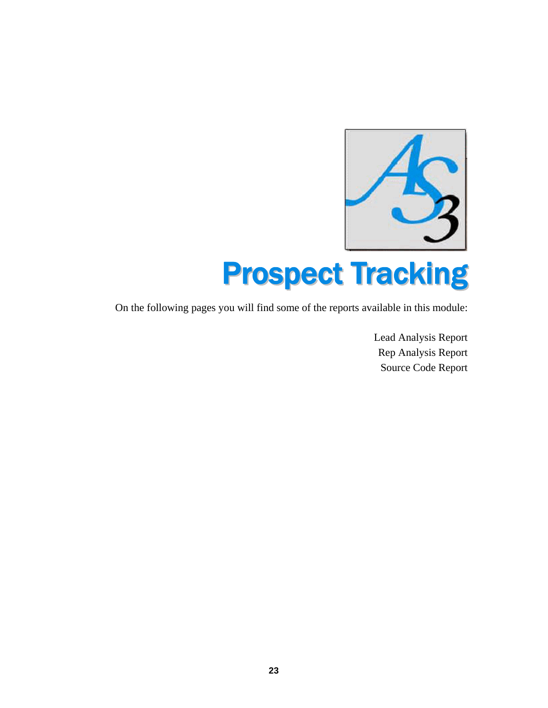

On the following pages you will find some of the reports available in this module:

Lead Analysis Report Rep Analysis Report Source Code Report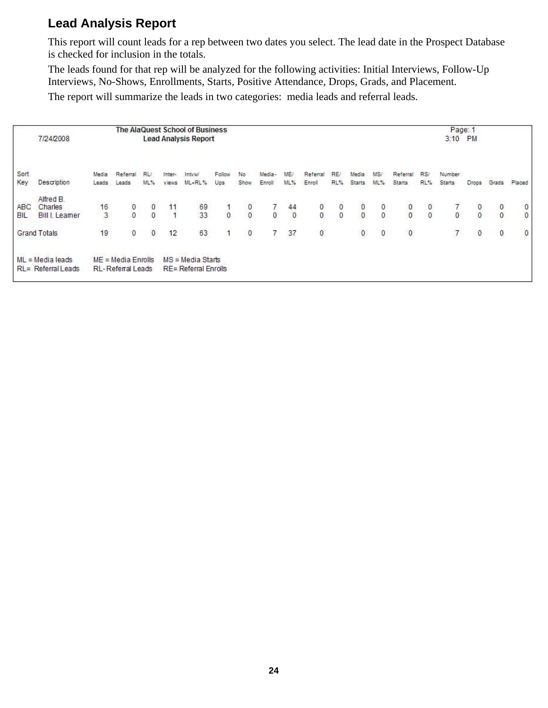#### **Lead Analysis Report**

This report will count leads for a rep between two dates you select. The lead date in the Prospect Database is checked for inclusion in the totals.

The leads found for that rep will be analyzed for the following activities: Initial Interviews, Follow-Up Interviews, No-Shows, Enrollments, Starts, Positive Attendance, Drops, Grads, and Placement.

The report will summarize the leads in two categories: media leads and referral leads.

|                   |                                          |                |                                                  |                                      |              | The AlaQuest School of Business            |               |                                               |                                  |                                        |                                      |            |               |               |                                      |                                               | Page: 1                               |                                            |                                      |                                      |
|-------------------|------------------------------------------|----------------|--------------------------------------------------|--------------------------------------|--------------|--------------------------------------------|---------------|-----------------------------------------------|----------------------------------|----------------------------------------|--------------------------------------|------------|---------------|---------------|--------------------------------------|-----------------------------------------------|---------------------------------------|--------------------------------------------|--------------------------------------|--------------------------------------|
|                   | 7/24/2008                                |                |                                                  |                                      |              | <b>Lead Analysis Report</b>                |               |                                               |                                  |                                        |                                      |            |               |               |                                      |                                               | 3:10 PM                               |                                            |                                      |                                      |
| Sort              |                                          | Media          | Referral                                         | RU.                                  | Inter-       | Intvw                                      | Follow        | No                                            | Media-                           | ME/                                    | Referral                             | RE/        | Media         | MS/           | Referral                             | RS/                                           | Number                                |                                            |                                      |                                      |
| Key               | Description                              | Leads          | Leads                                            | 机%                                   | <b>Views</b> | ML+RL%                                     | Ups           | Show                                          | Enroll                           | ML%                                    | Enroll                               | RL%        | <b>Starts</b> | ML%           | <b>Starts</b>                        | RL%                                           | Starts                                | Drops                                      | Grads                                | Placed                               |
|                   | Alfred B.                                |                |                                                  |                                      |              |                                            |               |                                               |                                  |                                        |                                      |            |               |               |                                      |                                               |                                       |                                            |                                      |                                      |
| ABC<br><b>BIL</b> | Charles<br><b>Bill I. Leamer</b>         | $\frac{16}{3}$ | $\begin{smallmatrix}0\\0\end{smallmatrix}$       | $\begin{matrix} 0 \\ 0 \end{matrix}$ | 11           | $\frac{69}{33}$                            | $\frac{1}{0}$ | $\begin{smallmatrix}0\\0\\0\end{smallmatrix}$ | $\begin{matrix}7\\0\end{matrix}$ | $\begin{array}{c} 44 \\ 0 \end{array}$ | $\begin{matrix} 0 \\ 0 \end{matrix}$ | $_{0}^{0}$ | $\frac{0}{0}$ | $\frac{0}{0}$ | $\begin{matrix} 0 \\ 0 \end{matrix}$ | $\begin{smallmatrix}0\\0\\0\end{smallmatrix}$ | $\begin{array}{c} 7 \\ 0 \end{array}$ | $\begin{smallmatrix}0\\0\end{smallmatrix}$ | $\begin{matrix} 0 \\ 0 \end{matrix}$ | $\begin{matrix} 0 \\ 0 \end{matrix}$ |
|                   |                                          |                |                                                  |                                      |              |                                            |               |                                               |                                  |                                        |                                      |            |               |               |                                      |                                               |                                       |                                            |                                      |                                      |
|                   | <b>Grand Totals</b>                      | 19             | 0                                                | $\pmb{0}$                            | 12           | 63                                         |               | $\boldsymbol{0}$                              | 7.                               | 37                                     | $\bf{0}$                             |            | $\pmb{0}$     | $\circ$       | $\pmb{0}$                            |                                               |                                       | 0                                          | $\boldsymbol{0}$                     | $\boldsymbol{0}$                     |
|                   | $ML = Media leads$<br>RL= Referral Leads |                | $ME = Media$ Enrolls<br><b>RL-Referral Leads</b> |                                      |              | $MS = Media Stars$<br>RE= Referral Enrolls |               |                                               |                                  |                                        |                                      |            |               |               |                                      |                                               |                                       |                                            |                                      |                                      |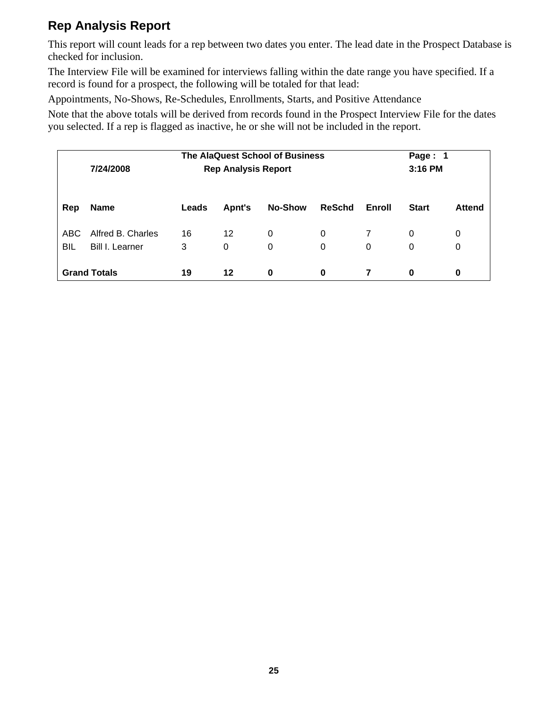#### **Rep Analysis Report**

This report will count leads for a rep between two dates you enter. The lead date in the Prospect Database is checked for inclusion.

The Interview File will be examined for interviews falling within the date range you have specified. If a record is found for a prospect, the following will be totaled for that lead:

Appointments, No-Shows, Re-Schedules, Enrollments, Starts, and Positive Attendance

Note that the above totals will be derived from records found in the Prospect Interview File for the dates you selected. If a rep is flagged as inactive, he or she will not be included in the report.

|     | 7/24/2008           | Page: 1<br>3:16 PM |         |                |               |        |              |               |
|-----|---------------------|--------------------|---------|----------------|---------------|--------|--------------|---------------|
| Rep | <b>Name</b>         | Leads              | Apnt's  | <b>No-Show</b> | <b>ReSchd</b> | Enroll | <b>Start</b> | <b>Attend</b> |
| ABC | Alfred B. Charles   | 16                 | 12      | 0              | 0             |        | 0            | 0             |
| BIL | Bill I. Learner     | 3                  | 0       | 0              | 0             | 0      | 0            | 0             |
|     | <b>Grand Totals</b> | 19                 | $12 \,$ | 0              | 0             |        | 0            | 0             |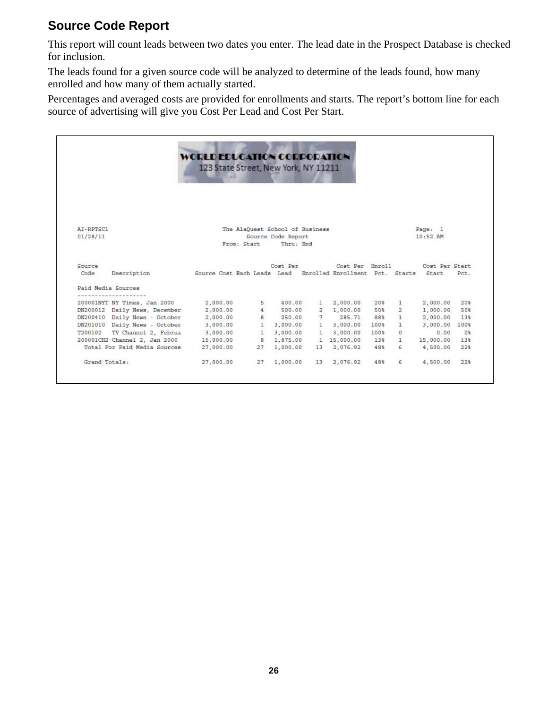#### **Source Code Report**

This report will count leads between two dates you enter. The lead date in the Prospect Database is checked for inclusion.

The leads found for a given source code will be analyzed to determine of the leads found, how many enrolled and how many of them actually started.

Percentages and averaged costs are provided for enrollments and starts. The report's bottom line for each source of advertising will give you Cost Per Lead and Cost Per Start.

|                               | WORLD EDUCATION CORPORATION<br>123 State Street, New York, NY 11211 |                                                |                                 |                       |      |              |                       |                   |
|-------------------------------|---------------------------------------------------------------------|------------------------------------------------|---------------------------------|-----------------------|------|--------------|-----------------------|-------------------|
| AI-RPTSC1<br>01/28/11         |                                                                     | The AlaQuest School of Business<br>From: Start | Source Code Report<br>Thru: End |                       |      |              | Page: 1<br>$10:52$ AM |                   |
| Source                        |                                                                     |                                                | Cost Per                        | Cost Per Enroll       |      |              | Cost Per Start        |                   |
| Description<br>Code           | Source Cost Each Leads Lead Enrolled Enrollment Pct. Starts Start   |                                                |                                 |                       |      |              |                       | Pct.              |
| Paid Media Sources            |                                                                     |                                                |                                 |                       |      |              |                       |                   |
| 200001NYT NY Times, Jan 2000  | 2,000.00                                                            |                                                | 5 400.00                        | 1 2,000.00            |      | 20% 1        | 2,000.00              | 20%               |
| DN200012 Daily News, December | 2,000.00                                                            |                                                |                                 | 4 500.00 2 1,000.00   | 50%  |              | 2 1,000.00            | 50%               |
| DN200410 Daily News - October | 2,000.00                                                            |                                                |                                 | 8 250.00 7 285.71     | 88%  |              | 1 2,000.00            | 13%               |
| DN201010 Daily News - October | 3,000.00                                                            |                                                |                                 | 1 3,000.00 1 3,000.00 | 100% | $\mathbf{1}$ | 3,000.00 100%         |                   |
| T200102 TV Channel 2, Februa  | 3,000.00                                                            |                                                | 1, 3,000.00                     | 1 3,000.00            | 100% | $^{\circ}$   | 0.00                  | $0$ <sup>\$</sup> |
| 200001CH2 Channel 2, Jan 2000 | 15,000.00                                                           |                                                | 8 1.875.00                      | 1 15,000.00           | 13%  | $\mathbf{1}$ | 15,000.00             | 13%               |
| Total For Paid Media Sources  | 27,000.00                                                           |                                                | 27 1,000.00                     | 13 2,076.92           | 48%  | 6            | 4,500.00              | 22%               |
|                               |                                                                     |                                                |                                 |                       | 48%  | 6            | 4,500.00              | 22%               |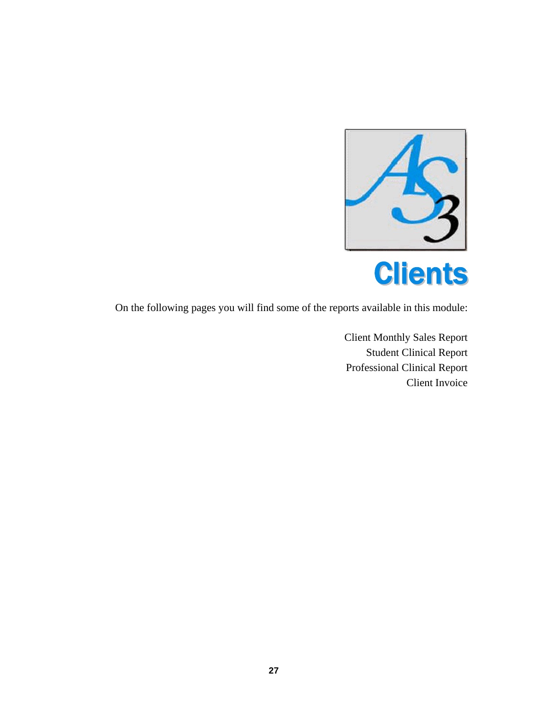

On the following pages you will find some of the reports available in this module:

Client Monthly Sales Report Student Clinical Report Professional Clinical Report Client Invoice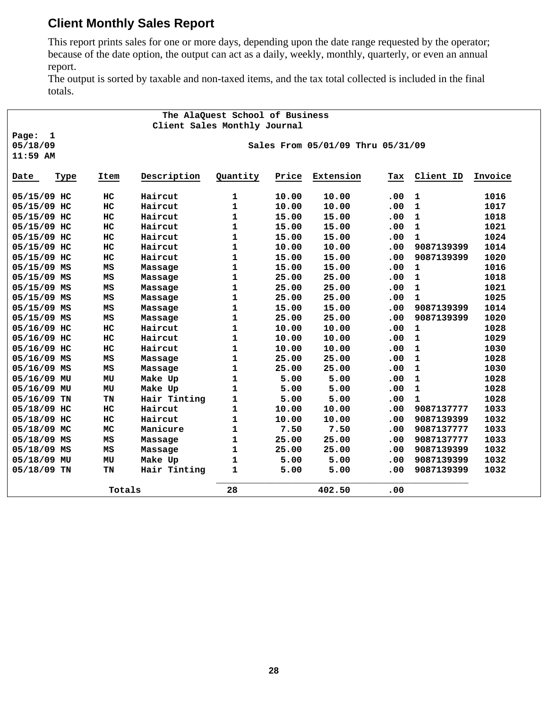#### **Client Monthly Sales Report**

This report prints sales for one or more days, depending upon the date range requested by the operator; because of the date option, the output can act as a daily, weekly, monthly, quarterly, or even an annual report.

The output is sorted by taxable and non-taxed items, and the tax total collected is included in the final totals.

|               |              |        |                              | The AlaQuest School of Business |       |                                   |     |              |         |
|---------------|--------------|--------|------------------------------|---------------------------------|-------|-----------------------------------|-----|--------------|---------|
|               |              |        | Client Sales Monthly Journal |                                 |       |                                   |     |              |         |
| Page:         | $\mathbf{1}$ |        |                              |                                 |       |                                   |     |              |         |
| 05/18/09      |              |        |                              |                                 |       | Sales From 05/01/09 Thru 05/31/09 |     |              |         |
| $11:59$ AM    |              |        |                              |                                 |       |                                   |     |              |         |
| Date          | <b>Type</b>  | Item   | Description                  | Quantity                        | Price | Extension                         | Tax | Client ID    | Invoice |
| 05/15/09 HC   |              | HC     | Haircut                      | 1                               | 10.00 | 10.00                             | .00 | $\mathbf 1$  | 1016    |
| 05/15/09 HC   |              | HC     | Haircut                      | 1                               | 10.00 | 10.00                             | .00 | $\mathbf{1}$ | 1017    |
| 05/15/09 HC   |              | HC     | Haircut                      | 1                               | 15.00 | 15.00                             | .00 | $\mathbf{1}$ | 1018    |
| 05/15/09 HC   |              | HC     | Haircut                      | 1                               | 15.00 | 15.00                             | .00 | $\mathbf{1}$ | 1021    |
| 05/15/09 HC   |              | HC     | Haircut                      | $\mathbf{1}$                    | 15.00 | 15.00                             | .00 | $\mathbf{1}$ | 1024    |
| 05/15/09 HC   |              | HC     | Haircut                      | $\mathbf{1}$                    | 10.00 | 10.00                             | .00 | 9087139399   | 1014    |
| 05/15/09 HC   |              | HC     | Haircut                      | $\mathbf{1}$                    | 15.00 | 15.00                             | .00 | 9087139399   | 1020    |
| 05/15/09 MS   |              | MS     | Massage                      | 1                               | 15.00 | 15.00                             | .00 | $\mathbf{1}$ | 1016    |
| 05/15/09 MS   |              | MS     | Massage                      | 1                               | 25.00 | 25.00                             | .00 | $\mathbf{1}$ | 1018    |
| 05/15/09 MS   |              | MS     | Massage                      | 1                               | 25.00 | 25.00                             | .00 | $\mathbf{1}$ | 1021    |
| 05/15/09 MS   |              | MS     | Massage                      | 1                               | 25.00 | 25.00                             | .00 | $\mathbf{1}$ | 1025    |
| 05/15/09 MS   |              | MS     | Massage                      | 1                               | 15.00 | 15.00                             | .00 | 9087139399   | 1014    |
| 05/15/09 MS   |              | MS     | Massage                      | 1                               | 25.00 | 25.00                             | .00 | 9087139399   | 1020    |
| 05/16/09 HC   |              | HC     | Haircut                      | 1                               | 10.00 | 10.00                             | .00 | $\mathbf{1}$ | 1028    |
| 05/16/09 HC   |              | HC     | Haircut                      | $\mathbf{1}$                    | 10.00 | 10.00                             | .00 | $\mathbf{1}$ | 1029    |
| 05/16/09 HC   |              | HC     | Haircut                      | 1                               | 10.00 | 10.00                             | .00 | $\mathbf 1$  | 1030    |
| 05/16/09 MS   |              | MS     | Massage                      | 1                               | 25.00 | 25.00                             | .00 | $\mathbf{1}$ | 1028    |
| 05/16/09 MS   |              | MS     | Massage                      | 1                               | 25.00 | 25.00                             | .00 | $\mathbf 1$  | 1030    |
| 05/16/09 MU   |              | MU     | Make Up                      | 1                               | 5.00  | 5.00                              | .00 | $\mathbf 1$  | 1028    |
| 05/16/09 MU   |              | MU     | Make Up                      | 1                               | 5.00  | 5.00                              | .00 | $\mathbf{1}$ | 1028    |
| $05/16/09$ TN |              | TN     | Hair Tinting                 | 1                               | 5.00  | 5.00                              | .00 | 1            | 1028    |
| 05/18/09 HC   |              | HC     | Haircut                      | $\mathbf{1}$                    | 10.00 | 10.00                             | .00 | 9087137777   | 1033    |
| 05/18/09 HC   |              | HC     | Haircut                      | 1                               | 10.00 | 10.00                             | .00 | 9087139399   | 1032    |
| 05/18/09 MC   |              | MC     | Manicure                     | 1                               | 7.50  | 7.50                              | .00 | 9087137777   | 1033    |
| 05/18/09 MS   |              | MS     | Massage                      | 1                               | 25.00 | 25.00                             | .00 | 9087137777   | 1033    |
| 05/18/09 MS   |              | MS     | Massage                      | 1                               | 25.00 | 25.00                             | .00 | 9087139399   | 1032    |
| 05/18/09 MU   |              | MU     | Make Up                      | 1                               | 5.00  | 5.00                              | .00 | 9087139399   | 1032    |
| 05/18/09 TN   |              | TN     | Hair Tinting                 | 1                               | 5.00  | 5.00                              | .00 | 9087139399   | 1032    |
|               |              | Totals |                              | 28                              |       | 402.50                            | .00 |              |         |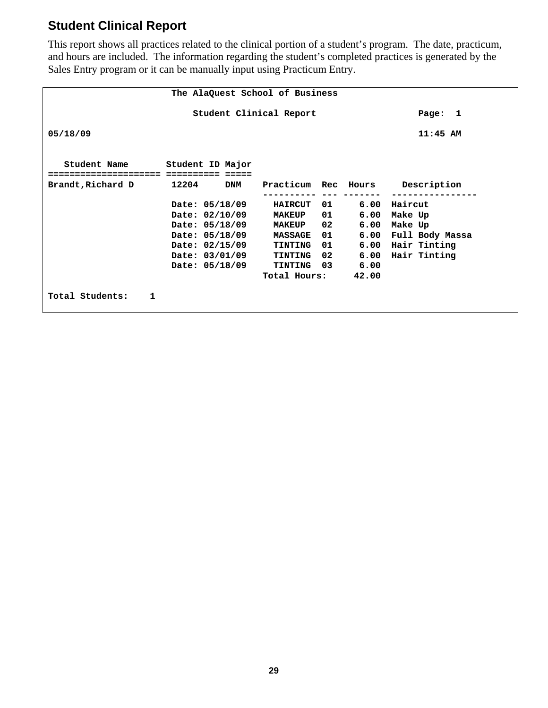## **Student Clinical Report**

This report shows all practices related to the clinical portion of a student's program. The date, practicum, and hours are included. The information regarding the student's completed practices is generated by the Sales Entry program or it can be manually input using Practicum Entry.

|                                 |                               |            | The AlaQuest School of Business |      |       |                                 |  |  |  |  |
|---------------------------------|-------------------------------|------------|---------------------------------|------|-------|---------------------------------|--|--|--|--|
|                                 |                               |            | Student Clinical Report         |      |       | Page: 1                         |  |  |  |  |
| 05/18/09                        |                               |            |                                 |      |       |                                 |  |  |  |  |
| Student Name<br>=============== | Student ID Major<br>========= |            |                                 |      |       |                                 |  |  |  |  |
| Brandt, Richard D               | 12204                         | <b>DNM</b> |                                 |      |       | Practicum Rec Hours Description |  |  |  |  |
|                                 | Date: 05/18/09                |            | <b>HAIRCUT</b>                  | 01 1 |       | 6.00 Haircut                    |  |  |  |  |
|                                 | Date: 02/10/09                |            | <b>MAKEUP</b>                   | 01 — |       | 6.00 Make Up                    |  |  |  |  |
|                                 | Date: 05/18/09                |            | <b>MAKEUP</b>                   | 02   |       | 6.00 Make Up                    |  |  |  |  |
|                                 | Date: 05/18/09                |            | <b>MASSAGE</b>                  | 01 1 |       | 6.00 Full Body Massa            |  |  |  |  |
|                                 | Date: 02/15/09                |            | TINTING                         | 01 — |       | 6.00 Hair Tinting               |  |  |  |  |
|                                 | Date: 03/01/09                |            | <b>TINTING</b>                  | 02   |       | 6.00 Hair Tinting               |  |  |  |  |
|                                 | Date: 05/18/09                |            | TINTING 03 6.00                 |      |       |                                 |  |  |  |  |
|                                 |                               |            | Total Hours:                    |      | 42.00 |                                 |  |  |  |  |
| Total Students:<br>1            |                               |            |                                 |      |       |                                 |  |  |  |  |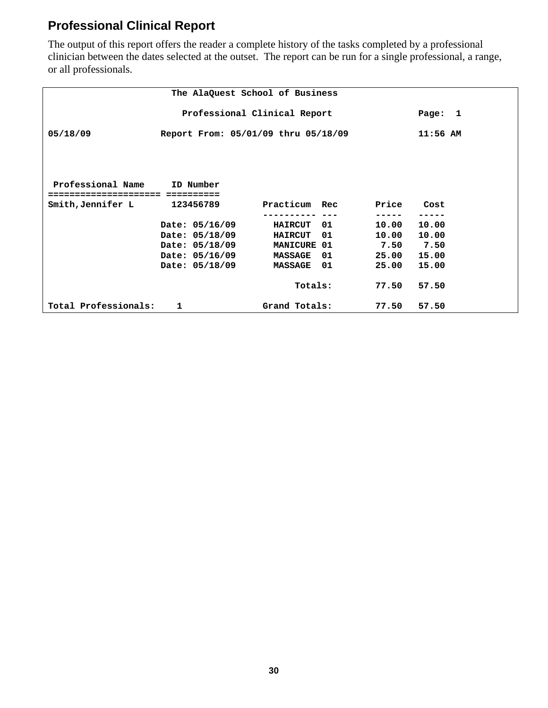#### **Professional Clinical Report**

The output of this report offers the reader a complete history of the tasks completed by a professional clinician between the dates selected at the outset. The report can be run for a single professional, a range, or all professionals.

|                                         |                                     | The AlaQuest School of Business |             |               |  |  |  |  |  |  |  |
|-----------------------------------------|-------------------------------------|---------------------------------|-------------|---------------|--|--|--|--|--|--|--|
| Professional Clinical Report<br>Page: 1 |                                     |                                 |             |               |  |  |  |  |  |  |  |
| 05/18/09                                | Report From: 05/01/09 thru 05/18/09 |                                 |             |               |  |  |  |  |  |  |  |
|                                         |                                     |                                 |             |               |  |  |  |  |  |  |  |
|                                         |                                     |                                 |             |               |  |  |  |  |  |  |  |
| Professional Name ID Number             |                                     |                                 |             |               |  |  |  |  |  |  |  |
| ==============================          |                                     |                                 |             |               |  |  |  |  |  |  |  |
| Smith,Jennifer L                        | 123456789                           | Practicum Rec                   | Price       | Cost          |  |  |  |  |  |  |  |
|                                         |                                     |                                 |             |               |  |  |  |  |  |  |  |
|                                         | Date: 05/16/09                      | 01 —<br><b>HAIRCUT</b>          | 10.00       | 10.00         |  |  |  |  |  |  |  |
|                                         | Date: 05/18/09                      | <b>HAIRCUT 01</b>               | 10.00 10.00 |               |  |  |  |  |  |  |  |
|                                         | Date: 05/18/09                      | <b>MANICURE 01</b>              |             | $7.50$ $7.50$ |  |  |  |  |  |  |  |
|                                         | Date: 05/16/09                      | 01 —<br><b>MASSAGE</b>          | 25.00 15.00 |               |  |  |  |  |  |  |  |
|                                         | Date: 05/18/09                      | <b>MASSAGE 01</b>               | 25.00       | 15.00         |  |  |  |  |  |  |  |
|                                         |                                     | Totals:                         | 77.50       | 57.50         |  |  |  |  |  |  |  |
| Total Professionals:                    | $\mathbf{1}$                        | Grand Totals:                   | 77.50       | 57.50         |  |  |  |  |  |  |  |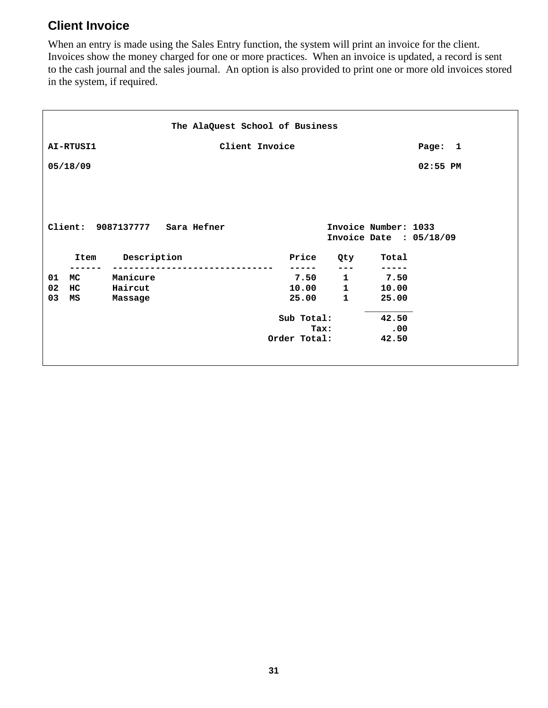#### **Client Invoice**

When an entry is made using the Sales Entry function, the system will print an invoice for the client. Invoices show the money charged for one or more practices. When an invoice is updated, a record is sent to the cash journal and the sales journal. An option is also provided to print one or more old invoices stored in the system, if required.

|                                        |          |                                |  | The AlaQuest School of Business |  |                |                   |                      |                         |  |
|----------------------------------------|----------|--------------------------------|--|---------------------------------|--|----------------|-------------------|----------------------|-------------------------|--|
| Client Invoice<br>AI-RTUSI1<br>Page: 1 |          |                                |  |                                 |  |                |                   |                      |                         |  |
|                                        | 05/18/09 |                                |  |                                 |  |                |                   |                      | $02:55$ PM              |  |
|                                        |          |                                |  |                                 |  |                |                   |                      |                         |  |
|                                        |          |                                |  |                                 |  |                |                   |                      |                         |  |
|                                        |          | Client: 9087137777 Sara Hefner |  |                                 |  |                |                   | Invoice Number: 1033 | Invoice Date : 05/18/09 |  |
|                                        |          | Item Description               |  |                                 |  | Price<br>----- | Qty<br>$- - -$    | Total                |                         |  |
| 01                                     | MC       | Manicure                       |  |                                 |  |                | $7.50 \t1 \t7.50$ |                      |                         |  |
| 02                                     | HC.      | Haircut                        |  |                                 |  | 10.00 1        |                   | 10.00                |                         |  |
| 03                                     | MS       | Massage                        |  |                                 |  | 25.00          | $\mathbf{1}$      | 25.00                |                         |  |
|                                        |          |                                |  |                                 |  | Sub Total:     |                   | 42.50                |                         |  |
|                                        |          |                                |  |                                 |  |                | <b>Tax:</b>       | $\ddotsc 0$          |                         |  |
|                                        |          |                                |  |                                 |  | Order Total:   |                   | 42.50                |                         |  |
|                                        |          |                                |  |                                 |  |                |                   |                      |                         |  |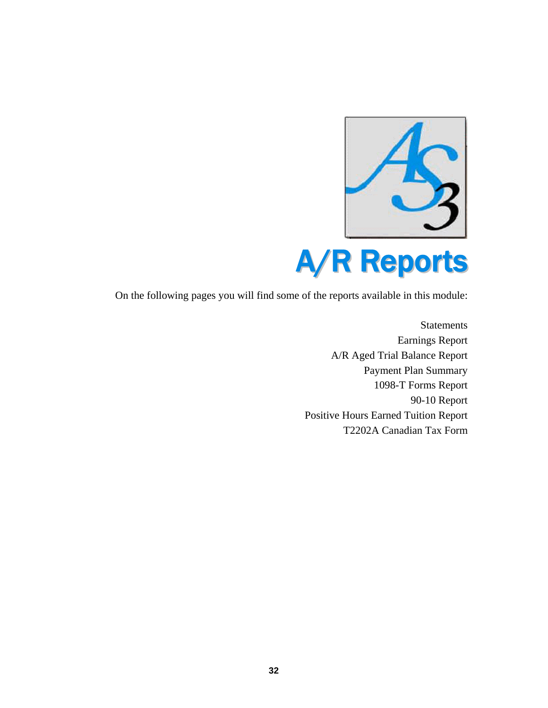

On the following pages you will find some of the reports available in this module:

**Statements** Earnings Report A/R Aged Trial Balance Report Payment Plan Summary 1098-T Forms Report 90-10 Report Positive Hours Earned Tuition Report T2202A Canadian Tax Form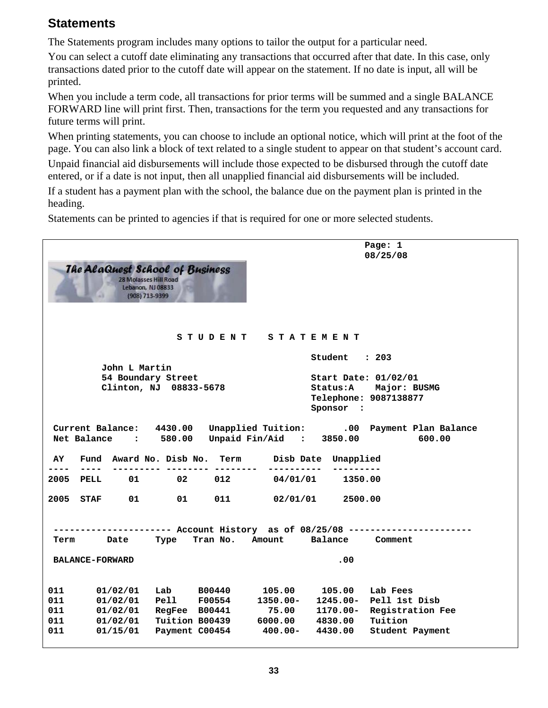#### **Statements**

The Statements program includes many options to tailor the output for a particular need.

You can select a cutoff date eliminating any transactions that occurred after that date. In this case, only transactions dated prior to the cutoff date will appear on the statement. If no date is input, all will be printed.

When you include a term code, all transactions for prior terms will be summed and a single BALANCE FORWARD line will print first. Then, transactions for the term you requested and any transactions for future terms will print.

When printing statements, you can choose to include an optional notice, which will print at the foot of the page. You can also link a block of text related to a single student to appear on that student's account card.

Unpaid financial aid disbursements will include those expected to be disbursed through the cutoff date entered, or if a date is not input, then all unapplied financial aid disbursements will be included.

If a student has a payment plan with the school, the balance due on the payment plan is printed in the heading.

Statements can be printed to agencies if that is required for one or more selected students.

|               |                                                  | <b>The AlaQuest School of Business</b><br><b>28 Molasses Hill Road</b><br>Lebanon, NJ 08833<br>(908) 713-9399 |               |            |                                   | Page: 1<br>08/25/08                                   |
|---------------|--------------------------------------------------|---------------------------------------------------------------------------------------------------------------|---------------|------------|-----------------------------------|-------------------------------------------------------|
|               |                                                  |                                                                                                               | S T U D E N T |            | S T A T E M E N T                 |                                                       |
|               | John L Martin                                    |                                                                                                               |               |            | Student : 203                     |                                                       |
|               |                                                  | 54 Boundary Street<br>Clinton, NJ 08833-5678                                                                  |               |            | Start Date: 01/02/01<br>Sponsor : | Status: A Major: BUSMG<br>Telephone: 9087138877       |
|               | Current Balance: 4430.00<br>Net Balance : 580.00 |                                                                                                               |               |            | Unpaid Fin/Aid : 3850.00          | Unapplied Tuition: .00 Payment Plan Balance<br>600.00 |
| AY<br>$- - -$ | ----                                             | Fund Award No. Disb No. Term<br>---------                                                                     |               |            | Disb Date Unapplied               |                                                       |
| 2005          | PELL                                             | 01 02                                                                                                         | 012           | 04/01/01   | 1350.00                           |                                                       |
| 2005 STAF     | 01                                               | 01                                                                                                            | 011           | 02/01/01   | 2500.00                           |                                                       |
| Term          | Date                                             | ---------- Account History as of 08/25/08 ----------<br>Type                                                  |               |            | Tran No. Amount Balance Comment   |                                                       |
|               | <b>BALANCE-FORWARD</b>                           |                                                                                                               |               |            | .00                               |                                                       |
| 011           | 01/02/01                                         | Lab B00440                                                                                                    |               | 105.00     | 105.00                            | Lab Fees                                              |
| 011           | 01/02/01                                         | Pell F00554                                                                                                   |               | 1350.00-   | 1245.00-                          | Pell 1st Disb                                         |
| 011           | 01/02/01                                         | RegFee B00441                                                                                                 |               | 75.00      | 1170.00-                          | Registration Fee                                      |
| 011           | 01/02/01                                         | <b>Tuition B00439</b>                                                                                         |               |            | 6000.00 4830.00                   | Tuition                                               |
| 011           | 01/15/01                                         | Payment C00454                                                                                                |               | $400.00 -$ | 4430.00                           | Student Payment                                       |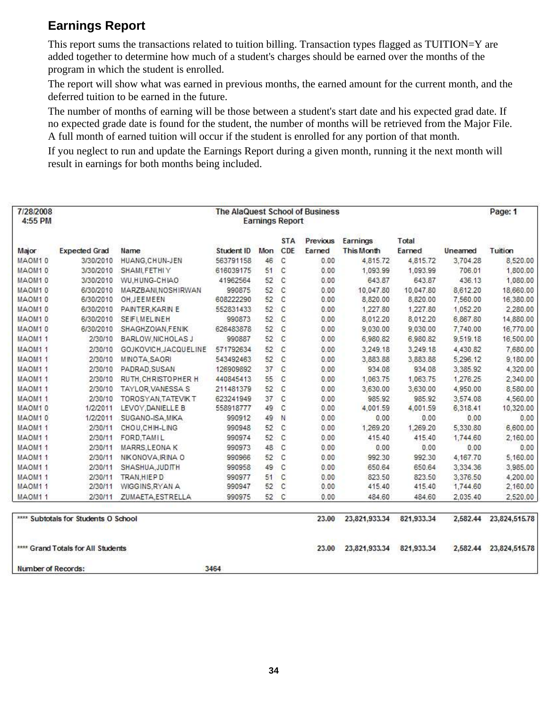#### **Earnings Report**

This report sums the transactions related to tuition billing. Transaction types flagged as TUITION=Y are added together to determine how much of a student's charges should be earned over the months of the program in which the student is enrolled.

The report will show what was earned in previous months, the earned amount for the current month, and the deferred tuition to be earned in the future.

The number of months of earning will be those between a student's start date and his expected grad date. If no expected grade date is found for the student, the number of months will be retrieved from the Major File. A full month of earned tuition will occur if the student is enrolled for any portion of that month.

If you neglect to run and update the Earnings Report during a given month, running it the next month will result in earnings for both months being included.

| 7/28/2008<br>4:55 PM |                                    | The AlaQuest School of Business<br><b>Earnings Report</b> |            |    |            |          |                   |            |          | Page: 1       |
|----------------------|------------------------------------|-----------------------------------------------------------|------------|----|------------|----------|-------------------|------------|----------|---------------|
|                      |                                    |                                                           |            |    | <b>STA</b> | Previous | Earnings          | Total      |          |               |
| Major                | <b>Expected Grad</b>               | Name                                                      | Student ID |    | Mon CDE    | Earned   | <b>This Month</b> | Earned     | Uneamed  | Tuition       |
| MAOM10               | 3/30/2010                          | HUANG, CHUN-JEN                                           | 563791158  | 46 | C          | 0.00     | 4,815.72          | 4,815.72   | 3,704.28 | 8,520.00      |
| MAOM10               | 3/30/2010                          | SHAMI, FETHI Y                                            | 616039175  | 51 | C          | 0.00     | 1,093.99          | 1.093.99   | 706.01   | 1,800.00      |
| MAOM10               | 3/30/2010                          | WU,HUNG-CHIAO                                             | 41962564   | 52 | C          | 0.00     | 643.87            | 643.87     | 436.13   | 1,080.00      |
| MAOM10               | 6/30/2010                          | MARZBANI, NOSHIRWAN                                       | 990875     | 52 | C          | 0.00     | 10,047.80         | 10,047.80  | 8,612.20 | 18,660.00     |
| MAOM10               | 6/30/2010                          | OH.JEEMEEN                                                | 608222290  | 52 | C          | 0.00     | 8,820.00          | 8,820.00   | 7,560.00 | 16,380.00     |
| MAOM10               | 6/30/2010                          | PAINTER, KARIN E                                          | 552831433  | 52 | C          | 0.00     | 1,227.80          | 1,227.80   | 1,052.20 | 2,280.00      |
| MAOM10               | 6/30/2010                          | SEIFI, MELINEH                                            | 990873     | 52 | C          | 0.00     | 8,012.20          | 8,012.20   | 6,867.80 | 14,880.00     |
| MAOM10               | 6/30/2010                          | SHAGHZOIAN, FENIK                                         | 626483878  | 52 | C          | 0.00     | 9,030.00          | 9,030.00   | 7,740.00 | 16,770.00     |
| MAOM11               | 2/30/10                            | BARLOW, NICHOLAS J                                        | 990887     | 52 | C          | 0.00     | 6,980.82          | 6,980.82   | 9,519.18 | 16,500.00     |
| MAOM11               | 2/30/10                            | GOJKOVICH, JACQUELINE                                     | 571792634  | 52 | C          | 0.00     | 3,249.18          | 3,249.18   | 4,430.82 | 7,680.00      |
| MAOM11               | 2/30/10                            | MINOTA, SAORI                                             | 543492463  | 52 | C          | 0.00     | 3,883.88          | 3,883.88   | 5,296.12 | 9,180.00      |
| MAOM11               | 2/30/10                            | PADRAD.SUSAN                                              | 126909892  | 37 | C          | 0.00     | 934.08            | 934.08     | 3.385.92 | 4,320.00      |
| MAOM11               | 2/30/10                            | RUTH, CHRISTOPHER H                                       | 440845413  | 55 | C          | 0.00     | 1,063.75          | 1,063.75   | 1,276.25 | 2,340.00      |
| MAOM11               | 2/30/10                            | TAYLOR VANESSA S                                          | 211481379  | 52 | C          | 0.00     | 3,630.00          | 3,630.00   | 4,950.00 | 8,580.00      |
| MAOM11               | 2/30/10                            | TOROSYAN.TATEVIK T                                        | 623241949  | 37 | C          | 0.00     | 985.92            | 985.92     | 3,574.08 | 4,560.00      |
| MAOM10               | 1/2/2011                           | LEVOY, DANIELLE B                                         | 558918777  | 49 | C          | 0.00     | 4,001.59          | 4,001.59   | 6,318.41 | 10,320.00     |
| MAOM10               | 1/2/2011                           | SUGANO-ISA, MIKA                                          | 990912     | 49 | N          | 0.00     | 0.00              | 0.00       | 0.00     | 0.00          |
| MAOM11               | 2/30/11                            | CHOU, CHIH-LING                                           | 990948     | 52 | C          | 0.00     | 1,269.20          | 1,269.20   | 5,330.80 | 6,600.00      |
| MAOM11               | 2/30/11                            | FORD, TAMIL                                               | 990974     | 52 | C          | 0.00     | 415.40            | 415.40     | 1,744.60 | 2,160.00      |
| MAOM11               | 2/30/11                            | MARRS, LEONAK                                             | 990973     | 48 | C          | 0.00     | 0.00              | 0.00       | 0.00     | 0.00          |
| MAOM11               | 2/30/11                            | NIKONOVA, IRINA O                                         | 990966     | 52 | C          | 0.00     | 992.30            | 992.30     | 4,167.70 | 5,160.00      |
| MAOM11               | 2/30/11                            | SHASHUA, JUDITH                                           | 990958     | 49 | C          | 0.00     | 650.64            | 650.64     | 3,334.36 | 3,985.00      |
| MAOM <sub>11</sub>   | 2/30/11                            | TRAN.HIEPD                                                | 990977     | 51 | C          | 0.00     | 823.50            | 823.50     | 3,376.50 | 4,200.00      |
| MAOM11               | 2/30/11                            | WIGGINS, RYAN A                                           | 990947     | 52 | C          | 0.00     | 415.40            | 415.40     | 1,744.60 | 2,160.00      |
| MAOM11               | 2/30/11                            | ZUMAETA, ESTRELLA                                         | 990975     | 52 | C          | 0.00     | 484.60            | 484.60     | 2.035.40 | 2,520.00      |
|                      | subtotals for Students O School    |                                                           |            |    |            | 23.00    | 23,821,933.34     | 821,933.34 | 2,582.44 | 23,824,515.78 |
|                      | **** Grand Totals for All Students |                                                           |            |    |            | 23,00    | 23,821,933.34     | 821,933.34 | 2,582.44 | 23,824,515.78 |
| Number of Records:   |                                    |                                                           | 3464       |    |            |          |                   |            |          |               |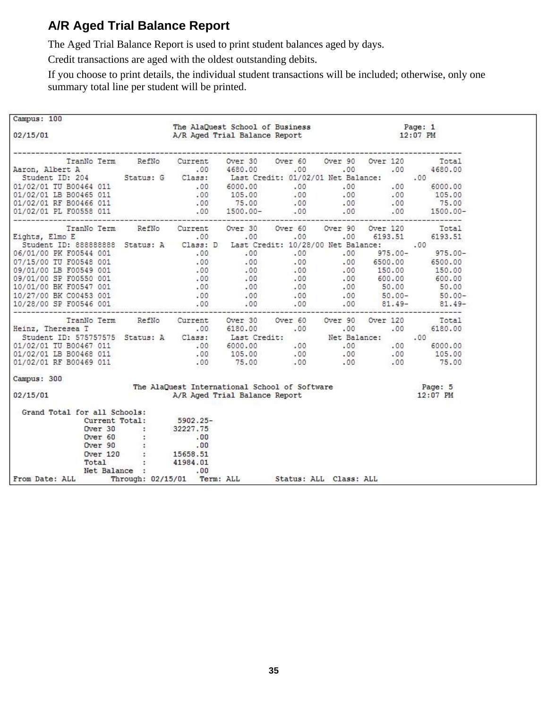#### **A/R Aged Trial Balance Report**

The Aged Trial Balance Report is used to print student balances aged by days.

Credit transactions are aged with the oldest outstanding debits.

If you choose to print details, the individual student transactions will be included; otherwise, only one summary total line per student will be printed.

| Campus: 100                                                                                                                                                                                                                                                  |                                                                                                                                      |                                                                                                                               |  |  |  |
|--------------------------------------------------------------------------------------------------------------------------------------------------------------------------------------------------------------------------------------------------------------|--------------------------------------------------------------------------------------------------------------------------------------|-------------------------------------------------------------------------------------------------------------------------------|--|--|--|
| 02/15/01                                                                                                                                                                                                                                                     |                                                                                                                                      | The AlaQuest School of Business Fage: 1<br>A/R Aged Trial Balance Report 12:07 PM                                             |  |  |  |
|                                                                                                                                                                                                                                                              |                                                                                                                                      |                                                                                                                               |  |  |  |
|                                                                                                                                                                                                                                                              |                                                                                                                                      |                                                                                                                               |  |  |  |
|                                                                                                                                                                                                                                                              |                                                                                                                                      |                                                                                                                               |  |  |  |
|                                                                                                                                                                                                                                                              |                                                                                                                                      |                                                                                                                               |  |  |  |
|                                                                                                                                                                                                                                                              |                                                                                                                                      |                                                                                                                               |  |  |  |
|                                                                                                                                                                                                                                                              |                                                                                                                                      |                                                                                                                               |  |  |  |
| TranNo Term RefNo Current Over 30 Over 60 Over 90 Over 120 Total<br>Eights, Elmo E .00 .00 .00 .00 .00 .00 6193.51 6193.51<br>Student ID: 888888888 Status: A Class: D Last Credit: 10/28/00 Net Balance:00                                                  |                                                                                                                                      |                                                                                                                               |  |  |  |
| Eights, Elmo E                                                                                                                                                                                                                                               |                                                                                                                                      |                                                                                                                               |  |  |  |
|                                                                                                                                                                                                                                                              |                                                                                                                                      |                                                                                                                               |  |  |  |
|                                                                                                                                                                                                                                                              |                                                                                                                                      |                                                                                                                               |  |  |  |
|                                                                                                                                                                                                                                                              |                                                                                                                                      |                                                                                                                               |  |  |  |
|                                                                                                                                                                                                                                                              |                                                                                                                                      |                                                                                                                               |  |  |  |
|                                                                                                                                                                                                                                                              |                                                                                                                                      |                                                                                                                               |  |  |  |
|                                                                                                                                                                                                                                                              |                                                                                                                                      |                                                                                                                               |  |  |  |
|                                                                                                                                                                                                                                                              |                                                                                                                                      |                                                                                                                               |  |  |  |
| 06/01/00 DE F00544 001<br>06/07/15/00 TU F00544 001<br>06/01/00 DE F00549 001<br>09/01/00 DE F00549 001<br>09/01/00 DE F00550 001<br>09/01/00 DE F00550 001<br>09/01/00 DE F00550 001<br>0.00<br>0.00<br>0.00<br>0.00<br>0.00<br>0.00<br>0.00<br>0.00<br>0.0 |                                                                                                                                      |                                                                                                                               |  |  |  |
|                                                                                                                                                                                                                                                              |                                                                                                                                      |                                                                                                                               |  |  |  |
|                                                                                                                                                                                                                                                              |                                                                                                                                      |                                                                                                                               |  |  |  |
|                                                                                                                                                                                                                                                              |                                                                                                                                      |                                                                                                                               |  |  |  |
|                                                                                                                                                                                                                                                              |                                                                                                                                      |                                                                                                                               |  |  |  |
|                                                                                                                                                                                                                                                              |                                                                                                                                      |                                                                                                                               |  |  |  |
|                                                                                                                                                                                                                                                              |                                                                                                                                      |                                                                                                                               |  |  |  |
| Campus: 300                                                                                                                                                                                                                                                  |                                                                                                                                      |                                                                                                                               |  |  |  |
| 02/15/01                                                                                                                                                                                                                                                     |                                                                                                                                      | The AlaQuest International School of Software Fage: 5 A/R Aged Trial Balance Report 12:07 PM<br>A/R Aged Trial Balance Report |  |  |  |
| Grand Total for all Schools:                                                                                                                                                                                                                                 |                                                                                                                                      |                                                                                                                               |  |  |  |
|                                                                                                                                                                                                                                                              |                                                                                                                                      |                                                                                                                               |  |  |  |
|                                                                                                                                                                                                                                                              |                                                                                                                                      |                                                                                                                               |  |  |  |
|                                                                                                                                                                                                                                                              |                                                                                                                                      |                                                                                                                               |  |  |  |
|                                                                                                                                                                                                                                                              |                                                                                                                                      |                                                                                                                               |  |  |  |
|                                                                                                                                                                                                                                                              |                                                                                                                                      |                                                                                                                               |  |  |  |
|                                                                                                                                                                                                                                                              | Current Total: 5902.25-<br>Current Total: 5902.25-<br>Over 30 : 32227.75<br>Over 90 : .00<br>Over 120 : 15658.51<br>Total : 41984.01 |                                                                                                                               |  |  |  |
|                                                                                                                                                                                                                                                              | Net Balance : 00                                                                                                                     |                                                                                                                               |  |  |  |
| From Date: ALL Through: 02/15/01 Term: ALL Status: ALL Class: ALL                                                                                                                                                                                            |                                                                                                                                      |                                                                                                                               |  |  |  |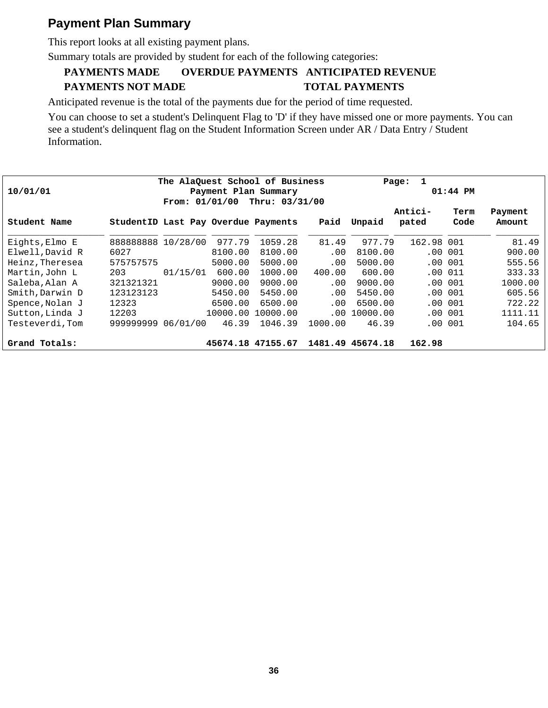#### **Payment Plan Summary**

This report looks at all existing payment plans.

Summary totals are provided by student for each of the following categories:

#### **PAYMENTS MADE OVERDUE PAYMENTS ANTICIPATED REVENUE PAYMENTS NOT MADE TOTAL PAYMENTS**

Anticipated revenue is the total of the payments due for the period of time requested.

You can choose to set a student's Delinquent Flag to 'D' if they have missed one or more payments. You can see a student's delinquent flag on the Student Information Screen under AR / Data Entry / Student Information.

| The AlaQuest School of Business |                                     |                  |          |                |         |                  | 1<br>Page: |            |         |  |  |
|---------------------------------|-------------------------------------|------------------|----------|----------------|---------|------------------|------------|------------|---------|--|--|
| 10/01/01                        | Payment Plan Summary                |                  |          |                |         | $01:44$ PM       |            |            |         |  |  |
|                                 |                                     | From: $01/01/00$ |          | Thru: 03/31/00 |         |                  |            |            |         |  |  |
|                                 |                                     |                  |          |                |         |                  | Antici-    | Term       | Payment |  |  |
| Student Name                    | StudentID Last Pay Overdue Payments |                  |          |                | Paid    | Unpaid           | pated      | Code       | Amount  |  |  |
| Eights, Elmo E                  | 888888888 10/28/00                  |                  | 977.79   | 1059.28        | 81.49   | 977.79           | 162.98 001 |            | 81.49   |  |  |
| Elwell, David R                 | 6027                                |                  | 8100.00  | 8100.00        | .00     | 8100.00          | $.00 \,$   | 001        | 900.00  |  |  |
| Heinz, Theresea                 | 575757575                           |                  | 5000.00  | 5000.00        | .00     | 5000.00          |            | $.00\ 001$ | 555.56  |  |  |
| Martin, John L                  | 203                                 | 01/15/01         | 600.00   | 1000.00        | 400.00  | 600.00           |            | .00001     | 333.33  |  |  |
| Saleba, Alan A                  | 321321321                           |                  | 9000.00  | 9000.00        | .00.    | 9000.00          |            | .00001     | 1000.00 |  |  |
| Smith, Darwin D                 | 123123123                           |                  | 5450.00  | 5450.00        | .00     | 5450.00          |            | $.00\ 001$ | 605.56  |  |  |
| Spence, Nolan J                 | 12323                               |                  | 6500.00  | 6500.00        | .00.    | 6500.00          |            | $.00\ 001$ | 722.22  |  |  |
| Sutton, Linda J                 | 12203                               |                  | 10000.00 | 10000.00       | .00.    | 10000.00         |            | .00001     | 1111.11 |  |  |
| Testeverdi, Tom                 | 99999999                            | 06/01/00         | 46.39    | 1046.39        | 1000.00 | 46.39            |            | $.00\ 001$ | 104.65  |  |  |
| Grand Totals:                   |                                     |                  | 45674.18 | 47155.67       |         | 1481.49 45674.18 | 162.98     |            |         |  |  |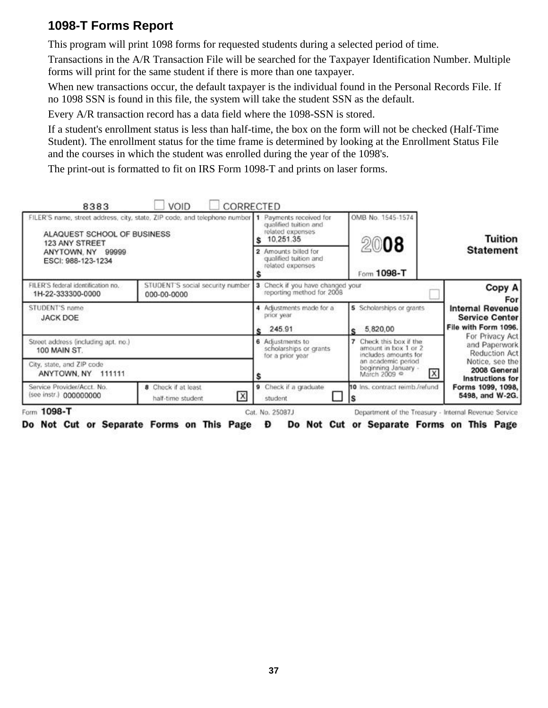#### **1098-T Forms Report**

This program will print 1098 forms for requested students during a selected period of time.

Transactions in the A/R Transaction File will be searched for the Taxpayer Identification Number. Multiple forms will print for the same student if there is more than one taxpayer.

When new transactions occur, the default taxpayer is the individual found in the Personal Records File. If no 1098 SSN is found in this file, the system will take the student SSN as the default.

Every A/R transaction record has a data field where the 1098-SSN is stored.

If a student's enrollment status is less than half-time, the box on the form will not be checked (Half-Time Student). The enrollment status for the time frame is determined by looking at the Enrollment Status File and the courses in which the student was enrolled during the year of the 1098's.

The print-out is formatted to fit on IRS Form 1098-T and prints on laser forms.

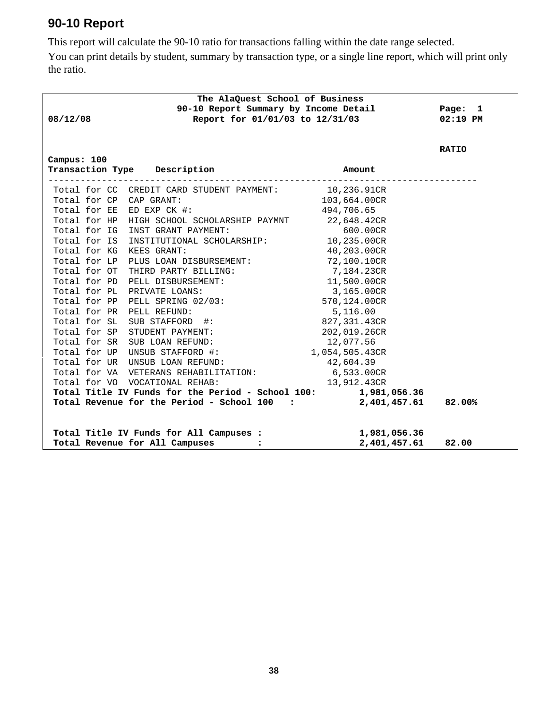#### **90-10 Report**

This report will calculate the 90-10 ratio for transactions falling within the date range selected.

You can print details by student, summary by transaction type, or a single line report, which will print only the ratio.

|                           | The AlaQuest School of Business                                |                |              |
|---------------------------|----------------------------------------------------------------|----------------|--------------|
|                           | 90-10 Report Summary by Income Detail Page: 1                  |                |              |
| 08/12/08                  | Report for 01/01/03 to 12/31/03                                |                | $02:19$ PM   |
|                           |                                                                |                |              |
|                           |                                                                |                | <b>RATIO</b> |
| Campus: 100               |                                                                |                |              |
|                           | Transaction Type Description                                   | Amount         |              |
|                           | Total for CC CREDIT CARD STUDENT PAYMENT: 10,236.91CR          |                |              |
| Total for CP CAP GRANT:   |                                                                | 103,664.00CR   |              |
| Total for EE ED EXP CK #: |                                                                | 494,706.65     |              |
|                           | Total for HP HIGH SCHOOL SCHOLARSHIP PAYMNT 22,648.42CR        |                |              |
|                           | Total for IG INST GRANT PAYMENT:                               | 600.00CR       |              |
|                           | Total for IS INSTITUTIONAL SCHOLARSHIP: 10,235.00CR            |                |              |
| Total for KG KEES GRANT:  |                                                                | 40,203.00CR    |              |
|                           | Total for LP PLUS LOAN DISBURSEMENT: 72,100.10CR               |                |              |
|                           | Total for OT THIRD PARTY BILLING:                              | 7,184.23CR     |              |
|                           | Total for PD PELL DISBURSEMENT:                                | 11,500.00CR    |              |
|                           | Total for PL PRIVATE LOANS:                                    | 3,165.00CR     |              |
|                           | Total for PP PELL SPRING 02/03:                                | 570,124.00CR   |              |
| Total for PR PELL REFUND: |                                                                | 5,116.00       |              |
|                           | Total for SL SUB STAFFORD #:                                   | 827,331.43CR   |              |
|                           | Total for SP STUDENT PAYMENT:                                  | 202,019.26CR   |              |
|                           | Total for SR SUB LOAN REFUND:                                  | 12,077.56      |              |
|                           | Total for UP UNSUB STAFFORD #:                                 | 1,054,505.43CR |              |
|                           | Total for UR UNSUB LOAN REFUND:                                | 42,604.39      |              |
|                           | Total for VA VETERANS REHABILITATION: 6,533.00CR               |                |              |
|                           | Total for VO VOCATIONAL REHAB:                                 | 13,912.43CR    |              |
|                           | Total Title IV Funds for the Period - School 100: 1,981,056.36 |                |              |
|                           | Total Revenue for the Period - School $100$ : $2,401,457.61$   |                | 82.00%       |
|                           |                                                                |                |              |
|                           | Total Title IV Funds for All Campuses :                        | 1,981,056.36   |              |
|                           | Total Revenue for All Campuses<br>$\ddot{\cdot}$               | 2,401,457.61   | 82.00        |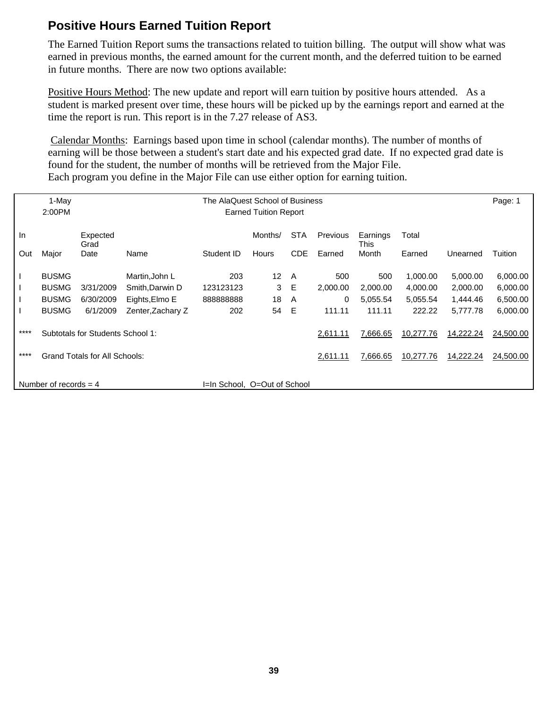#### **Positive Hours Earned Tuition Report**

The Earned Tuition Report sums the transactions related to tuition billing. The output will show what was earned in previous months, the earned amount for the current month, and the deferred tuition to be earned in future months. There are now two options available:

Positive Hours Method: The new update and report will earn tuition by positive hours attended. As a student is marked present over time, these hours will be picked up by the earnings report and earned at the time the report is run. This report is in the 7.27 release of AS3.

 Calendar Months: Earnings based upon time in school (calendar months). The number of months of earning will be those between a student's start date and his expected grad date. If no expected grad date is found for the student, the number of months will be retrieved from the Major File. Each program you define in the Major File can use either option for earning tuition.

|      | 1-May<br>2:00PM                  |                                                                                    | The AlaQuest School of Business<br><b>Earned Tuition Report</b> |                              |                 |            |          |          |           |           |           |
|------|----------------------------------|------------------------------------------------------------------------------------|-----------------------------------------------------------------|------------------------------|-----------------|------------|----------|----------|-----------|-----------|-----------|
|      |                                  |                                                                                    |                                                                 |                              |                 |            |          |          |           |           |           |
| In   |                                  | <b>STA</b><br>Expected<br>Months/<br>Previous<br>Total<br>Earnings<br>Grad<br>This |                                                                 |                              |                 |            |          |          |           |           |           |
| Out  | Major                            | Date                                                                               | Name                                                            | Student ID                   | <b>Hours</b>    | <b>CDE</b> | Earned   | Month    | Earned    | Unearned  | Tuition   |
|      | <b>BUSMG</b>                     |                                                                                    | Martin, John L                                                  | 203                          | 12 <sup>2</sup> | A          | 500      | 500      | 1,000.00  | 5,000.00  | 6,000.00  |
|      | <b>BUSMG</b>                     | 3/31/2009                                                                          | Smith, Darwin D                                                 | 123123123                    | 3               | E          | 2,000.00 | 2,000.00 | 4,000.00  | 2,000.00  | 6,000.00  |
|      | <b>BUSMG</b>                     | 6/30/2009                                                                          | Eights, Elmo E                                                  | 88888888                     | 18              | A          | 0        | 5,055.54 | 5,055.54  | 1,444.46  | 6,500.00  |
|      | <b>BUSMG</b>                     | 6/1/2009                                                                           | Zenter, Zachary Z                                               | 202                          | 54              | E          | 111.11   | 111.11   | 222.22    | 5.777.78  | 6,000.00  |
| **** | Subtotals for Students School 1: |                                                                                    |                                                                 |                              |                 |            | 2,611.11 | 7,666.65 | 10,277.76 | 14,222.24 | 24,500.00 |
| **** | Grand Totals for All Schools:    |                                                                                    |                                                                 |                              |                 |            | 2,611.11 | 7,666.65 | 10,277.76 | 14,222.24 | 24,500.00 |
|      |                                  |                                                                                    |                                                                 |                              |                 |            |          |          |           |           |           |
|      | Number of records $=$ 4          |                                                                                    |                                                                 | I=In School, O=Out of School |                 |            |          |          |           |           |           |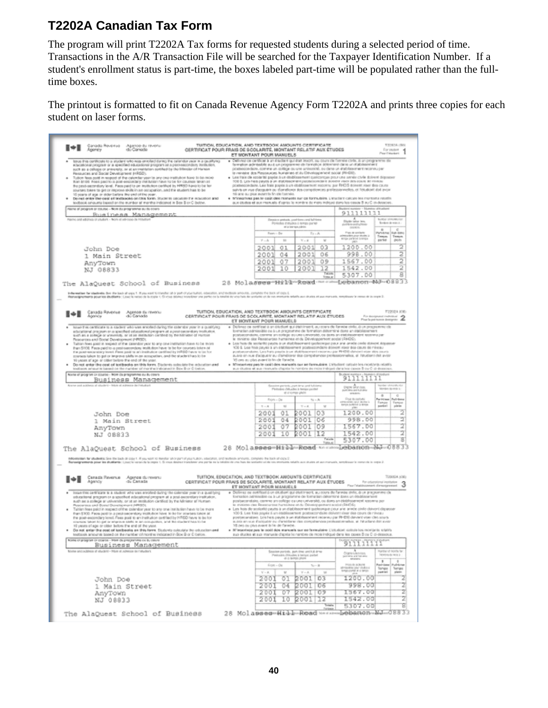#### **T2202A Canadian Tax Form**

The program will print T2202A Tax forms for requested students during a selected period of time. Transactions in the A/R Transaction File will be searched for the Taxpayer Identification Number. If a student's enrollment status is part-time, the boxes labeled part-time will be populated rather than the fulltime boxes.

The printout is formatted to fit on Canada Revenue Agency Form T2202A and prints three copies for each student on laser forms.

| . Delived on certificat à an étudient qui était inscrit, su cours de fonnée civile, il un progremme de<br>torus this contificate to a student who was enrolled during the calleddar year is a gealthyre)<br>farmation admissible au à un programme de l'annotice déterrane dans un stabilissement<br>воцсаболаг ряздлах ог а кресіївно ефасиболаг рлодокть за д-рекt-насоловну ілизаціюл,<br>posteocondaire, comme un collège qui une aniversité, ou dans un établissement reconsu per<br>such as a cellogie or prèversity, or at an imalitation evrithed by the bibliotar of Haraan<br>la ministre dos Ressauces-fruiteires et du Dévalopperient social (RI-EX).<br>Persuaces and Social Development (HRGD).<br>Tubon fees point in respect of the calendar year in any one tratitubon have to be recei-<br>· Les frais de sociarité payés à un étoblissement quelconque pour une année civile doirent déposoir<br>than \$100. Feels paid to a post-ereceidary institution have to be for courses taken at<br>100 S. Les-Tatis payds à un distribuyerant passacromitaire dotient vision des cours de rivisite<br>postescondaire. Leis bais papis à un étoblissement roconnu par FHCIS doinent riber des causs<br>the peerl-secondary level. Peer paid to an institution certified by HRSD have to be far<br>salvis en vue d'acquérir ou domationer des conspélences prellessierinelles, et l'étudiont dot avoir<br>pourses takes to get or improve skills in air occupation, and the student has to be<br>trêi arse ou pius avutert to fin che l'usmies.<br>16 sears of age or dider before the end of the year.<br>the rest ender the cost of trathcoks on this form. Students securities the relacision and<br>· M'inegriyez pas le coût des reangels sur ce formulaire. L'étudiert calcule les montants relatifs.<br>techook amounts based on the number of months indicated in Sex S or C below.<br>aux études et aux manuels é oprès le nombre de mais indiqué dans les cases 3 au C (ti-dessous).<br>Haine of peogram or course - Nom du programme surfa cowra<br>911111111<br>Rusiness Management<br>Plann and address of studen - Non at advocas-de Hitsdom<br>$\begin{array}{l} \mathbf{A} \\ \mathbf{D} \mathbf{q} \mathbf{d} \mathbf{r} \mathbf{b} \mathbf{m} \\ \mathbf{d} \mathbf{r} \mathbf{d} \mathbf{r} \mathbf{b} \mathbf{r} \mathbf{b} \mathbf{r} \\ \mathbf{d} \mathbf{r} \mathbf{d} \mathbf{r} \mathbf{b} \mathbf{r} \mathbf{b} \mathbf{r} \mathbf{b} \mathbf{r} \mathbf{b} \mathbf{r} \\ \mathbf{d} \mathbf{r} \mathbf{b} \mathbf{r} \mathbf{b} \mathbf{r} \mathbf{b} \mathbf{r$<br><b>Surger streams for</b><br>Einstürn pretusk, justifizen und fall bene<br>Poriodio mitudos o tempo pario<br>Scolars de with A<br>of a low-sun, saleiny<br>$\blacksquare$<br>e<br>Fun aranters<br>y56me<br>Full-time<br>Fasen - Da<br>$T = -A$<br>MUSH TAURUS DIAMOS<br>Trenon<br>Tempos<br>$V - h$<br>m<br>$V = \vec{a}$<br>$_{\rm M}$<br>partiel<br><b>DIGITI</b><br>2<br>1200.00<br>2001<br>03<br>2001<br>01<br>John Doe<br>2<br>998.DO<br>04<br>2001<br>06<br>2001<br>1 Main Street<br>2<br>09<br>1567.00<br>07<br>2001<br>2001<br>AnyTown<br>2<br>12<br>1542.00<br>2001<br>2003<br>10<br>NJ 08833<br>g<br>Talia<br>5307.00<br>Vota ar<br>28 Molasses Hill-Read meand gebanen NJ-08833<br>The AlaQuest School of Business<br>Induces the shelled is the interest of the lash at capy 1. If you want to transfer at or part of your turner, concurrent amounts amounts, computer the back of capy is<br>Respectively a position in convenience of the control of the state of the state of the state of the state of the state of the state of the state of the state whether states and a state of the state of the state of the stat<br>TUITION, EDUCATION, AND TEXTBOOK AIROUNTS CERTIFICATE<br>T2202A JOE:<br>Сазафа Рачелье<br>Арэпсу<br>Apende Ex revenu<br>di Canata<br>CERTIFICAT POUR FRAIS DE SCOLARITÉ, MONTANT RELATIF AUX ÉTUDES<br>$\label{eq:1} \begin{array}{ll} P_{\rm CR}~\&\mbox{disjoint}~\mbox{infinite}~\mbox{and}\\ P_{\rm CR}~\mbox{In~spin~isons~densityatic} &\mbox{and}\\ \end{array}$<br>ET INONTANT POUR MANUELS<br>· Dúilenez on zertificat a un disclosi qui était inserit, au zoars de l'annon civile, à un prognemme els<br>total this certificate to a stadent who was enrolled daring the coleridor your in a qualifying<br>formation admissible or A un precessive de formation determine dans an etablistement<br>educational program or a specified educational program at a pest-pecentary institution.<br>postsecondaire, comme an college eu une université, oa dans an étéblisse<br>such as a college or university, or at as illustration control by the futnished of Human<br>retord sponsorerun publi-<br>le ministre des Passacuross humaines et du Dévéoppement accial (FIFOS).<br>Resources and Boole! Development (NRSD).<br>Taition flows paid in tespect of the calendar year to any one institution have to be more<br>+ Les hos de sovierité payos à un disbitaument gasteorge paux ana année ointe doince, égossair<br>than \$1000. Fees paid to a post-secondary institution have its be for courses token of<br>106 S. Lea frois payes à un établissement postsecondaire doivent riser des caurs de niveau<br>the post-secundary level. Fees paid to an instrution certified by HRSD have to be for<br>postsecondaire. Les hais pauts à un diobleachent inconsu par PHDS dancet inter des ouvr<br>courses taken to get or improve skills in an accepation, and the student has to be<br>zulvis en nur d'acquérir au c'améiorer des compérances professionnalies, et l'étudient dels avair<br>30 cms ou plus avant la fin de Tarindie.<br>10 years of age or other below the end of the year.<br>. Minserves pas le coût des manuels sur ne fantudaire. L'étudant ratitule les motions mistils.<br>Do not enter the ceat of teetbacks an this form. Students solariste the advocation and<br>testizeon ameur is based on the maniber of months indicated in Box B or C below.<br>sua diudes et sua manuela chipsia le nombre de moia indicavà dans les cases B pa O di-dessous.<br>figure of program or course - from da pringramme ou ductive's<br>911111111<br>Business Management<br>Science and academic of situate/o - Milito of activistic de l'infustrati<br>in periody cost-line and ful-lane<br><b>Cristia</b> Selation<br>puntuknya peri Kulturan<br>MARK MAJAR D<br>Pintudes childades à berope perdet<br>Mondano da minia la:<br>at a science plaint<br><b>WINDOW</b><br>$\alpha$<br>×<br>ilityje za zastudie<br>umiczonienie pozrikosta ili<br>kompozowanie ili kompo<br>Pull-time<br>Part (Clean)<br>Fagrs - De<br>$74 - R$<br>Tampa<br><b><i><u>Fampe</u></i></b><br>pileler<br>parket!<br>$\mathcal{R} \sim \mathcal{R}$<br>$^{+}$<br>$V = R$<br>$_{18}$<br>2<br>2001<br>103<br>1200.00<br>2001<br>01<br>John Doe<br>2<br>2001<br>998.00<br>04<br>2001   06<br>1 Main Street<br>2<br>2001 109<br>2001<br>07<br>1567.00<br>AnyTown<br>2<br>112<br>1542.00<br>2001<br>2001<br>10<br>NJ 0B833<br>B<br>Talade<br>5307.00<br>TIRA-KL<br>28 Molasses-Hitler-Road-MonumeDebanon-NJ-08833<br>The AlaQuest School of Business<br>Promotion for students: See the back of copy 1. If you want to meeter shor part of your tubors, abscuries, and technik amounts, complete the back of copy 2.<br>Remembereds pour les shottamts : Linez la variancée le repois 1. Si creas désirez transferer une partie en la totalité de una hais des sonfante est de ens encriaints sel de una mercanis médici aux étaites et aux mercanis,<br>TUITION, EDIUCATION, AND TEXTBOOK ANIOUNTS CERTIFICATE<br>T2932A 10E1<br>Canada Reversa Agence du reversi<br>Agency<br><b>GL CARASE</b><br>CERTIFICAT POUR FRAIS DE SICOLARITÉ, MONTANT RELATIF AUX ÉTUDES<br>For oriunstanal institution<br>Paul Telabloomeric directycened 3<br>ET ISONTANT POUR MANUELS<br>· Didirrez ou octificat à un ditutioni qui était tracrit, au cours de l'armèse civile, à un pragnamme cie<br>Insan this certificate to a student who was enrolled during the calendar year in a qualifying<br>oducational program or a specified educational program at a post-secondary institution.<br>fornation administrie or a un programme de formation déterminé dans un étudissonner<br>auch as a college ar university, or at an isstitution cartified by the Miniater of Human<br>postsecentisire, canwre an collège ca une université, ou dons un étéléscennel. reconnu per<br>is animited that Reservation harmonies at the Develop generate acceled (RHOS).<br>Resources and Bootal Dovelopment (MRISD).<br>Taitian fiese paid in respect of the calendar year to any one institution have to be more<br>· Las hois de sovienté payis à un élablissement quetronque pour aire airebe oixile dénemi dispasser<br>100 \$. Les finis payés à un établissement postsecondaire delivent siner des cours de niveau<br>than \$300. Fave paid is is pest-secondary institution have to be for interses laters at<br>postpecensions. Les fiels payés à un élablasement reconsu par PI-EX3 davant viser des sours<br>the post-excondary lenel. Fees paid to an institution pertilled by H FGO have to be for<br>a siste an use if actuality on chambiana: the completeness probassionnalists, at 14 adamt drive anti-<br>sicks labors to get or response static in an ecosposition, and the student hasn't be<br>15 Jans ou plus avant la l'in de l'analie.<br>15 years of age or older before the end of the year.<br>Do not enter the cost of tentbecks on this fanni. Students coloulate the education and<br>· Hilmseninge pas le podé dos manuels sur no fannulaire. L'obubbel colour nominate robilits<br>teatscok amounts based on the number of months indicated in Sox 9 or 0 below.<br>aux étables at aux manuele d'après le nanévre de mois indiqué dans les passes B ou C di-dessous.<br>froms of program or coarse - from du programme ou bu cervin<br>911111111<br>Business Management<br>Video and address of student - Nice of admisse on range of<br>A<br>Clighty tusketviset<br>pertonna and but are<br>senatoris<br>National Roots for<br>Seasion poriods, part-line and it, 6-true<br>bewons de wea à<br>Pleasure, (Neuabe, a terrant parler<br>at a termina phone<br>٠<br>POLA & ACR/VE<br><b>Rad-Gene</b><br>Publica<br>$L \cap m = O n$<br>$7\omega - B$<br>Anizolini poznikaci<br>Veliceni kni sevo<br>Songez<br>Tonga<br>past let<br>plates.<br>$V = R$ .<br>$\mathbf{v}$<br>$V - A$<br>$^{16}$<br>$\overline{z}$<br>1200.00<br>2001 03<br>2001<br>01<br>John Doe<br>z<br><b>2001 06</b><br>998.00<br>04<br>2001<br>1 Main Street<br>z<br>1567.00<br>07 2001 09<br>2001<br>AnyTown<br>z<br>1542.00<br>2001<br>10 2001 12<br>NJ 08833<br>g<br>Telefa<br>5307.00<br><b>Tickets</b><br>The AlaQuest School of Business | Canada Roveroa<br>Agency<br>Agence du revenu<br>rdu Cansada | TUITION, EDUCATION, AND TEXTBOOK AMOUNTS CERTIFICATE<br>ET MONTANT POUR MANUELS | CERTIFICAT POUR FRAIS DE SCOLARITÉ, MONTANT RELATIF AUX ÉTIJDES | For inster<br>Pearl'etariani | TOYOTAL / BAV |
|----------------------------------------------------------------------------------------------------------------------------------------------------------------------------------------------------------------------------------------------------------------------------------------------------------------------------------------------------------------------------------------------------------------------------------------------------------------------------------------------------------------------------------------------------------------------------------------------------------------------------------------------------------------------------------------------------------------------------------------------------------------------------------------------------------------------------------------------------------------------------------------------------------------------------------------------------------------------------------------------------------------------------------------------------------------------------------------------------------------------------------------------------------------------------------------------------------------------------------------------------------------------------------------------------------------------------------------------------------------------------------------------------------------------------------------------------------------------------------------------------------------------------------------------------------------------------------------------------------------------------------------------------------------------------------------------------------------------------------------------------------------------------------------------------------------------------------------------------------------------------------------------------------------------------------------------------------------------------------------------------------------------------------------------------------------------------------------------------------------------------------------------------------------------------------------------------------------------------------------------------------------------------------------------------------------------------------------------------------------------------------------------------------------------------------------------------------------------------------------------------------------------------------------------------------------------------------------------------------------------------------------------------------------------------------------------------------------------------------------------------------------------------------------------------------------------------------------------------------------------------------------------------------------------------------------------------------------------------------------------------------------------------------------------------------------------------------------------------------------------------------------------------------------------------------------------------------------------------------------------------------------------------------------------------------------------------------------------------------------------------------------------------------------------------------------------------------------------------------------------------------------------------------------------------------------------------------------------------------------------------------------------------------------------------------------------------------------------------------------------------------------------------------------------------------------------------------------------------------------------------------------------------------------------------------------------------------------------------------------------------------------------------------------------------------------------------------------------------------------------------------------------------------------------------------------------------------------------------------------------------------------------------------------------------------------------------------------------------------------------------------------------------------------------------------------------------------------------------------------------------------------------------------------------------------------------------------------------------------------------------------------------------------------------------------------------------------------------------------------------------------------------------------------------------------------------------------------------------------------------------------------------------------------------------------------------------------------------------------------------------------------------------------------------------------------------------------------------------------------------------------------------------------------------------------------------------------------------------------------------------------------------------------------------------------------------------------------------------------------------------------------------------------------------------------------------------------------------------------------------------------------------------------------------------------------------------------------------------------------------------------------------------------------------------------------------------------------------------------------------------------------------------------------------------------------------------------------------------------------------------------------------------------------------------------------------------------------------------------------------------------------------------------------------------------------------------------------------------------------------------------------------------------------------------------------------------------------------------------------------------------------------------------------------------------------------------------------------------------------------------------------------------------------------------------------------------------------------------------------------------------------------------------------------------------------------------------------------------------------------------------------------------------------------------------------------------------------------------------------------------------------------------------------------------------------------------------------------------------------------------------------------------------------------------------------------------------------------------------------------------------------------------------------------------------------------------------------------------------------------------------------------------------------------------------------------------------------------------------------------------------------------------------------------------------------------------------------------------------------------------------------------------------------------------------------------------------------------------------------------------------------------------------------------------------------------------------------------------------------------------------------------------------------------------------------------------------------------------------------------------------------------------------------------------------------------------------------------------------------------------------------------------------------------------------------------------------------------------------------------------------------------------------------------------------------------------------------------------------------------------------------------------------------------------------------------------------------------------------------------------------------------------------------------------------------------------------------------------------------------------------------------------------------------------------------------------------------------------------------------------------------------------------------------------------------------------------------------------------------------------------------------------------------------------------------------------------------------------------------------------------------------------------------------------------------------------------------------------------------------------------------------------------------------------------------------------------------------------------------------------------------------------------------------------------------------------------------------------------------------------------------------------------------------------------------------------------------------------------------------------------------------------------------------------------------------------------------------------------------------------------------------------------------------------------------------------------------------------------------------------------------------------------------------------------------------------------------------------------------------------------------------------------------------------------------------------------------------------------------------------------------------------------------------------------------------------------------------------------------------------------------------------------------------------------------------------------------------------------------------------------------------------------------------------------------------------------------------------------------------------------------------------------------------------------------------------------------------------------------------------------------------------------------------------------------------------------------------------------------------------------------------------------------------------------------------------------------------------------------------------------------------------------------------------------------------------------------------------------------------------------------------------------------------------------------------------------------------------------------------------------------------------------------------------------------------------------------------------------------------------|-------------------------------------------------------------|---------------------------------------------------------------------------------|-----------------------------------------------------------------|------------------------------|---------------|
|                                                                                                                                                                                                                                                                                                                                                                                                                                                                                                                                                                                                                                                                                                                                                                                                                                                                                                                                                                                                                                                                                                                                                                                                                                                                                                                                                                                                                                                                                                                                                                                                                                                                                                                                                                                                                                                                                                                                                                                                                                                                                                                                                                                                                                                                                                                                                                                                                                                                                                                                                                                                                                                                                                                                                                                                                                                                                                                                                                                                                                                                                                                                                                                                                                                                                                                                                                                                                                                                                                                                                                                                                                                                                                                                                                                                                                                                                                                                                                                                                                                                                                                                                                                                                                                                                                                                                                                                                                                                                                                                                                                                                                                                                                                                                                                                                                                                                                                                                                                                                                                                                                                                                                                                                                                                                                                                                                                                                                                                                                                                                                                                                                                                                                                                                                                                                                                                                                                                                                                                                                                                                                                                                                                                                                                                                                                                                                                                                                                                                                                                                                                                                                                                                                                                                                                                                                                                                                                                                                                                                                                                                                                                                                                                                                                                                                                                                                                                                                                                                                                                                                                                                                                                                                                                                                                                                                                                                                                                                                                                                                                                                                                                                                                                                                                                                                                                                                                                                                                                                                                                                                                                                                                                                                                                                                                                                                                                                                                                                                                                                                                                                                                                                                                                                                                                                                                                                                                                                                                                                                                                                                                                                                                                                                                                                                                                                                                                                                                                                                                                                                                                                                                                                                                                                                                                                                                                                                                                                                                                                                                                                                                                                                                                                                                                                                                                                                                                            |                                                             |                                                                                 |                                                                 |                              |               |
|                                                                                                                                                                                                                                                                                                                                                                                                                                                                                                                                                                                                                                                                                                                                                                                                                                                                                                                                                                                                                                                                                                                                                                                                                                                                                                                                                                                                                                                                                                                                                                                                                                                                                                                                                                                                                                                                                                                                                                                                                                                                                                                                                                                                                                                                                                                                                                                                                                                                                                                                                                                                                                                                                                                                                                                                                                                                                                                                                                                                                                                                                                                                                                                                                                                                                                                                                                                                                                                                                                                                                                                                                                                                                                                                                                                                                                                                                                                                                                                                                                                                                                                                                                                                                                                                                                                                                                                                                                                                                                                                                                                                                                                                                                                                                                                                                                                                                                                                                                                                                                                                                                                                                                                                                                                                                                                                                                                                                                                                                                                                                                                                                                                                                                                                                                                                                                                                                                                                                                                                                                                                                                                                                                                                                                                                                                                                                                                                                                                                                                                                                                                                                                                                                                                                                                                                                                                                                                                                                                                                                                                                                                                                                                                                                                                                                                                                                                                                                                                                                                                                                                                                                                                                                                                                                                                                                                                                                                                                                                                                                                                                                                                                                                                                                                                                                                                                                                                                                                                                                                                                                                                                                                                                                                                                                                                                                                                                                                                                                                                                                                                                                                                                                                                                                                                                                                                                                                                                                                                                                                                                                                                                                                                                                                                                                                                                                                                                                                                                                                                                                                                                                                                                                                                                                                                                                                                                                                                                                                                                                                                                                                                                                                                                                                                                                                                                                                                                            |                                                             |                                                                                 |                                                                 |                              |               |
|                                                                                                                                                                                                                                                                                                                                                                                                                                                                                                                                                                                                                                                                                                                                                                                                                                                                                                                                                                                                                                                                                                                                                                                                                                                                                                                                                                                                                                                                                                                                                                                                                                                                                                                                                                                                                                                                                                                                                                                                                                                                                                                                                                                                                                                                                                                                                                                                                                                                                                                                                                                                                                                                                                                                                                                                                                                                                                                                                                                                                                                                                                                                                                                                                                                                                                                                                                                                                                                                                                                                                                                                                                                                                                                                                                                                                                                                                                                                                                                                                                                                                                                                                                                                                                                                                                                                                                                                                                                                                                                                                                                                                                                                                                                                                                                                                                                                                                                                                                                                                                                                                                                                                                                                                                                                                                                                                                                                                                                                                                                                                                                                                                                                                                                                                                                                                                                                                                                                                                                                                                                                                                                                                                                                                                                                                                                                                                                                                                                                                                                                                                                                                                                                                                                                                                                                                                                                                                                                                                                                                                                                                                                                                                                                                                                                                                                                                                                                                                                                                                                                                                                                                                                                                                                                                                                                                                                                                                                                                                                                                                                                                                                                                                                                                                                                                                                                                                                                                                                                                                                                                                                                                                                                                                                                                                                                                                                                                                                                                                                                                                                                                                                                                                                                                                                                                                                                                                                                                                                                                                                                                                                                                                                                                                                                                                                                                                                                                                                                                                                                                                                                                                                                                                                                                                                                                                                                                                                                                                                                                                                                                                                                                                                                                                                                                                                                                                                                            |                                                             |                                                                                 |                                                                 |                              |               |
|                                                                                                                                                                                                                                                                                                                                                                                                                                                                                                                                                                                                                                                                                                                                                                                                                                                                                                                                                                                                                                                                                                                                                                                                                                                                                                                                                                                                                                                                                                                                                                                                                                                                                                                                                                                                                                                                                                                                                                                                                                                                                                                                                                                                                                                                                                                                                                                                                                                                                                                                                                                                                                                                                                                                                                                                                                                                                                                                                                                                                                                                                                                                                                                                                                                                                                                                                                                                                                                                                                                                                                                                                                                                                                                                                                                                                                                                                                                                                                                                                                                                                                                                                                                                                                                                                                                                                                                                                                                                                                                                                                                                                                                                                                                                                                                                                                                                                                                                                                                                                                                                                                                                                                                                                                                                                                                                                                                                                                                                                                                                                                                                                                                                                                                                                                                                                                                                                                                                                                                                                                                                                                                                                                                                                                                                                                                                                                                                                                                                                                                                                                                                                                                                                                                                                                                                                                                                                                                                                                                                                                                                                                                                                                                                                                                                                                                                                                                                                                                                                                                                                                                                                                                                                                                                                                                                                                                                                                                                                                                                                                                                                                                                                                                                                                                                                                                                                                                                                                                                                                                                                                                                                                                                                                                                                                                                                                                                                                                                                                                                                                                                                                                                                                                                                                                                                                                                                                                                                                                                                                                                                                                                                                                                                                                                                                                                                                                                                                                                                                                                                                                                                                                                                                                                                                                                                                                                                                                                                                                                                                                                                                                                                                                                                                                                                                                                                                                                            |                                                             |                                                                                 |                                                                 |                              |               |
|                                                                                                                                                                                                                                                                                                                                                                                                                                                                                                                                                                                                                                                                                                                                                                                                                                                                                                                                                                                                                                                                                                                                                                                                                                                                                                                                                                                                                                                                                                                                                                                                                                                                                                                                                                                                                                                                                                                                                                                                                                                                                                                                                                                                                                                                                                                                                                                                                                                                                                                                                                                                                                                                                                                                                                                                                                                                                                                                                                                                                                                                                                                                                                                                                                                                                                                                                                                                                                                                                                                                                                                                                                                                                                                                                                                                                                                                                                                                                                                                                                                                                                                                                                                                                                                                                                                                                                                                                                                                                                                                                                                                                                                                                                                                                                                                                                                                                                                                                                                                                                                                                                                                                                                                                                                                                                                                                                                                                                                                                                                                                                                                                                                                                                                                                                                                                                                                                                                                                                                                                                                                                                                                                                                                                                                                                                                                                                                                                                                                                                                                                                                                                                                                                                                                                                                                                                                                                                                                                                                                                                                                                                                                                                                                                                                                                                                                                                                                                                                                                                                                                                                                                                                                                                                                                                                                                                                                                                                                                                                                                                                                                                                                                                                                                                                                                                                                                                                                                                                                                                                                                                                                                                                                                                                                                                                                                                                                                                                                                                                                                                                                                                                                                                                                                                                                                                                                                                                                                                                                                                                                                                                                                                                                                                                                                                                                                                                                                                                                                                                                                                                                                                                                                                                                                                                                                                                                                                                                                                                                                                                                                                                                                                                                                                                                                                                                                                                                            |                                                             |                                                                                 |                                                                 |                              |               |
|                                                                                                                                                                                                                                                                                                                                                                                                                                                                                                                                                                                                                                                                                                                                                                                                                                                                                                                                                                                                                                                                                                                                                                                                                                                                                                                                                                                                                                                                                                                                                                                                                                                                                                                                                                                                                                                                                                                                                                                                                                                                                                                                                                                                                                                                                                                                                                                                                                                                                                                                                                                                                                                                                                                                                                                                                                                                                                                                                                                                                                                                                                                                                                                                                                                                                                                                                                                                                                                                                                                                                                                                                                                                                                                                                                                                                                                                                                                                                                                                                                                                                                                                                                                                                                                                                                                                                                                                                                                                                                                                                                                                                                                                                                                                                                                                                                                                                                                                                                                                                                                                                                                                                                                                                                                                                                                                                                                                                                                                                                                                                                                                                                                                                                                                                                                                                                                                                                                                                                                                                                                                                                                                                                                                                                                                                                                                                                                                                                                                                                                                                                                                                                                                                                                                                                                                                                                                                                                                                                                                                                                                                                                                                                                                                                                                                                                                                                                                                                                                                                                                                                                                                                                                                                                                                                                                                                                                                                                                                                                                                                                                                                                                                                                                                                                                                                                                                                                                                                                                                                                                                                                                                                                                                                                                                                                                                                                                                                                                                                                                                                                                                                                                                                                                                                                                                                                                                                                                                                                                                                                                                                                                                                                                                                                                                                                                                                                                                                                                                                                                                                                                                                                                                                                                                                                                                                                                                                                                                                                                                                                                                                                                                                                                                                                                                                                                                                                                            |                                                             |                                                                                 |                                                                 |                              |               |
|                                                                                                                                                                                                                                                                                                                                                                                                                                                                                                                                                                                                                                                                                                                                                                                                                                                                                                                                                                                                                                                                                                                                                                                                                                                                                                                                                                                                                                                                                                                                                                                                                                                                                                                                                                                                                                                                                                                                                                                                                                                                                                                                                                                                                                                                                                                                                                                                                                                                                                                                                                                                                                                                                                                                                                                                                                                                                                                                                                                                                                                                                                                                                                                                                                                                                                                                                                                                                                                                                                                                                                                                                                                                                                                                                                                                                                                                                                                                                                                                                                                                                                                                                                                                                                                                                                                                                                                                                                                                                                                                                                                                                                                                                                                                                                                                                                                                                                                                                                                                                                                                                                                                                                                                                                                                                                                                                                                                                                                                                                                                                                                                                                                                                                                                                                                                                                                                                                                                                                                                                                                                                                                                                                                                                                                                                                                                                                                                                                                                                                                                                                                                                                                                                                                                                                                                                                                                                                                                                                                                                                                                                                                                                                                                                                                                                                                                                                                                                                                                                                                                                                                                                                                                                                                                                                                                                                                                                                                                                                                                                                                                                                                                                                                                                                                                                                                                                                                                                                                                                                                                                                                                                                                                                                                                                                                                                                                                                                                                                                                                                                                                                                                                                                                                                                                                                                                                                                                                                                                                                                                                                                                                                                                                                                                                                                                                                                                                                                                                                                                                                                                                                                                                                                                                                                                                                                                                                                                                                                                                                                                                                                                                                                                                                                                                                                                                                                                                            |                                                             |                                                                                 |                                                                 |                              |               |
|                                                                                                                                                                                                                                                                                                                                                                                                                                                                                                                                                                                                                                                                                                                                                                                                                                                                                                                                                                                                                                                                                                                                                                                                                                                                                                                                                                                                                                                                                                                                                                                                                                                                                                                                                                                                                                                                                                                                                                                                                                                                                                                                                                                                                                                                                                                                                                                                                                                                                                                                                                                                                                                                                                                                                                                                                                                                                                                                                                                                                                                                                                                                                                                                                                                                                                                                                                                                                                                                                                                                                                                                                                                                                                                                                                                                                                                                                                                                                                                                                                                                                                                                                                                                                                                                                                                                                                                                                                                                                                                                                                                                                                                                                                                                                                                                                                                                                                                                                                                                                                                                                                                                                                                                                                                                                                                                                                                                                                                                                                                                                                                                                                                                                                                                                                                                                                                                                                                                                                                                                                                                                                                                                                                                                                                                                                                                                                                                                                                                                                                                                                                                                                                                                                                                                                                                                                                                                                                                                                                                                                                                                                                                                                                                                                                                                                                                                                                                                                                                                                                                                                                                                                                                                                                                                                                                                                                                                                                                                                                                                                                                                                                                                                                                                                                                                                                                                                                                                                                                                                                                                                                                                                                                                                                                                                                                                                                                                                                                                                                                                                                                                                                                                                                                                                                                                                                                                                                                                                                                                                                                                                                                                                                                                                                                                                                                                                                                                                                                                                                                                                                                                                                                                                                                                                                                                                                                                                                                                                                                                                                                                                                                                                                                                                                                                                                                                                                                            |                                                             |                                                                                 |                                                                 |                              |               |
|                                                                                                                                                                                                                                                                                                                                                                                                                                                                                                                                                                                                                                                                                                                                                                                                                                                                                                                                                                                                                                                                                                                                                                                                                                                                                                                                                                                                                                                                                                                                                                                                                                                                                                                                                                                                                                                                                                                                                                                                                                                                                                                                                                                                                                                                                                                                                                                                                                                                                                                                                                                                                                                                                                                                                                                                                                                                                                                                                                                                                                                                                                                                                                                                                                                                                                                                                                                                                                                                                                                                                                                                                                                                                                                                                                                                                                                                                                                                                                                                                                                                                                                                                                                                                                                                                                                                                                                                                                                                                                                                                                                                                                                                                                                                                                                                                                                                                                                                                                                                                                                                                                                                                                                                                                                                                                                                                                                                                                                                                                                                                                                                                                                                                                                                                                                                                                                                                                                                                                                                                                                                                                                                                                                                                                                                                                                                                                                                                                                                                                                                                                                                                                                                                                                                                                                                                                                                                                                                                                                                                                                                                                                                                                                                                                                                                                                                                                                                                                                                                                                                                                                                                                                                                                                                                                                                                                                                                                                                                                                                                                                                                                                                                                                                                                                                                                                                                                                                                                                                                                                                                                                                                                                                                                                                                                                                                                                                                                                                                                                                                                                                                                                                                                                                                                                                                                                                                                                                                                                                                                                                                                                                                                                                                                                                                                                                                                                                                                                                                                                                                                                                                                                                                                                                                                                                                                                                                                                                                                                                                                                                                                                                                                                                                                                                                                                                                                                                            |                                                             |                                                                                 |                                                                 |                              |               |
|                                                                                                                                                                                                                                                                                                                                                                                                                                                                                                                                                                                                                                                                                                                                                                                                                                                                                                                                                                                                                                                                                                                                                                                                                                                                                                                                                                                                                                                                                                                                                                                                                                                                                                                                                                                                                                                                                                                                                                                                                                                                                                                                                                                                                                                                                                                                                                                                                                                                                                                                                                                                                                                                                                                                                                                                                                                                                                                                                                                                                                                                                                                                                                                                                                                                                                                                                                                                                                                                                                                                                                                                                                                                                                                                                                                                                                                                                                                                                                                                                                                                                                                                                                                                                                                                                                                                                                                                                                                                                                                                                                                                                                                                                                                                                                                                                                                                                                                                                                                                                                                                                                                                                                                                                                                                                                                                                                                                                                                                                                                                                                                                                                                                                                                                                                                                                                                                                                                                                                                                                                                                                                                                                                                                                                                                                                                                                                                                                                                                                                                                                                                                                                                                                                                                                                                                                                                                                                                                                                                                                                                                                                                                                                                                                                                                                                                                                                                                                                                                                                                                                                                                                                                                                                                                                                                                                                                                                                                                                                                                                                                                                                                                                                                                                                                                                                                                                                                                                                                                                                                                                                                                                                                                                                                                                                                                                                                                                                                                                                                                                                                                                                                                                                                                                                                                                                                                                                                                                                                                                                                                                                                                                                                                                                                                                                                                                                                                                                                                                                                                                                                                                                                                                                                                                                                                                                                                                                                                                                                                                                                                                                                                                                                                                                                                                                                                                                                                            |                                                             |                                                                                 |                                                                 |                              |               |
|                                                                                                                                                                                                                                                                                                                                                                                                                                                                                                                                                                                                                                                                                                                                                                                                                                                                                                                                                                                                                                                                                                                                                                                                                                                                                                                                                                                                                                                                                                                                                                                                                                                                                                                                                                                                                                                                                                                                                                                                                                                                                                                                                                                                                                                                                                                                                                                                                                                                                                                                                                                                                                                                                                                                                                                                                                                                                                                                                                                                                                                                                                                                                                                                                                                                                                                                                                                                                                                                                                                                                                                                                                                                                                                                                                                                                                                                                                                                                                                                                                                                                                                                                                                                                                                                                                                                                                                                                                                                                                                                                                                                                                                                                                                                                                                                                                                                                                                                                                                                                                                                                                                                                                                                                                                                                                                                                                                                                                                                                                                                                                                                                                                                                                                                                                                                                                                                                                                                                                                                                                                                                                                                                                                                                                                                                                                                                                                                                                                                                                                                                                                                                                                                                                                                                                                                                                                                                                                                                                                                                                                                                                                                                                                                                                                                                                                                                                                                                                                                                                                                                                                                                                                                                                                                                                                                                                                                                                                                                                                                                                                                                                                                                                                                                                                                                                                                                                                                                                                                                                                                                                                                                                                                                                                                                                                                                                                                                                                                                                                                                                                                                                                                                                                                                                                                                                                                                                                                                                                                                                                                                                                                                                                                                                                                                                                                                                                                                                                                                                                                                                                                                                                                                                                                                                                                                                                                                                                                                                                                                                                                                                                                                                                                                                                                                                                                                                                                            |                                                             |                                                                                 |                                                                 |                              |               |
|                                                                                                                                                                                                                                                                                                                                                                                                                                                                                                                                                                                                                                                                                                                                                                                                                                                                                                                                                                                                                                                                                                                                                                                                                                                                                                                                                                                                                                                                                                                                                                                                                                                                                                                                                                                                                                                                                                                                                                                                                                                                                                                                                                                                                                                                                                                                                                                                                                                                                                                                                                                                                                                                                                                                                                                                                                                                                                                                                                                                                                                                                                                                                                                                                                                                                                                                                                                                                                                                                                                                                                                                                                                                                                                                                                                                                                                                                                                                                                                                                                                                                                                                                                                                                                                                                                                                                                                                                                                                                                                                                                                                                                                                                                                                                                                                                                                                                                                                                                                                                                                                                                                                                                                                                                                                                                                                                                                                                                                                                                                                                                                                                                                                                                                                                                                                                                                                                                                                                                                                                                                                                                                                                                                                                                                                                                                                                                                                                                                                                                                                                                                                                                                                                                                                                                                                                                                                                                                                                                                                                                                                                                                                                                                                                                                                                                                                                                                                                                                                                                                                                                                                                                                                                                                                                                                                                                                                                                                                                                                                                                                                                                                                                                                                                                                                                                                                                                                                                                                                                                                                                                                                                                                                                                                                                                                                                                                                                                                                                                                                                                                                                                                                                                                                                                                                                                                                                                                                                                                                                                                                                                                                                                                                                                                                                                                                                                                                                                                                                                                                                                                                                                                                                                                                                                                                                                                                                                                                                                                                                                                                                                                                                                                                                                                                                                                                                                                                            |                                                             |                                                                                 |                                                                 |                              |               |
|                                                                                                                                                                                                                                                                                                                                                                                                                                                                                                                                                                                                                                                                                                                                                                                                                                                                                                                                                                                                                                                                                                                                                                                                                                                                                                                                                                                                                                                                                                                                                                                                                                                                                                                                                                                                                                                                                                                                                                                                                                                                                                                                                                                                                                                                                                                                                                                                                                                                                                                                                                                                                                                                                                                                                                                                                                                                                                                                                                                                                                                                                                                                                                                                                                                                                                                                                                                                                                                                                                                                                                                                                                                                                                                                                                                                                                                                                                                                                                                                                                                                                                                                                                                                                                                                                                                                                                                                                                                                                                                                                                                                                                                                                                                                                                                                                                                                                                                                                                                                                                                                                                                                                                                                                                                                                                                                                                                                                                                                                                                                                                                                                                                                                                                                                                                                                                                                                                                                                                                                                                                                                                                                                                                                                                                                                                                                                                                                                                                                                                                                                                                                                                                                                                                                                                                                                                                                                                                                                                                                                                                                                                                                                                                                                                                                                                                                                                                                                                                                                                                                                                                                                                                                                                                                                                                                                                                                                                                                                                                                                                                                                                                                                                                                                                                                                                                                                                                                                                                                                                                                                                                                                                                                                                                                                                                                                                                                                                                                                                                                                                                                                                                                                                                                                                                                                                                                                                                                                                                                                                                                                                                                                                                                                                                                                                                                                                                                                                                                                                                                                                                                                                                                                                                                                                                                                                                                                                                                                                                                                                                                                                                                                                                                                                                                                                                                                                                                            |                                                             |                                                                                 |                                                                 |                              |               |
|                                                                                                                                                                                                                                                                                                                                                                                                                                                                                                                                                                                                                                                                                                                                                                                                                                                                                                                                                                                                                                                                                                                                                                                                                                                                                                                                                                                                                                                                                                                                                                                                                                                                                                                                                                                                                                                                                                                                                                                                                                                                                                                                                                                                                                                                                                                                                                                                                                                                                                                                                                                                                                                                                                                                                                                                                                                                                                                                                                                                                                                                                                                                                                                                                                                                                                                                                                                                                                                                                                                                                                                                                                                                                                                                                                                                                                                                                                                                                                                                                                                                                                                                                                                                                                                                                                                                                                                                                                                                                                                                                                                                                                                                                                                                                                                                                                                                                                                                                                                                                                                                                                                                                                                                                                                                                                                                                                                                                                                                                                                                                                                                                                                                                                                                                                                                                                                                                                                                                                                                                                                                                                                                                                                                                                                                                                                                                                                                                                                                                                                                                                                                                                                                                                                                                                                                                                                                                                                                                                                                                                                                                                                                                                                                                                                                                                                                                                                                                                                                                                                                                                                                                                                                                                                                                                                                                                                                                                                                                                                                                                                                                                                                                                                                                                                                                                                                                                                                                                                                                                                                                                                                                                                                                                                                                                                                                                                                                                                                                                                                                                                                                                                                                                                                                                                                                                                                                                                                                                                                                                                                                                                                                                                                                                                                                                                                                                                                                                                                                                                                                                                                                                                                                                                                                                                                                                                                                                                                                                                                                                                                                                                                                                                                                                                                                                                                                                                                            |                                                             |                                                                                 |                                                                 |                              |               |
|                                                                                                                                                                                                                                                                                                                                                                                                                                                                                                                                                                                                                                                                                                                                                                                                                                                                                                                                                                                                                                                                                                                                                                                                                                                                                                                                                                                                                                                                                                                                                                                                                                                                                                                                                                                                                                                                                                                                                                                                                                                                                                                                                                                                                                                                                                                                                                                                                                                                                                                                                                                                                                                                                                                                                                                                                                                                                                                                                                                                                                                                                                                                                                                                                                                                                                                                                                                                                                                                                                                                                                                                                                                                                                                                                                                                                                                                                                                                                                                                                                                                                                                                                                                                                                                                                                                                                                                                                                                                                                                                                                                                                                                                                                                                                                                                                                                                                                                                                                                                                                                                                                                                                                                                                                                                                                                                                                                                                                                                                                                                                                                                                                                                                                                                                                                                                                                                                                                                                                                                                                                                                                                                                                                                                                                                                                                                                                                                                                                                                                                                                                                                                                                                                                                                                                                                                                                                                                                                                                                                                                                                                                                                                                                                                                                                                                                                                                                                                                                                                                                                                                                                                                                                                                                                                                                                                                                                                                                                                                                                                                                                                                                                                                                                                                                                                                                                                                                                                                                                                                                                                                                                                                                                                                                                                                                                                                                                                                                                                                                                                                                                                                                                                                                                                                                                                                                                                                                                                                                                                                                                                                                                                                                                                                                                                                                                                                                                                                                                                                                                                                                                                                                                                                                                                                                                                                                                                                                                                                                                                                                                                                                                                                                                                                                                                                                                                                                                            |                                                             |                                                                                 |                                                                 |                              |               |
|                                                                                                                                                                                                                                                                                                                                                                                                                                                                                                                                                                                                                                                                                                                                                                                                                                                                                                                                                                                                                                                                                                                                                                                                                                                                                                                                                                                                                                                                                                                                                                                                                                                                                                                                                                                                                                                                                                                                                                                                                                                                                                                                                                                                                                                                                                                                                                                                                                                                                                                                                                                                                                                                                                                                                                                                                                                                                                                                                                                                                                                                                                                                                                                                                                                                                                                                                                                                                                                                                                                                                                                                                                                                                                                                                                                                                                                                                                                                                                                                                                                                                                                                                                                                                                                                                                                                                                                                                                                                                                                                                                                                                                                                                                                                                                                                                                                                                                                                                                                                                                                                                                                                                                                                                                                                                                                                                                                                                                                                                                                                                                                                                                                                                                                                                                                                                                                                                                                                                                                                                                                                                                                                                                                                                                                                                                                                                                                                                                                                                                                                                                                                                                                                                                                                                                                                                                                                                                                                                                                                                                                                                                                                                                                                                                                                                                                                                                                                                                                                                                                                                                                                                                                                                                                                                                                                                                                                                                                                                                                                                                                                                                                                                                                                                                                                                                                                                                                                                                                                                                                                                                                                                                                                                                                                                                                                                                                                                                                                                                                                                                                                                                                                                                                                                                                                                                                                                                                                                                                                                                                                                                                                                                                                                                                                                                                                                                                                                                                                                                                                                                                                                                                                                                                                                                                                                                                                                                                                                                                                                                                                                                                                                                                                                                                                                                                                                                                                            |                                                             |                                                                                 |                                                                 |                              |               |
|                                                                                                                                                                                                                                                                                                                                                                                                                                                                                                                                                                                                                                                                                                                                                                                                                                                                                                                                                                                                                                                                                                                                                                                                                                                                                                                                                                                                                                                                                                                                                                                                                                                                                                                                                                                                                                                                                                                                                                                                                                                                                                                                                                                                                                                                                                                                                                                                                                                                                                                                                                                                                                                                                                                                                                                                                                                                                                                                                                                                                                                                                                                                                                                                                                                                                                                                                                                                                                                                                                                                                                                                                                                                                                                                                                                                                                                                                                                                                                                                                                                                                                                                                                                                                                                                                                                                                                                                                                                                                                                                                                                                                                                                                                                                                                                                                                                                                                                                                                                                                                                                                                                                                                                                                                                                                                                                                                                                                                                                                                                                                                                                                                                                                                                                                                                                                                                                                                                                                                                                                                                                                                                                                                                                                                                                                                                                                                                                                                                                                                                                                                                                                                                                                                                                                                                                                                                                                                                                                                                                                                                                                                                                                                                                                                                                                                                                                                                                                                                                                                                                                                                                                                                                                                                                                                                                                                                                                                                                                                                                                                                                                                                                                                                                                                                                                                                                                                                                                                                                                                                                                                                                                                                                                                                                                                                                                                                                                                                                                                                                                                                                                                                                                                                                                                                                                                                                                                                                                                                                                                                                                                                                                                                                                                                                                                                                                                                                                                                                                                                                                                                                                                                                                                                                                                                                                                                                                                                                                                                                                                                                                                                                                                                                                                                                                                                                                                                                            |                                                             |                                                                                 |                                                                 |                              |               |
|                                                                                                                                                                                                                                                                                                                                                                                                                                                                                                                                                                                                                                                                                                                                                                                                                                                                                                                                                                                                                                                                                                                                                                                                                                                                                                                                                                                                                                                                                                                                                                                                                                                                                                                                                                                                                                                                                                                                                                                                                                                                                                                                                                                                                                                                                                                                                                                                                                                                                                                                                                                                                                                                                                                                                                                                                                                                                                                                                                                                                                                                                                                                                                                                                                                                                                                                                                                                                                                                                                                                                                                                                                                                                                                                                                                                                                                                                                                                                                                                                                                                                                                                                                                                                                                                                                                                                                                                                                                                                                                                                                                                                                                                                                                                                                                                                                                                                                                                                                                                                                                                                                                                                                                                                                                                                                                                                                                                                                                                                                                                                                                                                                                                                                                                                                                                                                                                                                                                                                                                                                                                                                                                                                                                                                                                                                                                                                                                                                                                                                                                                                                                                                                                                                                                                                                                                                                                                                                                                                                                                                                                                                                                                                                                                                                                                                                                                                                                                                                                                                                                                                                                                                                                                                                                                                                                                                                                                                                                                                                                                                                                                                                                                                                                                                                                                                                                                                                                                                                                                                                                                                                                                                                                                                                                                                                                                                                                                                                                                                                                                                                                                                                                                                                                                                                                                                                                                                                                                                                                                                                                                                                                                                                                                                                                                                                                                                                                                                                                                                                                                                                                                                                                                                                                                                                                                                                                                                                                                                                                                                                                                                                                                                                                                                                                                                                                                                                                            |                                                             |                                                                                 |                                                                 |                              |               |
|                                                                                                                                                                                                                                                                                                                                                                                                                                                                                                                                                                                                                                                                                                                                                                                                                                                                                                                                                                                                                                                                                                                                                                                                                                                                                                                                                                                                                                                                                                                                                                                                                                                                                                                                                                                                                                                                                                                                                                                                                                                                                                                                                                                                                                                                                                                                                                                                                                                                                                                                                                                                                                                                                                                                                                                                                                                                                                                                                                                                                                                                                                                                                                                                                                                                                                                                                                                                                                                                                                                                                                                                                                                                                                                                                                                                                                                                                                                                                                                                                                                                                                                                                                                                                                                                                                                                                                                                                                                                                                                                                                                                                                                                                                                                                                                                                                                                                                                                                                                                                                                                                                                                                                                                                                                                                                                                                                                                                                                                                                                                                                                                                                                                                                                                                                                                                                                                                                                                                                                                                                                                                                                                                                                                                                                                                                                                                                                                                                                                                                                                                                                                                                                                                                                                                                                                                                                                                                                                                                                                                                                                                                                                                                                                                                                                                                                                                                                                                                                                                                                                                                                                                                                                                                                                                                                                                                                                                                                                                                                                                                                                                                                                                                                                                                                                                                                                                                                                                                                                                                                                                                                                                                                                                                                                                                                                                                                                                                                                                                                                                                                                                                                                                                                                                                                                                                                                                                                                                                                                                                                                                                                                                                                                                                                                                                                                                                                                                                                                                                                                                                                                                                                                                                                                                                                                                                                                                                                                                                                                                                                                                                                                                                                                                                                                                                                                                                                                            |                                                             |                                                                                 |                                                                 |                              |               |
|                                                                                                                                                                                                                                                                                                                                                                                                                                                                                                                                                                                                                                                                                                                                                                                                                                                                                                                                                                                                                                                                                                                                                                                                                                                                                                                                                                                                                                                                                                                                                                                                                                                                                                                                                                                                                                                                                                                                                                                                                                                                                                                                                                                                                                                                                                                                                                                                                                                                                                                                                                                                                                                                                                                                                                                                                                                                                                                                                                                                                                                                                                                                                                                                                                                                                                                                                                                                                                                                                                                                                                                                                                                                                                                                                                                                                                                                                                                                                                                                                                                                                                                                                                                                                                                                                                                                                                                                                                                                                                                                                                                                                                                                                                                                                                                                                                                                                                                                                                                                                                                                                                                                                                                                                                                                                                                                                                                                                                                                                                                                                                                                                                                                                                                                                                                                                                                                                                                                                                                                                                                                                                                                                                                                                                                                                                                                                                                                                                                                                                                                                                                                                                                                                                                                                                                                                                                                                                                                                                                                                                                                                                                                                                                                                                                                                                                                                                                                                                                                                                                                                                                                                                                                                                                                                                                                                                                                                                                                                                                                                                                                                                                                                                                                                                                                                                                                                                                                                                                                                                                                                                                                                                                                                                                                                                                                                                                                                                                                                                                                                                                                                                                                                                                                                                                                                                                                                                                                                                                                                                                                                                                                                                                                                                                                                                                                                                                                                                                                                                                                                                                                                                                                                                                                                                                                                                                                                                                                                                                                                                                                                                                                                                                                                                                                                                                                                                                                            |                                                             |                                                                                 |                                                                 |                              |               |
|                                                                                                                                                                                                                                                                                                                                                                                                                                                                                                                                                                                                                                                                                                                                                                                                                                                                                                                                                                                                                                                                                                                                                                                                                                                                                                                                                                                                                                                                                                                                                                                                                                                                                                                                                                                                                                                                                                                                                                                                                                                                                                                                                                                                                                                                                                                                                                                                                                                                                                                                                                                                                                                                                                                                                                                                                                                                                                                                                                                                                                                                                                                                                                                                                                                                                                                                                                                                                                                                                                                                                                                                                                                                                                                                                                                                                                                                                                                                                                                                                                                                                                                                                                                                                                                                                                                                                                                                                                                                                                                                                                                                                                                                                                                                                                                                                                                                                                                                                                                                                                                                                                                                                                                                                                                                                                                                                                                                                                                                                                                                                                                                                                                                                                                                                                                                                                                                                                                                                                                                                                                                                                                                                                                                                                                                                                                                                                                                                                                                                                                                                                                                                                                                                                                                                                                                                                                                                                                                                                                                                                                                                                                                                                                                                                                                                                                                                                                                                                                                                                                                                                                                                                                                                                                                                                                                                                                                                                                                                                                                                                                                                                                                                                                                                                                                                                                                                                                                                                                                                                                                                                                                                                                                                                                                                                                                                                                                                                                                                                                                                                                                                                                                                                                                                                                                                                                                                                                                                                                                                                                                                                                                                                                                                                                                                                                                                                                                                                                                                                                                                                                                                                                                                                                                                                                                                                                                                                                                                                                                                                                                                                                                                                                                                                                                                                                                                                                                            |                                                             |                                                                                 |                                                                 |                              |               |
|                                                                                                                                                                                                                                                                                                                                                                                                                                                                                                                                                                                                                                                                                                                                                                                                                                                                                                                                                                                                                                                                                                                                                                                                                                                                                                                                                                                                                                                                                                                                                                                                                                                                                                                                                                                                                                                                                                                                                                                                                                                                                                                                                                                                                                                                                                                                                                                                                                                                                                                                                                                                                                                                                                                                                                                                                                                                                                                                                                                                                                                                                                                                                                                                                                                                                                                                                                                                                                                                                                                                                                                                                                                                                                                                                                                                                                                                                                                                                                                                                                                                                                                                                                                                                                                                                                                                                                                                                                                                                                                                                                                                                                                                                                                                                                                                                                                                                                                                                                                                                                                                                                                                                                                                                                                                                                                                                                                                                                                                                                                                                                                                                                                                                                                                                                                                                                                                                                                                                                                                                                                                                                                                                                                                                                                                                                                                                                                                                                                                                                                                                                                                                                                                                                                                                                                                                                                                                                                                                                                                                                                                                                                                                                                                                                                                                                                                                                                                                                                                                                                                                                                                                                                                                                                                                                                                                                                                                                                                                                                                                                                                                                                                                                                                                                                                                                                                                                                                                                                                                                                                                                                                                                                                                                                                                                                                                                                                                                                                                                                                                                                                                                                                                                                                                                                                                                                                                                                                                                                                                                                                                                                                                                                                                                                                                                                                                                                                                                                                                                                                                                                                                                                                                                                                                                                                                                                                                                                                                                                                                                                                                                                                                                                                                                                                                                                                                                                                            |                                                             |                                                                                 |                                                                 |                              |               |
|                                                                                                                                                                                                                                                                                                                                                                                                                                                                                                                                                                                                                                                                                                                                                                                                                                                                                                                                                                                                                                                                                                                                                                                                                                                                                                                                                                                                                                                                                                                                                                                                                                                                                                                                                                                                                                                                                                                                                                                                                                                                                                                                                                                                                                                                                                                                                                                                                                                                                                                                                                                                                                                                                                                                                                                                                                                                                                                                                                                                                                                                                                                                                                                                                                                                                                                                                                                                                                                                                                                                                                                                                                                                                                                                                                                                                                                                                                                                                                                                                                                                                                                                                                                                                                                                                                                                                                                                                                                                                                                                                                                                                                                                                                                                                                                                                                                                                                                                                                                                                                                                                                                                                                                                                                                                                                                                                                                                                                                                                                                                                                                                                                                                                                                                                                                                                                                                                                                                                                                                                                                                                                                                                                                                                                                                                                                                                                                                                                                                                                                                                                                                                                                                                                                                                                                                                                                                                                                                                                                                                                                                                                                                                                                                                                                                                                                                                                                                                                                                                                                                                                                                                                                                                                                                                                                                                                                                                                                                                                                                                                                                                                                                                                                                                                                                                                                                                                                                                                                                                                                                                                                                                                                                                                                                                                                                                                                                                                                                                                                                                                                                                                                                                                                                                                                                                                                                                                                                                                                                                                                                                                                                                                                                                                                                                                                                                                                                                                                                                                                                                                                                                                                                                                                                                                                                                                                                                                                                                                                                                                                                                                                                                                                                                                                                                                                                                                                                            |                                                             |                                                                                 |                                                                 |                              |               |
|                                                                                                                                                                                                                                                                                                                                                                                                                                                                                                                                                                                                                                                                                                                                                                                                                                                                                                                                                                                                                                                                                                                                                                                                                                                                                                                                                                                                                                                                                                                                                                                                                                                                                                                                                                                                                                                                                                                                                                                                                                                                                                                                                                                                                                                                                                                                                                                                                                                                                                                                                                                                                                                                                                                                                                                                                                                                                                                                                                                                                                                                                                                                                                                                                                                                                                                                                                                                                                                                                                                                                                                                                                                                                                                                                                                                                                                                                                                                                                                                                                                                                                                                                                                                                                                                                                                                                                                                                                                                                                                                                                                                                                                                                                                                                                                                                                                                                                                                                                                                                                                                                                                                                                                                                                                                                                                                                                                                                                                                                                                                                                                                                                                                                                                                                                                                                                                                                                                                                                                                                                                                                                                                                                                                                                                                                                                                                                                                                                                                                                                                                                                                                                                                                                                                                                                                                                                                                                                                                                                                                                                                                                                                                                                                                                                                                                                                                                                                                                                                                                                                                                                                                                                                                                                                                                                                                                                                                                                                                                                                                                                                                                                                                                                                                                                                                                                                                                                                                                                                                                                                                                                                                                                                                                                                                                                                                                                                                                                                                                                                                                                                                                                                                                                                                                                                                                                                                                                                                                                                                                                                                                                                                                                                                                                                                                                                                                                                                                                                                                                                                                                                                                                                                                                                                                                                                                                                                                                                                                                                                                                                                                                                                                                                                                                                                                                                                                                                            |                                                             |                                                                                 |                                                                 |                              |               |
|                                                                                                                                                                                                                                                                                                                                                                                                                                                                                                                                                                                                                                                                                                                                                                                                                                                                                                                                                                                                                                                                                                                                                                                                                                                                                                                                                                                                                                                                                                                                                                                                                                                                                                                                                                                                                                                                                                                                                                                                                                                                                                                                                                                                                                                                                                                                                                                                                                                                                                                                                                                                                                                                                                                                                                                                                                                                                                                                                                                                                                                                                                                                                                                                                                                                                                                                                                                                                                                                                                                                                                                                                                                                                                                                                                                                                                                                                                                                                                                                                                                                                                                                                                                                                                                                                                                                                                                                                                                                                                                                                                                                                                                                                                                                                                                                                                                                                                                                                                                                                                                                                                                                                                                                                                                                                                                                                                                                                                                                                                                                                                                                                                                                                                                                                                                                                                                                                                                                                                                                                                                                                                                                                                                                                                                                                                                                                                                                                                                                                                                                                                                                                                                                                                                                                                                                                                                                                                                                                                                                                                                                                                                                                                                                                                                                                                                                                                                                                                                                                                                                                                                                                                                                                                                                                                                                                                                                                                                                                                                                                                                                                                                                                                                                                                                                                                                                                                                                                                                                                                                                                                                                                                                                                                                                                                                                                                                                                                                                                                                                                                                                                                                                                                                                                                                                                                                                                                                                                                                                                                                                                                                                                                                                                                                                                                                                                                                                                                                                                                                                                                                                                                                                                                                                                                                                                                                                                                                                                                                                                                                                                                                                                                                                                                                                                                                                                                                                            |                                                             |                                                                                 |                                                                 |                              |               |
|                                                                                                                                                                                                                                                                                                                                                                                                                                                                                                                                                                                                                                                                                                                                                                                                                                                                                                                                                                                                                                                                                                                                                                                                                                                                                                                                                                                                                                                                                                                                                                                                                                                                                                                                                                                                                                                                                                                                                                                                                                                                                                                                                                                                                                                                                                                                                                                                                                                                                                                                                                                                                                                                                                                                                                                                                                                                                                                                                                                                                                                                                                                                                                                                                                                                                                                                                                                                                                                                                                                                                                                                                                                                                                                                                                                                                                                                                                                                                                                                                                                                                                                                                                                                                                                                                                                                                                                                                                                                                                                                                                                                                                                                                                                                                                                                                                                                                                                                                                                                                                                                                                                                                                                                                                                                                                                                                                                                                                                                                                                                                                                                                                                                                                                                                                                                                                                                                                                                                                                                                                                                                                                                                                                                                                                                                                                                                                                                                                                                                                                                                                                                                                                                                                                                                                                                                                                                                                                                                                                                                                                                                                                                                                                                                                                                                                                                                                                                                                                                                                                                                                                                                                                                                                                                                                                                                                                                                                                                                                                                                                                                                                                                                                                                                                                                                                                                                                                                                                                                                                                                                                                                                                                                                                                                                                                                                                                                                                                                                                                                                                                                                                                                                                                                                                                                                                                                                                                                                                                                                                                                                                                                                                                                                                                                                                                                                                                                                                                                                                                                                                                                                                                                                                                                                                                                                                                                                                                                                                                                                                                                                                                                                                                                                                                                                                                                                                                                            |                                                             |                                                                                 |                                                                 |                              |               |
|                                                                                                                                                                                                                                                                                                                                                                                                                                                                                                                                                                                                                                                                                                                                                                                                                                                                                                                                                                                                                                                                                                                                                                                                                                                                                                                                                                                                                                                                                                                                                                                                                                                                                                                                                                                                                                                                                                                                                                                                                                                                                                                                                                                                                                                                                                                                                                                                                                                                                                                                                                                                                                                                                                                                                                                                                                                                                                                                                                                                                                                                                                                                                                                                                                                                                                                                                                                                                                                                                                                                                                                                                                                                                                                                                                                                                                                                                                                                                                                                                                                                                                                                                                                                                                                                                                                                                                                                                                                                                                                                                                                                                                                                                                                                                                                                                                                                                                                                                                                                                                                                                                                                                                                                                                                                                                                                                                                                                                                                                                                                                                                                                                                                                                                                                                                                                                                                                                                                                                                                                                                                                                                                                                                                                                                                                                                                                                                                                                                                                                                                                                                                                                                                                                                                                                                                                                                                                                                                                                                                                                                                                                                                                                                                                                                                                                                                                                                                                                                                                                                                                                                                                                                                                                                                                                                                                                                                                                                                                                                                                                                                                                                                                                                                                                                                                                                                                                                                                                                                                                                                                                                                                                                                                                                                                                                                                                                                                                                                                                                                                                                                                                                                                                                                                                                                                                                                                                                                                                                                                                                                                                                                                                                                                                                                                                                                                                                                                                                                                                                                                                                                                                                                                                                                                                                                                                                                                                                                                                                                                                                                                                                                                                                                                                                                                                                                                                                                            |                                                             |                                                                                 |                                                                 |                              |               |
|                                                                                                                                                                                                                                                                                                                                                                                                                                                                                                                                                                                                                                                                                                                                                                                                                                                                                                                                                                                                                                                                                                                                                                                                                                                                                                                                                                                                                                                                                                                                                                                                                                                                                                                                                                                                                                                                                                                                                                                                                                                                                                                                                                                                                                                                                                                                                                                                                                                                                                                                                                                                                                                                                                                                                                                                                                                                                                                                                                                                                                                                                                                                                                                                                                                                                                                                                                                                                                                                                                                                                                                                                                                                                                                                                                                                                                                                                                                                                                                                                                                                                                                                                                                                                                                                                                                                                                                                                                                                                                                                                                                                                                                                                                                                                                                                                                                                                                                                                                                                                                                                                                                                                                                                                                                                                                                                                                                                                                                                                                                                                                                                                                                                                                                                                                                                                                                                                                                                                                                                                                                                                                                                                                                                                                                                                                                                                                                                                                                                                                                                                                                                                                                                                                                                                                                                                                                                                                                                                                                                                                                                                                                                                                                                                                                                                                                                                                                                                                                                                                                                                                                                                                                                                                                                                                                                                                                                                                                                                                                                                                                                                                                                                                                                                                                                                                                                                                                                                                                                                                                                                                                                                                                                                                                                                                                                                                                                                                                                                                                                                                                                                                                                                                                                                                                                                                                                                                                                                                                                                                                                                                                                                                                                                                                                                                                                                                                                                                                                                                                                                                                                                                                                                                                                                                                                                                                                                                                                                                                                                                                                                                                                                                                                                                                                                                                                                                                                            |                                                             |                                                                                 |                                                                 |                              |               |
|                                                                                                                                                                                                                                                                                                                                                                                                                                                                                                                                                                                                                                                                                                                                                                                                                                                                                                                                                                                                                                                                                                                                                                                                                                                                                                                                                                                                                                                                                                                                                                                                                                                                                                                                                                                                                                                                                                                                                                                                                                                                                                                                                                                                                                                                                                                                                                                                                                                                                                                                                                                                                                                                                                                                                                                                                                                                                                                                                                                                                                                                                                                                                                                                                                                                                                                                                                                                                                                                                                                                                                                                                                                                                                                                                                                                                                                                                                                                                                                                                                                                                                                                                                                                                                                                                                                                                                                                                                                                                                                                                                                                                                                                                                                                                                                                                                                                                                                                                                                                                                                                                                                                                                                                                                                                                                                                                                                                                                                                                                                                                                                                                                                                                                                                                                                                                                                                                                                                                                                                                                                                                                                                                                                                                                                                                                                                                                                                                                                                                                                                                                                                                                                                                                                                                                                                                                                                                                                                                                                                                                                                                                                                                                                                                                                                                                                                                                                                                                                                                                                                                                                                                                                                                                                                                                                                                                                                                                                                                                                                                                                                                                                                                                                                                                                                                                                                                                                                                                                                                                                                                                                                                                                                                                                                                                                                                                                                                                                                                                                                                                                                                                                                                                                                                                                                                                                                                                                                                                                                                                                                                                                                                                                                                                                                                                                                                                                                                                                                                                                                                                                                                                                                                                                                                                                                                                                                                                                                                                                                                                                                                                                                                                                                                                                                                                                                                                                                            |                                                             |                                                                                 |                                                                 |                              |               |
|                                                                                                                                                                                                                                                                                                                                                                                                                                                                                                                                                                                                                                                                                                                                                                                                                                                                                                                                                                                                                                                                                                                                                                                                                                                                                                                                                                                                                                                                                                                                                                                                                                                                                                                                                                                                                                                                                                                                                                                                                                                                                                                                                                                                                                                                                                                                                                                                                                                                                                                                                                                                                                                                                                                                                                                                                                                                                                                                                                                                                                                                                                                                                                                                                                                                                                                                                                                                                                                                                                                                                                                                                                                                                                                                                                                                                                                                                                                                                                                                                                                                                                                                                                                                                                                                                                                                                                                                                                                                                                                                                                                                                                                                                                                                                                                                                                                                                                                                                                                                                                                                                                                                                                                                                                                                                                                                                                                                                                                                                                                                                                                                                                                                                                                                                                                                                                                                                                                                                                                                                                                                                                                                                                                                                                                                                                                                                                                                                                                                                                                                                                                                                                                                                                                                                                                                                                                                                                                                                                                                                                                                                                                                                                                                                                                                                                                                                                                                                                                                                                                                                                                                                                                                                                                                                                                                                                                                                                                                                                                                                                                                                                                                                                                                                                                                                                                                                                                                                                                                                                                                                                                                                                                                                                                                                                                                                                                                                                                                                                                                                                                                                                                                                                                                                                                                                                                                                                                                                                                                                                                                                                                                                                                                                                                                                                                                                                                                                                                                                                                                                                                                                                                                                                                                                                                                                                                                                                                                                                                                                                                                                                                                                                                                                                                                                                                                                                                                            |                                                             |                                                                                 |                                                                 |                              |               |
|                                                                                                                                                                                                                                                                                                                                                                                                                                                                                                                                                                                                                                                                                                                                                                                                                                                                                                                                                                                                                                                                                                                                                                                                                                                                                                                                                                                                                                                                                                                                                                                                                                                                                                                                                                                                                                                                                                                                                                                                                                                                                                                                                                                                                                                                                                                                                                                                                                                                                                                                                                                                                                                                                                                                                                                                                                                                                                                                                                                                                                                                                                                                                                                                                                                                                                                                                                                                                                                                                                                                                                                                                                                                                                                                                                                                                                                                                                                                                                                                                                                                                                                                                                                                                                                                                                                                                                                                                                                                                                                                                                                                                                                                                                                                                                                                                                                                                                                                                                                                                                                                                                                                                                                                                                                                                                                                                                                                                                                                                                                                                                                                                                                                                                                                                                                                                                                                                                                                                                                                                                                                                                                                                                                                                                                                                                                                                                                                                                                                                                                                                                                                                                                                                                                                                                                                                                                                                                                                                                                                                                                                                                                                                                                                                                                                                                                                                                                                                                                                                                                                                                                                                                                                                                                                                                                                                                                                                                                                                                                                                                                                                                                                                                                                                                                                                                                                                                                                                                                                                                                                                                                                                                                                                                                                                                                                                                                                                                                                                                                                                                                                                                                                                                                                                                                                                                                                                                                                                                                                                                                                                                                                                                                                                                                                                                                                                                                                                                                                                                                                                                                                                                                                                                                                                                                                                                                                                                                                                                                                                                                                                                                                                                                                                                                                                                                                                                                                            |                                                             |                                                                                 |                                                                 |                              |               |
|                                                                                                                                                                                                                                                                                                                                                                                                                                                                                                                                                                                                                                                                                                                                                                                                                                                                                                                                                                                                                                                                                                                                                                                                                                                                                                                                                                                                                                                                                                                                                                                                                                                                                                                                                                                                                                                                                                                                                                                                                                                                                                                                                                                                                                                                                                                                                                                                                                                                                                                                                                                                                                                                                                                                                                                                                                                                                                                                                                                                                                                                                                                                                                                                                                                                                                                                                                                                                                                                                                                                                                                                                                                                                                                                                                                                                                                                                                                                                                                                                                                                                                                                                                                                                                                                                                                                                                                                                                                                                                                                                                                                                                                                                                                                                                                                                                                                                                                                                                                                                                                                                                                                                                                                                                                                                                                                                                                                                                                                                                                                                                                                                                                                                                                                                                                                                                                                                                                                                                                                                                                                                                                                                                                                                                                                                                                                                                                                                                                                                                                                                                                                                                                                                                                                                                                                                                                                                                                                                                                                                                                                                                                                                                                                                                                                                                                                                                                                                                                                                                                                                                                                                                                                                                                                                                                                                                                                                                                                                                                                                                                                                                                                                                                                                                                                                                                                                                                                                                                                                                                                                                                                                                                                                                                                                                                                                                                                                                                                                                                                                                                                                                                                                                                                                                                                                                                                                                                                                                                                                                                                                                                                                                                                                                                                                                                                                                                                                                                                                                                                                                                                                                                                                                                                                                                                                                                                                                                                                                                                                                                                                                                                                                                                                                                                                                                                                                                                            |                                                             |                                                                                 |                                                                 |                              |               |
|                                                                                                                                                                                                                                                                                                                                                                                                                                                                                                                                                                                                                                                                                                                                                                                                                                                                                                                                                                                                                                                                                                                                                                                                                                                                                                                                                                                                                                                                                                                                                                                                                                                                                                                                                                                                                                                                                                                                                                                                                                                                                                                                                                                                                                                                                                                                                                                                                                                                                                                                                                                                                                                                                                                                                                                                                                                                                                                                                                                                                                                                                                                                                                                                                                                                                                                                                                                                                                                                                                                                                                                                                                                                                                                                                                                                                                                                                                                                                                                                                                                                                                                                                                                                                                                                                                                                                                                                                                                                                                                                                                                                                                                                                                                                                                                                                                                                                                                                                                                                                                                                                                                                                                                                                                                                                                                                                                                                                                                                                                                                                                                                                                                                                                                                                                                                                                                                                                                                                                                                                                                                                                                                                                                                                                                                                                                                                                                                                                                                                                                                                                                                                                                                                                                                                                                                                                                                                                                                                                                                                                                                                                                                                                                                                                                                                                                                                                                                                                                                                                                                                                                                                                                                                                                                                                                                                                                                                                                                                                                                                                                                                                                                                                                                                                                                                                                                                                                                                                                                                                                                                                                                                                                                                                                                                                                                                                                                                                                                                                                                                                                                                                                                                                                                                                                                                                                                                                                                                                                                                                                                                                                                                                                                                                                                                                                                                                                                                                                                                                                                                                                                                                                                                                                                                                                                                                                                                                                                                                                                                                                                                                                                                                                                                                                                                                                                                                                                            |                                                             |                                                                                 |                                                                 |                              |               |
|                                                                                                                                                                                                                                                                                                                                                                                                                                                                                                                                                                                                                                                                                                                                                                                                                                                                                                                                                                                                                                                                                                                                                                                                                                                                                                                                                                                                                                                                                                                                                                                                                                                                                                                                                                                                                                                                                                                                                                                                                                                                                                                                                                                                                                                                                                                                                                                                                                                                                                                                                                                                                                                                                                                                                                                                                                                                                                                                                                                                                                                                                                                                                                                                                                                                                                                                                                                                                                                                                                                                                                                                                                                                                                                                                                                                                                                                                                                                                                                                                                                                                                                                                                                                                                                                                                                                                                                                                                                                                                                                                                                                                                                                                                                                                                                                                                                                                                                                                                                                                                                                                                                                                                                                                                                                                                                                                                                                                                                                                                                                                                                                                                                                                                                                                                                                                                                                                                                                                                                                                                                                                                                                                                                                                                                                                                                                                                                                                                                                                                                                                                                                                                                                                                                                                                                                                                                                                                                                                                                                                                                                                                                                                                                                                                                                                                                                                                                                                                                                                                                                                                                                                                                                                                                                                                                                                                                                                                                                                                                                                                                                                                                                                                                                                                                                                                                                                                                                                                                                                                                                                                                                                                                                                                                                                                                                                                                                                                                                                                                                                                                                                                                                                                                                                                                                                                                                                                                                                                                                                                                                                                                                                                                                                                                                                                                                                                                                                                                                                                                                                                                                                                                                                                                                                                                                                                                                                                                                                                                                                                                                                                                                                                                                                                                                                                                                                                                                            |                                                             |                                                                                 |                                                                 |                              |               |
|                                                                                                                                                                                                                                                                                                                                                                                                                                                                                                                                                                                                                                                                                                                                                                                                                                                                                                                                                                                                                                                                                                                                                                                                                                                                                                                                                                                                                                                                                                                                                                                                                                                                                                                                                                                                                                                                                                                                                                                                                                                                                                                                                                                                                                                                                                                                                                                                                                                                                                                                                                                                                                                                                                                                                                                                                                                                                                                                                                                                                                                                                                                                                                                                                                                                                                                                                                                                                                                                                                                                                                                                                                                                                                                                                                                                                                                                                                                                                                                                                                                                                                                                                                                                                                                                                                                                                                                                                                                                                                                                                                                                                                                                                                                                                                                                                                                                                                                                                                                                                                                                                                                                                                                                                                                                                                                                                                                                                                                                                                                                                                                                                                                                                                                                                                                                                                                                                                                                                                                                                                                                                                                                                                                                                                                                                                                                                                                                                                                                                                                                                                                                                                                                                                                                                                                                                                                                                                                                                                                                                                                                                                                                                                                                                                                                                                                                                                                                                                                                                                                                                                                                                                                                                                                                                                                                                                                                                                                                                                                                                                                                                                                                                                                                                                                                                                                                                                                                                                                                                                                                                                                                                                                                                                                                                                                                                                                                                                                                                                                                                                                                                                                                                                                                                                                                                                                                                                                                                                                                                                                                                                                                                                                                                                                                                                                                                                                                                                                                                                                                                                                                                                                                                                                                                                                                                                                                                                                                                                                                                                                                                                                                                                                                                                                                                                                                                                                                            |                                                             |                                                                                 |                                                                 |                              |               |
|                                                                                                                                                                                                                                                                                                                                                                                                                                                                                                                                                                                                                                                                                                                                                                                                                                                                                                                                                                                                                                                                                                                                                                                                                                                                                                                                                                                                                                                                                                                                                                                                                                                                                                                                                                                                                                                                                                                                                                                                                                                                                                                                                                                                                                                                                                                                                                                                                                                                                                                                                                                                                                                                                                                                                                                                                                                                                                                                                                                                                                                                                                                                                                                                                                                                                                                                                                                                                                                                                                                                                                                                                                                                                                                                                                                                                                                                                                                                                                                                                                                                                                                                                                                                                                                                                                                                                                                                                                                                                                                                                                                                                                                                                                                                                                                                                                                                                                                                                                                                                                                                                                                                                                                                                                                                                                                                                                                                                                                                                                                                                                                                                                                                                                                                                                                                                                                                                                                                                                                                                                                                                                                                                                                                                                                                                                                                                                                                                                                                                                                                                                                                                                                                                                                                                                                                                                                                                                                                                                                                                                                                                                                                                                                                                                                                                                                                                                                                                                                                                                                                                                                                                                                                                                                                                                                                                                                                                                                                                                                                                                                                                                                                                                                                                                                                                                                                                                                                                                                                                                                                                                                                                                                                                                                                                                                                                                                                                                                                                                                                                                                                                                                                                                                                                                                                                                                                                                                                                                                                                                                                                                                                                                                                                                                                                                                                                                                                                                                                                                                                                                                                                                                                                                                                                                                                                                                                                                                                                                                                                                                                                                                                                                                                                                                                                                                                                                                                            |                                                             |                                                                                 |                                                                 |                              |               |
|                                                                                                                                                                                                                                                                                                                                                                                                                                                                                                                                                                                                                                                                                                                                                                                                                                                                                                                                                                                                                                                                                                                                                                                                                                                                                                                                                                                                                                                                                                                                                                                                                                                                                                                                                                                                                                                                                                                                                                                                                                                                                                                                                                                                                                                                                                                                                                                                                                                                                                                                                                                                                                                                                                                                                                                                                                                                                                                                                                                                                                                                                                                                                                                                                                                                                                                                                                                                                                                                                                                                                                                                                                                                                                                                                                                                                                                                                                                                                                                                                                                                                                                                                                                                                                                                                                                                                                                                                                                                                                                                                                                                                                                                                                                                                                                                                                                                                                                                                                                                                                                                                                                                                                                                                                                                                                                                                                                                                                                                                                                                                                                                                                                                                                                                                                                                                                                                                                                                                                                                                                                                                                                                                                                                                                                                                                                                                                                                                                                                                                                                                                                                                                                                                                                                                                                                                                                                                                                                                                                                                                                                                                                                                                                                                                                                                                                                                                                                                                                                                                                                                                                                                                                                                                                                                                                                                                                                                                                                                                                                                                                                                                                                                                                                                                                                                                                                                                                                                                                                                                                                                                                                                                                                                                                                                                                                                                                                                                                                                                                                                                                                                                                                                                                                                                                                                                                                                                                                                                                                                                                                                                                                                                                                                                                                                                                                                                                                                                                                                                                                                                                                                                                                                                                                                                                                                                                                                                                                                                                                                                                                                                                                                                                                                                                                                                                                                                                                            |                                                             |                                                                                 |                                                                 |                              |               |
|                                                                                                                                                                                                                                                                                                                                                                                                                                                                                                                                                                                                                                                                                                                                                                                                                                                                                                                                                                                                                                                                                                                                                                                                                                                                                                                                                                                                                                                                                                                                                                                                                                                                                                                                                                                                                                                                                                                                                                                                                                                                                                                                                                                                                                                                                                                                                                                                                                                                                                                                                                                                                                                                                                                                                                                                                                                                                                                                                                                                                                                                                                                                                                                                                                                                                                                                                                                                                                                                                                                                                                                                                                                                                                                                                                                                                                                                                                                                                                                                                                                                                                                                                                                                                                                                                                                                                                                                                                                                                                                                                                                                                                                                                                                                                                                                                                                                                                                                                                                                                                                                                                                                                                                                                                                                                                                                                                                                                                                                                                                                                                                                                                                                                                                                                                                                                                                                                                                                                                                                                                                                                                                                                                                                                                                                                                                                                                                                                                                                                                                                                                                                                                                                                                                                                                                                                                                                                                                                                                                                                                                                                                                                                                                                                                                                                                                                                                                                                                                                                                                                                                                                                                                                                                                                                                                                                                                                                                                                                                                                                                                                                                                                                                                                                                                                                                                                                                                                                                                                                                                                                                                                                                                                                                                                                                                                                                                                                                                                                                                                                                                                                                                                                                                                                                                                                                                                                                                                                                                                                                                                                                                                                                                                                                                                                                                                                                                                                                                                                                                                                                                                                                                                                                                                                                                                                                                                                                                                                                                                                                                                                                                                                                                                                                                                                                                                                                                                            |                                                             |                                                                                 |                                                                 |                              |               |
|                                                                                                                                                                                                                                                                                                                                                                                                                                                                                                                                                                                                                                                                                                                                                                                                                                                                                                                                                                                                                                                                                                                                                                                                                                                                                                                                                                                                                                                                                                                                                                                                                                                                                                                                                                                                                                                                                                                                                                                                                                                                                                                                                                                                                                                                                                                                                                                                                                                                                                                                                                                                                                                                                                                                                                                                                                                                                                                                                                                                                                                                                                                                                                                                                                                                                                                                                                                                                                                                                                                                                                                                                                                                                                                                                                                                                                                                                                                                                                                                                                                                                                                                                                                                                                                                                                                                                                                                                                                                                                                                                                                                                                                                                                                                                                                                                                                                                                                                                                                                                                                                                                                                                                                                                                                                                                                                                                                                                                                                                                                                                                                                                                                                                                                                                                                                                                                                                                                                                                                                                                                                                                                                                                                                                                                                                                                                                                                                                                                                                                                                                                                                                                                                                                                                                                                                                                                                                                                                                                                                                                                                                                                                                                                                                                                                                                                                                                                                                                                                                                                                                                                                                                                                                                                                                                                                                                                                                                                                                                                                                                                                                                                                                                                                                                                                                                                                                                                                                                                                                                                                                                                                                                                                                                                                                                                                                                                                                                                                                                                                                                                                                                                                                                                                                                                                                                                                                                                                                                                                                                                                                                                                                                                                                                                                                                                                                                                                                                                                                                                                                                                                                                                                                                                                                                                                                                                                                                                                                                                                                                                                                                                                                                                                                                                                                                                                                                                                            |                                                             |                                                                                 |                                                                 |                              |               |
|                                                                                                                                                                                                                                                                                                                                                                                                                                                                                                                                                                                                                                                                                                                                                                                                                                                                                                                                                                                                                                                                                                                                                                                                                                                                                                                                                                                                                                                                                                                                                                                                                                                                                                                                                                                                                                                                                                                                                                                                                                                                                                                                                                                                                                                                                                                                                                                                                                                                                                                                                                                                                                                                                                                                                                                                                                                                                                                                                                                                                                                                                                                                                                                                                                                                                                                                                                                                                                                                                                                                                                                                                                                                                                                                                                                                                                                                                                                                                                                                                                                                                                                                                                                                                                                                                                                                                                                                                                                                                                                                                                                                                                                                                                                                                                                                                                                                                                                                                                                                                                                                                                                                                                                                                                                                                                                                                                                                                                                                                                                                                                                                                                                                                                                                                                                                                                                                                                                                                                                                                                                                                                                                                                                                                                                                                                                                                                                                                                                                                                                                                                                                                                                                                                                                                                                                                                                                                                                                                                                                                                                                                                                                                                                                                                                                                                                                                                                                                                                                                                                                                                                                                                                                                                                                                                                                                                                                                                                                                                                                                                                                                                                                                                                                                                                                                                                                                                                                                                                                                                                                                                                                                                                                                                                                                                                                                                                                                                                                                                                                                                                                                                                                                                                                                                                                                                                                                                                                                                                                                                                                                                                                                                                                                                                                                                                                                                                                                                                                                                                                                                                                                                                                                                                                                                                                                                                                                                                                                                                                                                                                                                                                                                                                                                                                                                                                                                                                            |                                                             |                                                                                 |                                                                 |                              |               |
|                                                                                                                                                                                                                                                                                                                                                                                                                                                                                                                                                                                                                                                                                                                                                                                                                                                                                                                                                                                                                                                                                                                                                                                                                                                                                                                                                                                                                                                                                                                                                                                                                                                                                                                                                                                                                                                                                                                                                                                                                                                                                                                                                                                                                                                                                                                                                                                                                                                                                                                                                                                                                                                                                                                                                                                                                                                                                                                                                                                                                                                                                                                                                                                                                                                                                                                                                                                                                                                                                                                                                                                                                                                                                                                                                                                                                                                                                                                                                                                                                                                                                                                                                                                                                                                                                                                                                                                                                                                                                                                                                                                                                                                                                                                                                                                                                                                                                                                                                                                                                                                                                                                                                                                                                                                                                                                                                                                                                                                                                                                                                                                                                                                                                                                                                                                                                                                                                                                                                                                                                                                                                                                                                                                                                                                                                                                                                                                                                                                                                                                                                                                                                                                                                                                                                                                                                                                                                                                                                                                                                                                                                                                                                                                                                                                                                                                                                                                                                                                                                                                                                                                                                                                                                                                                                                                                                                                                                                                                                                                                                                                                                                                                                                                                                                                                                                                                                                                                                                                                                                                                                                                                                                                                                                                                                                                                                                                                                                                                                                                                                                                                                                                                                                                                                                                                                                                                                                                                                                                                                                                                                                                                                                                                                                                                                                                                                                                                                                                                                                                                                                                                                                                                                                                                                                                                                                                                                                                                                                                                                                                                                                                                                                                                                                                                                                                                                                                                            |                                                             |                                                                                 |                                                                 |                              |               |
|                                                                                                                                                                                                                                                                                                                                                                                                                                                                                                                                                                                                                                                                                                                                                                                                                                                                                                                                                                                                                                                                                                                                                                                                                                                                                                                                                                                                                                                                                                                                                                                                                                                                                                                                                                                                                                                                                                                                                                                                                                                                                                                                                                                                                                                                                                                                                                                                                                                                                                                                                                                                                                                                                                                                                                                                                                                                                                                                                                                                                                                                                                                                                                                                                                                                                                                                                                                                                                                                                                                                                                                                                                                                                                                                                                                                                                                                                                                                                                                                                                                                                                                                                                                                                                                                                                                                                                                                                                                                                                                                                                                                                                                                                                                                                                                                                                                                                                                                                                                                                                                                                                                                                                                                                                                                                                                                                                                                                                                                                                                                                                                                                                                                                                                                                                                                                                                                                                                                                                                                                                                                                                                                                                                                                                                                                                                                                                                                                                                                                                                                                                                                                                                                                                                                                                                                                                                                                                                                                                                                                                                                                                                                                                                                                                                                                                                                                                                                                                                                                                                                                                                                                                                                                                                                                                                                                                                                                                                                                                                                                                                                                                                                                                                                                                                                                                                                                                                                                                                                                                                                                                                                                                                                                                                                                                                                                                                                                                                                                                                                                                                                                                                                                                                                                                                                                                                                                                                                                                                                                                                                                                                                                                                                                                                                                                                                                                                                                                                                                                                                                                                                                                                                                                                                                                                                                                                                                                                                                                                                                                                                                                                                                                                                                                                                                                                                                                                                            |                                                             |                                                                                 |                                                                 |                              |               |
|                                                                                                                                                                                                                                                                                                                                                                                                                                                                                                                                                                                                                                                                                                                                                                                                                                                                                                                                                                                                                                                                                                                                                                                                                                                                                                                                                                                                                                                                                                                                                                                                                                                                                                                                                                                                                                                                                                                                                                                                                                                                                                                                                                                                                                                                                                                                                                                                                                                                                                                                                                                                                                                                                                                                                                                                                                                                                                                                                                                                                                                                                                                                                                                                                                                                                                                                                                                                                                                                                                                                                                                                                                                                                                                                                                                                                                                                                                                                                                                                                                                                                                                                                                                                                                                                                                                                                                                                                                                                                                                                                                                                                                                                                                                                                                                                                                                                                                                                                                                                                                                                                                                                                                                                                                                                                                                                                                                                                                                                                                                                                                                                                                                                                                                                                                                                                                                                                                                                                                                                                                                                                                                                                                                                                                                                                                                                                                                                                                                                                                                                                                                                                                                                                                                                                                                                                                                                                                                                                                                                                                                                                                                                                                                                                                                                                                                                                                                                                                                                                                                                                                                                                                                                                                                                                                                                                                                                                                                                                                                                                                                                                                                                                                                                                                                                                                                                                                                                                                                                                                                                                                                                                                                                                                                                                                                                                                                                                                                                                                                                                                                                                                                                                                                                                                                                                                                                                                                                                                                                                                                                                                                                                                                                                                                                                                                                                                                                                                                                                                                                                                                                                                                                                                                                                                                                                                                                                                                                                                                                                                                                                                                                                                                                                                                                                                                                                                                                            |                                                             |                                                                                 |                                                                 |                              |               |
|                                                                                                                                                                                                                                                                                                                                                                                                                                                                                                                                                                                                                                                                                                                                                                                                                                                                                                                                                                                                                                                                                                                                                                                                                                                                                                                                                                                                                                                                                                                                                                                                                                                                                                                                                                                                                                                                                                                                                                                                                                                                                                                                                                                                                                                                                                                                                                                                                                                                                                                                                                                                                                                                                                                                                                                                                                                                                                                                                                                                                                                                                                                                                                                                                                                                                                                                                                                                                                                                                                                                                                                                                                                                                                                                                                                                                                                                                                                                                                                                                                                                                                                                                                                                                                                                                                                                                                                                                                                                                                                                                                                                                                                                                                                                                                                                                                                                                                                                                                                                                                                                                                                                                                                                                                                                                                                                                                                                                                                                                                                                                                                                                                                                                                                                                                                                                                                                                                                                                                                                                                                                                                                                                                                                                                                                                                                                                                                                                                                                                                                                                                                                                                                                                                                                                                                                                                                                                                                                                                                                                                                                                                                                                                                                                                                                                                                                                                                                                                                                                                                                                                                                                                                                                                                                                                                                                                                                                                                                                                                                                                                                                                                                                                                                                                                                                                                                                                                                                                                                                                                                                                                                                                                                                                                                                                                                                                                                                                                                                                                                                                                                                                                                                                                                                                                                                                                                                                                                                                                                                                                                                                                                                                                                                                                                                                                                                                                                                                                                                                                                                                                                                                                                                                                                                                                                                                                                                                                                                                                                                                                                                                                                                                                                                                                                                                                                                                                                            |                                                             |                                                                                 |                                                                 |                              |               |
|                                                                                                                                                                                                                                                                                                                                                                                                                                                                                                                                                                                                                                                                                                                                                                                                                                                                                                                                                                                                                                                                                                                                                                                                                                                                                                                                                                                                                                                                                                                                                                                                                                                                                                                                                                                                                                                                                                                                                                                                                                                                                                                                                                                                                                                                                                                                                                                                                                                                                                                                                                                                                                                                                                                                                                                                                                                                                                                                                                                                                                                                                                                                                                                                                                                                                                                                                                                                                                                                                                                                                                                                                                                                                                                                                                                                                                                                                                                                                                                                                                                                                                                                                                                                                                                                                                                                                                                                                                                                                                                                                                                                                                                                                                                                                                                                                                                                                                                                                                                                                                                                                                                                                                                                                                                                                                                                                                                                                                                                                                                                                                                                                                                                                                                                                                                                                                                                                                                                                                                                                                                                                                                                                                                                                                                                                                                                                                                                                                                                                                                                                                                                                                                                                                                                                                                                                                                                                                                                                                                                                                                                                                                                                                                                                                                                                                                                                                                                                                                                                                                                                                                                                                                                                                                                                                                                                                                                                                                                                                                                                                                                                                                                                                                                                                                                                                                                                                                                                                                                                                                                                                                                                                                                                                                                                                                                                                                                                                                                                                                                                                                                                                                                                                                                                                                                                                                                                                                                                                                                                                                                                                                                                                                                                                                                                                                                                                                                                                                                                                                                                                                                                                                                                                                                                                                                                                                                                                                                                                                                                                                                                                                                                                                                                                                                                                                                                                                                            |                                                             |                                                                                 |                                                                 |                              |               |
|                                                                                                                                                                                                                                                                                                                                                                                                                                                                                                                                                                                                                                                                                                                                                                                                                                                                                                                                                                                                                                                                                                                                                                                                                                                                                                                                                                                                                                                                                                                                                                                                                                                                                                                                                                                                                                                                                                                                                                                                                                                                                                                                                                                                                                                                                                                                                                                                                                                                                                                                                                                                                                                                                                                                                                                                                                                                                                                                                                                                                                                                                                                                                                                                                                                                                                                                                                                                                                                                                                                                                                                                                                                                                                                                                                                                                                                                                                                                                                                                                                                                                                                                                                                                                                                                                                                                                                                                                                                                                                                                                                                                                                                                                                                                                                                                                                                                                                                                                                                                                                                                                                                                                                                                                                                                                                                                                                                                                                                                                                                                                                                                                                                                                                                                                                                                                                                                                                                                                                                                                                                                                                                                                                                                                                                                                                                                                                                                                                                                                                                                                                                                                                                                                                                                                                                                                                                                                                                                                                                                                                                                                                                                                                                                                                                                                                                                                                                                                                                                                                                                                                                                                                                                                                                                                                                                                                                                                                                                                                                                                                                                                                                                                                                                                                                                                                                                                                                                                                                                                                                                                                                                                                                                                                                                                                                                                                                                                                                                                                                                                                                                                                                                                                                                                                                                                                                                                                                                                                                                                                                                                                                                                                                                                                                                                                                                                                                                                                                                                                                                                                                                                                                                                                                                                                                                                                                                                                                                                                                                                                                                                                                                                                                                                                                                                                                                                                                                            |                                                             |                                                                                 |                                                                 |                              |               |
|                                                                                                                                                                                                                                                                                                                                                                                                                                                                                                                                                                                                                                                                                                                                                                                                                                                                                                                                                                                                                                                                                                                                                                                                                                                                                                                                                                                                                                                                                                                                                                                                                                                                                                                                                                                                                                                                                                                                                                                                                                                                                                                                                                                                                                                                                                                                                                                                                                                                                                                                                                                                                                                                                                                                                                                                                                                                                                                                                                                                                                                                                                                                                                                                                                                                                                                                                                                                                                                                                                                                                                                                                                                                                                                                                                                                                                                                                                                                                                                                                                                                                                                                                                                                                                                                                                                                                                                                                                                                                                                                                                                                                                                                                                                                                                                                                                                                                                                                                                                                                                                                                                                                                                                                                                                                                                                                                                                                                                                                                                                                                                                                                                                                                                                                                                                                                                                                                                                                                                                                                                                                                                                                                                                                                                                                                                                                                                                                                                                                                                                                                                                                                                                                                                                                                                                                                                                                                                                                                                                                                                                                                                                                                                                                                                                                                                                                                                                                                                                                                                                                                                                                                                                                                                                                                                                                                                                                                                                                                                                                                                                                                                                                                                                                                                                                                                                                                                                                                                                                                                                                                                                                                                                                                                                                                                                                                                                                                                                                                                                                                                                                                                                                                                                                                                                                                                                                                                                                                                                                                                                                                                                                                                                                                                                                                                                                                                                                                                                                                                                                                                                                                                                                                                                                                                                                                                                                                                                                                                                                                                                                                                                                                                                                                                                                                                                                                                                                            |                                                             |                                                                                 |                                                                 |                              |               |
|                                                                                                                                                                                                                                                                                                                                                                                                                                                                                                                                                                                                                                                                                                                                                                                                                                                                                                                                                                                                                                                                                                                                                                                                                                                                                                                                                                                                                                                                                                                                                                                                                                                                                                                                                                                                                                                                                                                                                                                                                                                                                                                                                                                                                                                                                                                                                                                                                                                                                                                                                                                                                                                                                                                                                                                                                                                                                                                                                                                                                                                                                                                                                                                                                                                                                                                                                                                                                                                                                                                                                                                                                                                                                                                                                                                                                                                                                                                                                                                                                                                                                                                                                                                                                                                                                                                                                                                                                                                                                                                                                                                                                                                                                                                                                                                                                                                                                                                                                                                                                                                                                                                                                                                                                                                                                                                                                                                                                                                                                                                                                                                                                                                                                                                                                                                                                                                                                                                                                                                                                                                                                                                                                                                                                                                                                                                                                                                                                                                                                                                                                                                                                                                                                                                                                                                                                                                                                                                                                                                                                                                                                                                                                                                                                                                                                                                                                                                                                                                                                                                                                                                                                                                                                                                                                                                                                                                                                                                                                                                                                                                                                                                                                                                                                                                                                                                                                                                                                                                                                                                                                                                                                                                                                                                                                                                                                                                                                                                                                                                                                                                                                                                                                                                                                                                                                                                                                                                                                                                                                                                                                                                                                                                                                                                                                                                                                                                                                                                                                                                                                                                                                                                                                                                                                                                                                                                                                                                                                                                                                                                                                                                                                                                                                                                                                                                                                                                                            |                                                             |                                                                                 |                                                                 |                              |               |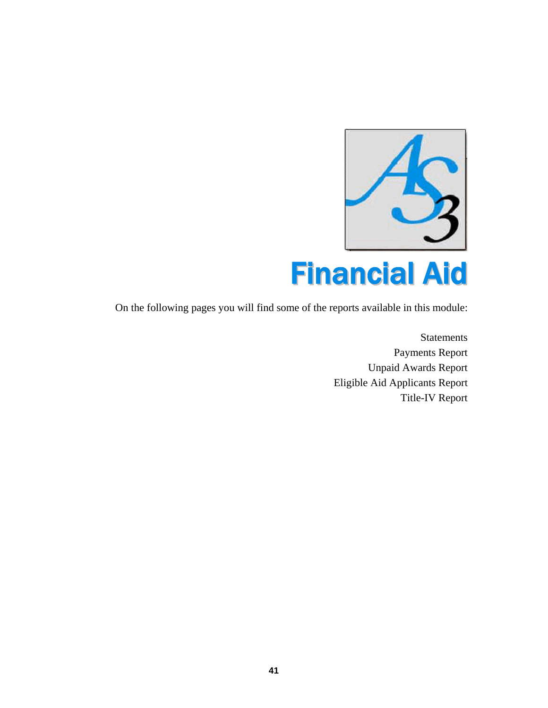

On the following pages you will find some of the reports available in this module:

Statements Payments Report Unpaid Awards Report Eligible Aid Applicants Report Title-IV Report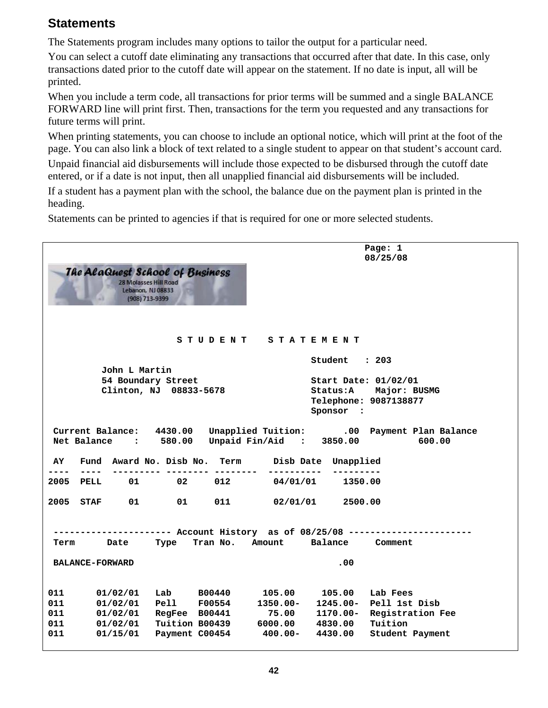#### **Statements**

The Statements program includes many options to tailor the output for a particular need.

You can select a cutoff date eliminating any transactions that occurred after that date. In this case, only transactions dated prior to the cutoff date will appear on the statement. If no date is input, all will be printed.

When you include a term code, all transactions for prior terms will be summed and a single BALANCE FORWARD line will print first. Then, transactions for the term you requested and any transactions for future terms will print.

When printing statements, you can choose to include an optional notice, which will print at the foot of the page. You can also link a block of text related to a single student to appear on that student's account card.

Unpaid financial aid disbursements will include those expected to be disbursed through the cutoff date entered, or if a date is not input, then all unapplied financial aid disbursements will be included.

If a student has a payment plan with the school, the balance due on the payment plan is printed in the heading.

Statements can be printed to agencies if that is required for one or more selected students.

| Page: 1<br>08/25/08<br><b>The AlaQuest School of Business</b><br><b>28 Molasses Hill Road</b><br>Lebanon, NJ 08833<br>(908) 713-9399                                                            |
|-------------------------------------------------------------------------------------------------------------------------------------------------------------------------------------------------|
| STUDENT STATEMENT                                                                                                                                                                               |
| Student : 203<br>John L Martin                                                                                                                                                                  |
| 54 Boundary Street<br>Start Date: 01/02/01<br>Clinton, NJ 08833-5678<br>Status: A Major: BUSMG<br>Telephone: 9087138877<br>Sponsor :                                                            |
| Unapplied Tuition: .00 Payment Plan Balance<br>Current Balance: 4430.00<br>Net Balance : 580.00 Unpaid Fin/Aid : 3850.00<br>600.00<br>Fund Award No. Disb No. Term<br>AY<br>Disb Date Unapplied |
| -------<br>2005<br>01<br>02<br>012<br>04/01/01<br>PELL<br>1350.00                                                                                                                               |
| 011<br>2005 STAF<br>01 —<br>01<br>02/01/01<br>2500.00                                                                                                                                           |
| --------- Account History as of 08/25/08 ---------<br>Balance Comment<br>Tran No. Amount<br>Term<br>Date<br>Type                                                                                |
| .00<br><b>BALANCE-FORWARD</b>                                                                                                                                                                   |
| 011<br>Lab B00440<br>105.00<br>105.00<br>Lab Fees<br>01/02/01                                                                                                                                   |
| Pell F00554<br>1350.00-<br>011<br>$1245.00 -$<br>Pell 1st Disb<br>01/02/01                                                                                                                      |
| 75.00<br>011<br>01/02/01<br>RegFee B00441<br>1170.00-<br>Registration Fee<br>011<br>01/02/01<br>Tuition<br>Tuition B00439<br>6000.00 4830.00                                                    |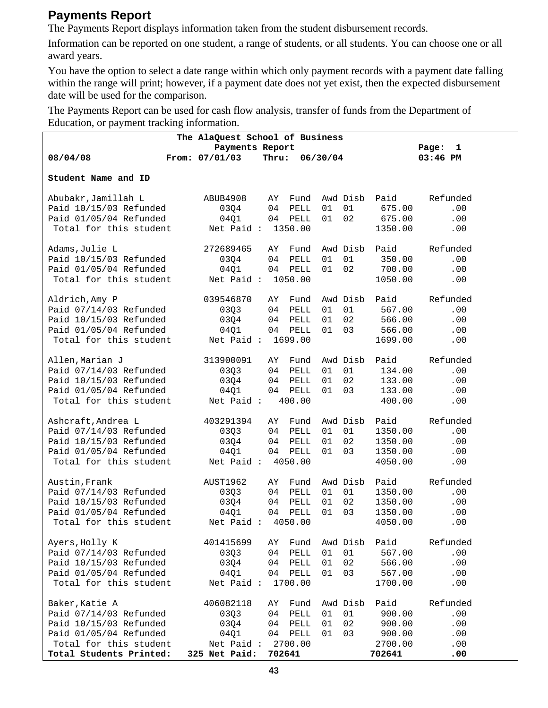#### **Payments Report**

The Payments Report displays information taken from the student disbursement records.

Information can be reported on one student, a range of students, or all students. You can choose one or all award years.

You have the option to select a date range within which only payment records with a payment date falling within the range will print; however, if a payment date does not yet exist, then the expected disbursement date will be used for the comparison.

The Payments Report can be used for cash flow analysis, transfer of funds from the Department of Education, or payment tracking information.

| The AlaQuest School of Business |                               |        |         |          |         |            |  |  |  |
|---------------------------------|-------------------------------|--------|---------|----------|---------|------------|--|--|--|
|                                 | Payments Report<br>1<br>Page: |        |         |          |         |            |  |  |  |
| 08/04/08                        | From: 07/01/03                | Thru:  |         | 06/30/04 |         | $03:46$ PM |  |  |  |
| Student Name and ID             |                               |        |         |          |         |            |  |  |  |
|                                 |                               |        |         |          |         |            |  |  |  |
| Abubakr, Jamillah L             | ABUB4908                      | AY     | Fund    | Awd Disb | Paid    | Refunded   |  |  |  |
| Paid 10/15/03 Refunded          | 03Q4                          | 04     | PELL    | 01<br>01 | 675.00  | .00        |  |  |  |
| Paid 01/05/04 Refunded          | 04Q1                          | 04     | PELL    | 02<br>01 | 675.00  | .00        |  |  |  |
| Total for this student          | Net Paid:                     |        | 1350.00 |          | 1350.00 | .00        |  |  |  |
| Adams, Julie L                  | 272689465                     | AY     | Fund    | Awd Disb | Paid    | Refunded   |  |  |  |
| Paid 10/15/03 Refunded          | 03Q4                          | 04     | PELL    | 01<br>01 | 350.00  | .00        |  |  |  |
| Paid 01/05/04 Refunded          | 04Q1                          |        | 04 PELL | 02<br>01 | 700.00  | .00        |  |  |  |
| Total for this student          | Net Paid: 1050.00             |        |         |          | 1050.00 | .00        |  |  |  |
|                                 |                               |        |         |          |         |            |  |  |  |
| Aldrich, Amy P                  | 039546870                     | AY     | Fund    | Awd Disb | Paid    | Refunded   |  |  |  |
| Paid 07/14/03 Refunded          | 03Q3                          | 04     | PELL    | 01<br>01 | 567.00  | .00        |  |  |  |
| Paid 10/15/03 Refunded          | 03Q4                          | 04     | PELL    | 02<br>01 | 566.00  | .00        |  |  |  |
| Paid 01/05/04 Refunded          | 04Q1                          |        | 04 PELL | 03<br>01 | 566.00  | .00        |  |  |  |
| Total for this student          | Net Paid: 1699.00             |        |         |          | 1699.00 | .00        |  |  |  |
| Allen, Marian J                 | 313900091                     | AY     | Fund    | Awd Disb | Paid    | Refunded   |  |  |  |
| Paid 07/14/03 Refunded          | 0303                          | 04     | PELL    | 01<br>01 | 134.00  | .00        |  |  |  |
| Paid 10/15/03 Refunded          | 03Q4                          | 04     | PELL    | 02<br>01 | 133.00  | .00        |  |  |  |
| Paid 01/05/04 Refunded          | 04Q1                          | 04     | PELL    | 03<br>01 | 133.00  | .00        |  |  |  |
| Total for this student          | Net Paid:                     |        | 400.00  |          | 400.00  | .00        |  |  |  |
|                                 |                               |        |         |          |         |            |  |  |  |
| Ashcraft, Andrea L              | 403291394                     | AY.    | Fund    | Awd Disb | Paid    | Refunded   |  |  |  |
| Paid 07/14/03 Refunded          | 03Q3                          | 04     | PELL    | 01<br>01 | 1350.00 | .00        |  |  |  |
| Paid 10/15/03 Refunded          | 03Q4                          | 04     | PELL    | 01<br>02 | 1350.00 | .00        |  |  |  |
| Paid 01/05/04 Refunded          | 04Q1                          | 04     | PELL    | 03<br>01 | 1350.00 | .00        |  |  |  |
| Total for this student          | Net Paid: 4050.00             |        |         |          | 4050.00 | .00        |  |  |  |
| Austin, Frank                   | AUST1962                      | AY     | Fund    | Awd Disb | Paid    | Refunded   |  |  |  |
| Paid 07/14/03 Refunded          | 03Q3                          | 04     | PELL    | 01<br>01 | 1350.00 | .00        |  |  |  |
| Paid 10/15/03 Refunded          | 03Q4                          | 04     | PELL    | 02<br>01 | 1350.00 | .00        |  |  |  |
| Paid 01/05/04 Refunded          | 04Q1                          | 04     | PELL    | 03<br>01 | 1350.00 | .00        |  |  |  |
| Total for this student          | Net Paid: 4050.00             |        |         |          | 4050.00 | .00        |  |  |  |
| Ayers, Holly K                  | 401415699                     | AY     | Fund    | Awd Disb | Paid    | Refunded   |  |  |  |
| Paid 07/14/03 Refunded          | 03Q3                          | 04     | PELL    | 01<br>01 | 567.00  | .00        |  |  |  |
| Paid 10/15/03 Refunded          | 03Q4                          | 04     | PELL    | 02<br>01 | 566.00  | .00        |  |  |  |
| Paid 01/05/04 Refunded          | 04Q1                          | 04     | PELL    | 03<br>01 | 567.00  | .00        |  |  |  |
| Total for this student          | Net Paid:                     |        | 1700.00 |          | 1700.00 | .00        |  |  |  |
| Baker, Katie A                  | 406082118                     | ΑY     | Fund    | Awd Disb | Paid    | Refunded   |  |  |  |
| Paid 07/14/03 Refunded          | 03Q3                          | 04     | PELL    | 01<br>01 | 900.00  | .00        |  |  |  |
| Paid 10/15/03 Refunded          | 0304                          | 04     | PELL    | 02<br>01 | 900.00  | .00        |  |  |  |
| Paid 01/05/04 Refunded          | 04Q1                          | 04     | PELL    | 03<br>01 | 900.00  | .00        |  |  |  |
| Total for this student          | Net Paid:                     |        | 2700.00 |          | 2700.00 | .00        |  |  |  |
| Total Students Printed:         | 325 Net Paid:                 | 702641 |         |          | 702641  | .00        |  |  |  |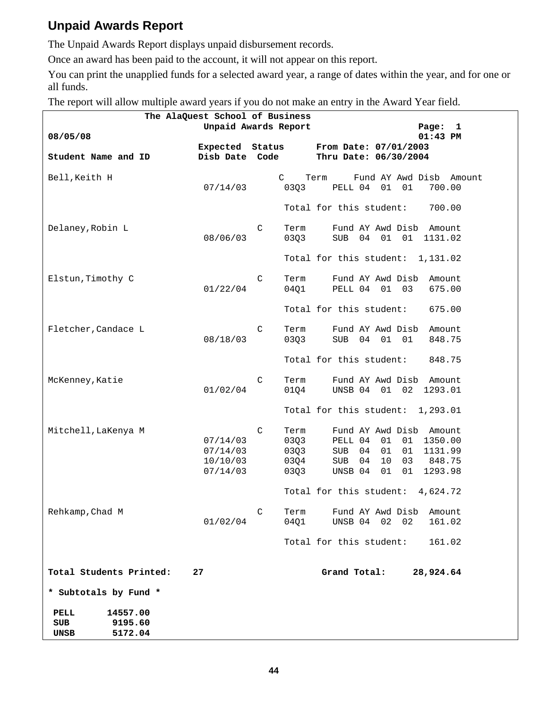#### **Unpaid Awards Report**

The Unpaid Awards Report displays unpaid disbursement records.

Once an award has been paid to the account, it will not appear on this report.

You can print the unapplied funds for a selected award year, a range of dates within the year, and for one or all funds.

The report will allow multiple award years if you do not make an entry in the Award Year field.

|                                                              | The AlaQuest School of Business<br>Unpaid Awards Report |                                           |                                                                                                                                                                       |  |  |  |  |  |  |
|--------------------------------------------------------------|---------------------------------------------------------|-------------------------------------------|-----------------------------------------------------------------------------------------------------------------------------------------------------------------------|--|--|--|--|--|--|
| 08/05/08                                                     |                                                         |                                           | Page:<br>1<br>$01:43$ PM                                                                                                                                              |  |  |  |  |  |  |
|                                                              | <b>Expected</b> Status                                  |                                           | From Date: 07/01/2003                                                                                                                                                 |  |  |  |  |  |  |
| Student Name and ID                                          | Disb Date                                               | Code                                      | Thru Date: 06/30/2004                                                                                                                                                 |  |  |  |  |  |  |
| Bell, Keith H                                                | 07/14/03                                                | $\mathsf{C}$<br>03Q3                      | Fund AY Awd Disb Amount<br>Term<br>PELL 04<br>01<br>01<br>700.00                                                                                                      |  |  |  |  |  |  |
|                                                              |                                                         |                                           | Total for this student:<br>700.00                                                                                                                                     |  |  |  |  |  |  |
| Delaney, Robin L                                             | 08/06/03                                                | C<br>Term<br>03Q3                         | Fund AY Awd Disb<br>Amount<br>01<br><b>SUB</b><br>04<br>01<br>1131.02                                                                                                 |  |  |  |  |  |  |
|                                                              |                                                         |                                           | Total for this student:<br>1,131.02                                                                                                                                   |  |  |  |  |  |  |
| Elstun, Timothy C                                            | 01/22/04                                                | C<br>Term<br>04Q1                         | Fund AY Awd Disb<br>Amount<br>PELL 04 01<br>03<br>675.00                                                                                                              |  |  |  |  |  |  |
|                                                              |                                                         |                                           | Total for this student:<br>675.00                                                                                                                                     |  |  |  |  |  |  |
| Fletcher, Candace L                                          |                                                         | C<br>Term                                 | Fund AY Awd Disb<br>Amount                                                                                                                                            |  |  |  |  |  |  |
|                                                              | 08/18/03                                                | 03Q3                                      | 04<br>01<br><b>SUB</b><br>01<br>848.75                                                                                                                                |  |  |  |  |  |  |
|                                                              |                                                         |                                           | Total for this student:<br>848.75                                                                                                                                     |  |  |  |  |  |  |
| McKenney, Katie                                              | 01/02/04                                                | C<br>Term<br>01Q4                         | Fund AY Awd Disb<br>Amount<br>UNSB 04<br>01<br>02<br>1293.01                                                                                                          |  |  |  |  |  |  |
|                                                              |                                                         |                                           | Total for this student:<br>1,293.01                                                                                                                                   |  |  |  |  |  |  |
| Mitchell, LaKenya M                                          | 07/14/03<br>07/14/03<br>10/10/03<br>07/14/03            | C<br>Term<br>03Q3<br>03Q3<br>03Q4<br>03Q3 | Fund AY Awd Disb<br>Amount<br>PELL 04<br>01<br>01<br>1350.00<br>01<br>04<br>01<br>1131.99<br>SUB<br>10<br>SUB<br>04<br>03<br>848.75<br>01<br>01<br>1293.98<br>UNSB 04 |  |  |  |  |  |  |
|                                                              |                                                         |                                           | Total for this student:<br>4,624.72                                                                                                                                   |  |  |  |  |  |  |
| Rehkamp, Chad M                                              | 01/02/04                                                | C<br>Term<br>04Q1                         | Fund AY Awd Disb<br>Amount<br>UNSB 04<br>02<br>02<br>161.02                                                                                                           |  |  |  |  |  |  |
|                                                              |                                                         |                                           | Total for this student:<br>161.02                                                                                                                                     |  |  |  |  |  |  |
| Total Students Printed:                                      | 27                                                      |                                           | Grand Total:<br>28,924.64                                                                                                                                             |  |  |  |  |  |  |
| * Subtotals by Fund *                                        |                                                         |                                           |                                                                                                                                                                       |  |  |  |  |  |  |
| 14557.00<br>PELL<br><b>SUB</b><br>9195.60<br>5172.04<br>UNSB |                                                         |                                           |                                                                                                                                                                       |  |  |  |  |  |  |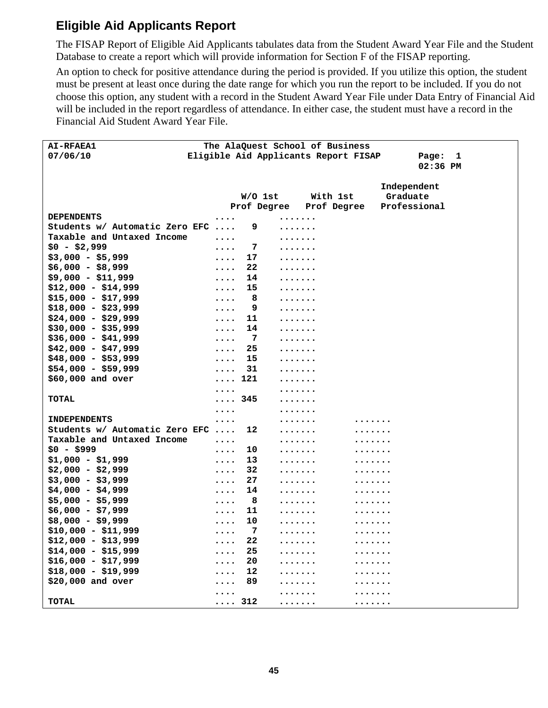#### **Eligible Aid Applicants Report**

The FISAP Report of Eligible Aid Applicants tabulates data from the Student Award Year File and the Student Database to create a report which will provide information for Section F of the FISAP reporting.

An option to check for positive attendance during the period is provided. If you utilize this option, the student must be present at least once during the date range for which you run the report to be included. If you do not choose this option, any student with a record in the Student Award Year File under Data Entry of Financial Aid will be included in the report regardless of attendance. In either case, the student must have a record in the Financial Aid Student Award Year File.

| <b>AI-RFAEA1</b>               | The AlaQuest School of Business               |   |                         |              |              |
|--------------------------------|-----------------------------------------------|---|-------------------------|--------------|--------------|
| 07/06/10                       | Eligible Aid Applicants Report FISAP          |   |                         | Page:        | $\mathbf{1}$ |
|                                |                                               |   |                         | 02:36 PM     |              |
|                                |                                               |   |                         |              |              |
|                                |                                               |   |                         | Independent  |              |
|                                | $W/O$ 1st                                     |   | With 1st                | Graduate     |              |
|                                |                                               |   | Prof Degree Prof Degree | Professional |              |
| <b>DEPENDENTS</b>              | $\cdots$                                      | . |                         |              |              |
| Students w/ Automatic Zero EFC | 9                                             | . |                         |              |              |
| Taxable and Untaxed Income     | $\ddotsc$                                     | . |                         |              |              |
| $$0 - $2,999$                  | 7<br>$\ddotsc$                                | . |                         |              |              |
| $$3,000 - $5,999$              | 17<br>$\ddotsc$                               | . |                         |              |              |
| $$6,000 - $8,999$              | 22<br>$\cdots$                                | . |                         |              |              |
| $$9,000 - $11,999$             | 14<br>$\ddotsc$                               | . |                         |              |              |
| $$12,000 - $14,999$            | 15<br>$\ddotsc$                               | . |                         |              |              |
| $$15,000 - $17,999$            | 8<br>$\ddotsc$                                | . |                         |              |              |
| $$18,000 - $23,999$            | 9<br>.                                        | . |                         |              |              |
| $$24,000 - $29,999$            | 11<br>$\ddotsc$                               | . |                         |              |              |
| $$30,000 - $35,999$            | 14<br>$\ddotsc$                               | . |                         |              |              |
| $$36,000 - $41,999$            | - 7<br>$\ddotsc$                              | . |                         |              |              |
| $$42,000 - $47,999$            | 25<br>$\ddotsc$                               | . |                         |              |              |
| $$48,000 - $53,999$            | 15<br>$\ddotsc$                               | . |                         |              |              |
| $$54,000 - $59,999$            | 31<br>$\ddotsc$                               |   |                         |              |              |
| \$60,000 and over              | $\cdots$ 121                                  | . |                         |              |              |
|                                |                                               | . |                         |              |              |
| <b>TOTAL</b>                   | $\ldots$ 345                                  | . |                         |              |              |
|                                | $\cdots$                                      |   |                         |              |              |
| <b>INDEPENDENTS</b>            | $\cdots$                                      | . |                         |              |              |
| Students w/ Automatic Zero EFC | 12                                            | . |                         |              |              |
| Taxable and Untaxed Income     | $\ddotsc$                                     | . |                         |              |              |
| $$0 - $999$                    | 10<br>$\cdots$                                | . |                         |              |              |
| $$1,000 - $1,999$              | 13<br>$\ddotsc$                               | . |                         |              |              |
| $$2,000 - $2,999$              | 32<br>$\cdots$                                | . |                         |              |              |
| $$3,000 - $3,999$              | 27<br>$\cdots$                                | . |                         |              |              |
| $$4,000 - $4,999$              | 14<br>$\cdots$                                | . |                         |              |              |
| $$5,000 - $5,999$              | 8<br>$\cdots$                                 | . |                         |              |              |
| $$6,000 - $7,999$              | 11<br>$\bullet$ $\bullet$ $\bullet$ $\bullet$ | . |                         |              |              |
| $$8,000 - $9,999$              | 10<br>$\ddotsc$                               | . |                         |              |              |
| $$10,000 - $11,999$            | 7<br>$\ddotsc$                                | . | .                       |              |              |
| $$12,000 - $13,999$            | ${\bf 22}$<br>.                               | . |                         |              |              |
| $$14,000 - $15,999$            | 25<br>.                                       | . |                         |              |              |
| $$16,000 - $17,999$            | 20                                            | . |                         |              |              |
| $$18,000 - $19,999$            | 12<br>.                                       | . |                         |              |              |
| \$20,000 and over              | 89<br>.                                       | . |                         |              |              |
|                                |                                               |   |                         |              |              |
| <b>TOTAL</b>                   | $\ldots$ 312                                  | . |                         |              |              |
|                                |                                               |   |                         |              |              |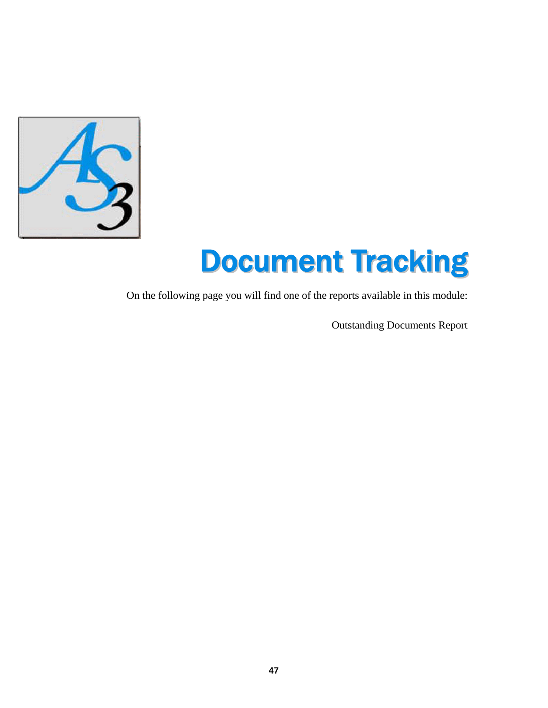

# Document Tracking

On the following page you will find one of the reports available in this module:

Outstanding Documents Report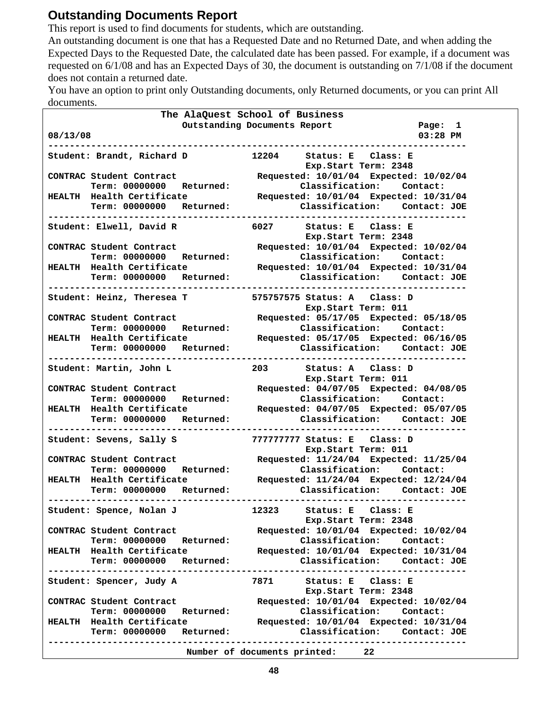#### **Outstanding Documents Report**

This report is used to find documents for students, which are outstanding.

An outstanding document is one that has a Requested Date and no Returned Date, and when adding the Expected Days to the Requested Date, the calculated date has been passed. For example, if a document was requested on 6/1/08 and has an Expected Days of 30, the document is outstanding on 7/1/08 if the document does not contain a returned date.

You have an option to print only Outstanding documents, only Returned documents, or you can print All documents.

| documents.                         |                                                         |
|------------------------------------|---------------------------------------------------------|
|                                    | The AlaQuest School of Business                         |
|                                    | Outstanding Documents Report<br>Page: 1                 |
| 08/13/08                           | $03:28$ PM                                              |
|                                    |                                                         |
| Student: Brandt, Richard D         | 12204 Status: E Class: E<br>Exp.Start Term: 2348        |
| CONTRAC Student Contract           | Requested: 10/01/04 Expected: 10/02/04                  |
| Term: 00000000 Returned:           | Classification: Contact:                                |
| HEALTH Health Certificate          | Requested: 10/01/04 Expected: 10/31/04                  |
| Term: 00000000 Returned:           | Classification: Contact: JOE                            |
|                                    |                                                         |
|                                    | Student: Elwell, David R 6027 Status: E Class: E        |
|                                    | Exp.Start Term: 2348                                    |
| CONTRAC Student Contract           | Requested: 10/01/04 Expected: 10/02/04                  |
| Term: 00000000 Returned:           | Classification: Contact:                                |
| HEALTH Health Certificate          | Requested: 10/01/04 Expected: 10/31/04                  |
| Term: 00000000 Returned:           | Classification: Contact: JOE                            |
|                                    | ----------------                                        |
|                                    | Student: Heinz, Theresea T 575757575 Status: A Class: D |
|                                    | Exp.Start Term: 011                                     |
| CONTRAC Student Contract           | Requested: 05/17/05 Expected: 05/18/05                  |
| Term: 00000000 Returned:           | Classification: Contact:                                |
| HEALTH Health Certificate          | Requested: 05/17/05 Expected: 06/16/05                  |
| Term: 00000000 Returned:           | Classification: Contact: JOE                            |
|                                    | ---------------------------------                       |
| Student: Martin, John L            | 203 Status: A Class: D                                  |
|                                    | Exp.Start Term: 011                                     |
| CONTRAC Student Contract           | Requested: 04/07/05 Expected: 04/08/05                  |
| Term: 00000000 Returned:           | Classification: Contact:                                |
| HEALTH Health Certificate          | Requested: 04/07/05 Expected: 05/07/05                  |
| Term: 00000000 Returned:           | Classification: Contact: JOE                            |
|                                    |                                                         |
| Student: Sevens, Sally S           | 777777777 Status: E Class: D                            |
|                                    | Exp. Start Term: 011                                    |
| CONTRAC Student Contract           | Requested: 11/24/04 Expected: 11/25/04                  |
| Term: 00000000 Returned:           | Classification: Contact:                                |
| HEALTH Health Certificate          | Requested: 11/24/04 Expected: 12/24/04                  |
| Term: 00000000 Returned:           | Classification: Contact: JOE                            |
|                                    |                                                         |
| Student: Spence, Nolan J           | Status: E Class: E<br>12323                             |
|                                    | Exp.Start Term: 2348                                    |
| CONTRAC Student Contract           | Requested: 10/01/04 Expected: 10/02/04                  |
| Term: 00000000 Returned:           | Classification: Contact:                                |
| HEALTH Health Certificate          | Requested: 10/01/04 Expected: 10/31/04                  |
| Term: 00000000 Returned:           | Classification: Contact: JOE                            |
|                                    |                                                         |
| Student: Spencer, Judy A           | 7871 Status: E Class: E                                 |
|                                    | Exp.Start Term: 2348                                    |
| CONTRAC Student Contract           | Requested: 10/01/04 Expected: 10/02/04                  |
| Term: 00000000<br><b>Returned:</b> | Classification:<br>Contact:                             |
| HEALTH Health Certificate          | Requested: 10/01/04 Expected: 10/31/04                  |
| Term: 00000000 Returned:           | Classification: Contact: JOE                            |
| ------------------------           |                                                         |
|                                    | Number of documents printed:<br>22 <sub>2</sub>         |
|                                    |                                                         |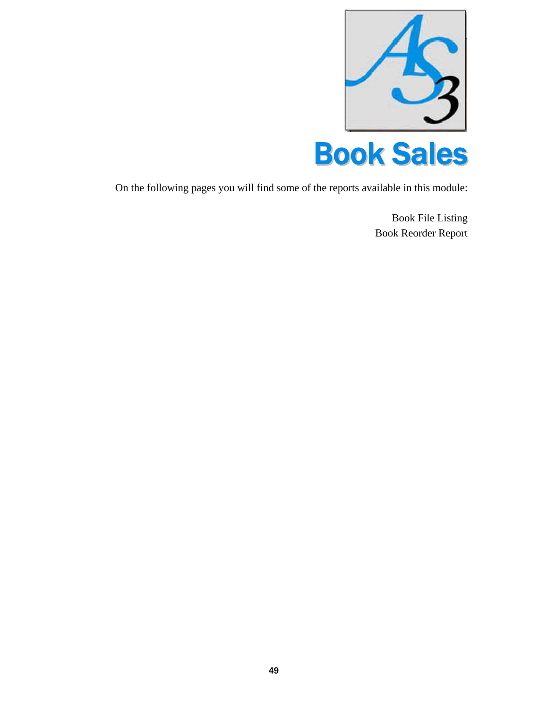



On the following pages you will find some of the reports available in this module:

Book File Listing Book Reorder Report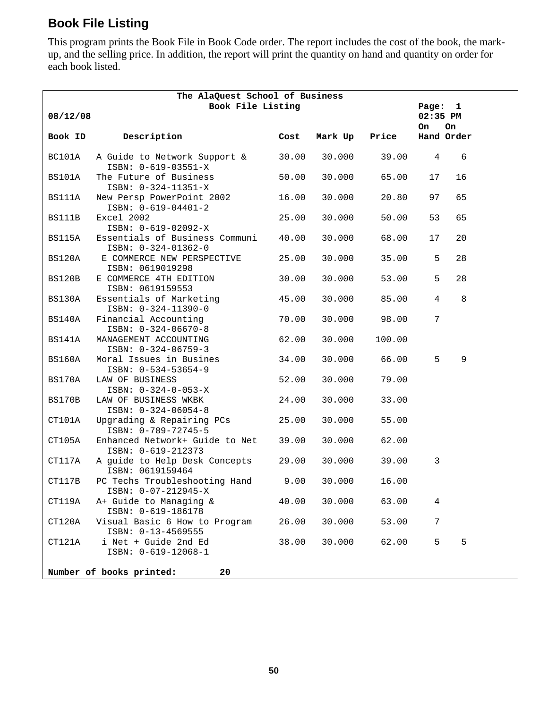#### **Book File Listing**

This program prints the Book File in Book Code order. The report includes the cost of the book, the markup, and the selling price. In addition, the report will print the quantity on hand and quantity on order for each book listed.

| The AlaQuest School of Business |                                                             |         |                |               |                |            |  |  |
|---------------------------------|-------------------------------------------------------------|---------|----------------|---------------|----------------|------------|--|--|
| 08/12/08                        | Book File Listing                                           | Page: 1 |                |               |                |            |  |  |
|                                 |                                                             |         | 02:35 PM<br>On | On.           |                |            |  |  |
| Book ID                         | Description<br><b>Example 20 Cost</b>                       |         |                | Mark Up Price |                | Hand Order |  |  |
| BC101A                          | A Guide to Network Support & 30.00<br>ISBN: 0-619-03551-X   |         | 30.000         | 39.00         | $\overline{4}$ | 6          |  |  |
| BS101A                          | The Future of Business<br>ISBN: 0-324-11351-X               | 50.00   | 30.000         | 65.00         | 17             | 16         |  |  |
| BS111A                          | New Persp PowerPoint 2002<br>ISBN: 0-619-04401-2            | 16.00   | 30.000         | 20.80         | 97             | 65         |  |  |
| BS111B                          | Excel 2002<br>ISBN: 0-619-02092-X                           | 25.00   | 30.000         | 50.00         | 53             | 65         |  |  |
| BS115A                          | Essentials of Business Communi 40.00<br>ISBN: 0-324-01362-0 |         | 30.000         | 68.00         | 17             | 20         |  |  |
| BS120A                          | E COMMERCE NEW PERSPECTIVE<br>ISBN: 0619019298              | 25.00   | 30.000         | 35.00         | 5              | 28         |  |  |
| BS120B                          | E COMMERCE 4TH EDITION<br>ISBN: 0619159553                  | 30.00   | 30.000         | 53.00         | 5              | 28         |  |  |
| BS130A                          | Essentials of Marketing<br>ISBN: 0-324-11390-0              | 45.00   | 30.000         | 85.00         | 4              | $\,8\,$    |  |  |
| BS140A                          | Financial Accounting<br>ISBN: 0-324-06670-8                 | 70.00   | 30.000         | 98.00         | 7              |            |  |  |
| <b>BS141A</b>                   | MANAGEMENT ACCOUNTING<br>ISBN: 0-324-06759-3                | 62.00   | 30.000         | 100.00        |                |            |  |  |
| BS160A                          | Moral Issues in Busines<br>ISBN: 0-534-53654-9              | 34.00   | 30.000         | 66.00         | 5              | 9          |  |  |
| BS170A                          | LAW OF BUSINESS<br>$ISBN: 0-324-0-053-X$                    | 52.00   | 30.000         | 79.00         |                |            |  |  |
| BS170B                          | LAW OF BUSINESS WKBK<br>ISBN: 0-324-06054-8                 | 24.00   | 30.000         | 33.00         |                |            |  |  |
| CT101A                          | Upgrading & Repairing PCs 25.00<br>ISBN: 0-789-72745-5      |         | 30.000         | 55.00         |                |            |  |  |
| CT105A                          | Enhanced Network+ Guide to Net 39.00<br>ISBN: 0-619-212373  |         | 30.000         | 62.00         |                |            |  |  |
| CT117A                          | A guide to Help Desk Concepts 29.00<br>ISBN: 0619159464     |         | 30.000         | 39.00         | 3              |            |  |  |
| CT117B                          | PC Techs Troubleshooting Hand<br>ISBN: 0-07-212945-X        | 9.00    | 30.000         | 16.00         |                |            |  |  |
| CT119A                          | A+ Guide to Managing &<br>ISBN: 0-619-186178                | 40.00   | 30.000         | 63.00         | 4              |            |  |  |
| CT120A                          | Visual Basic 6 How to Program<br>ISBN: 0-13-4569555         | 26.00   | 30.000         | 53.00         | 7              |            |  |  |
| CT121A                          | i Net + Guide 2nd Ed<br>ISBN: 0-619-12068-1                 | 38.00   | 30.000         | 62.00         | 5              | 5          |  |  |
|                                 | Number of books printed:<br>20                              |         |                |               |                |            |  |  |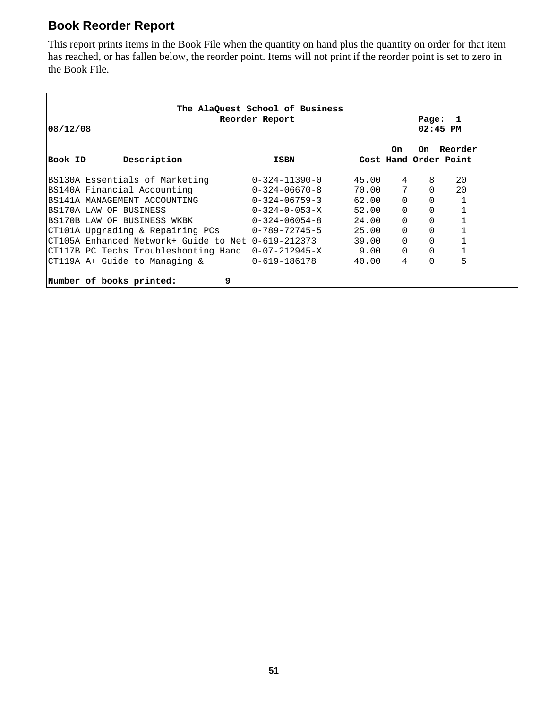#### **Book Reorder Report**

This report prints items in the Book File when the quantity on hand plus the quantity on order for that item has reached, or has fallen below, the reorder point. Items will not print if the reorder point is set to zero in the Book File.

| 108/12/08 | The AlaQuest School of Business<br>Reorder Report  |                         | Page: 1<br>$02:45$ PM |                |              |                                  |  |
|-----------|----------------------------------------------------|-------------------------|-----------------------|----------------|--------------|----------------------------------|--|
| Book ID   | Description                                        | ISBN                    |                       | 0n             | On           | Reorder<br>Cost Hand Order Point |  |
|           | BS130A Essentials of Marketing                     | $0 - 324 - 11390 - 0$   | 45.00                 | 4              | 8            | 20                               |  |
|           | BS140A Financial Accounting                        | 0-324-06670-8           | 70.00                 | $7\phantom{.}$ | $\Omega$     | 20                               |  |
|           | IBS141A MANAGEMENT ACCOUNTING                      | $0 - 324 - 06759 - 3$   | 62.00                 | $\Omega$       | $\Omega$     | 1                                |  |
|           | BS170A LAW OF BUSINESS                             | $0 - 324 - 0 - 053 - X$ | 52.00                 | $\Omega$       | 0            |                                  |  |
|           | BS170B LAW OF BUSINESS WKBK                        | 0-324-06054-8           | 24.00                 | $\Omega$       | $\mathbf{0}$ |                                  |  |
|           | CT101A Upgrading & Repairing PCs 0-789-72745-5     |                         | 25.00                 | $\Omega$       | $\mathbf{0}$ |                                  |  |
|           | CT105A Enhanced Network+ Guide to Net 0-619-212373 |                         | 39.00                 | $\Omega$       | $\Omega$     |                                  |  |
|           | CT117B PC Techs Troubleshooting Hand 0-07-212945-X |                         | 9.00                  | $\Omega$       | $\Omega$     | 1                                |  |
|           | CT119A A+ Guide to Managing &                      | $0 - 619 - 186178$      | 40.00                 | 4              | $\Omega$     | 5                                |  |
|           | 9<br>Number of books printed:                      |                         |                       |                |              |                                  |  |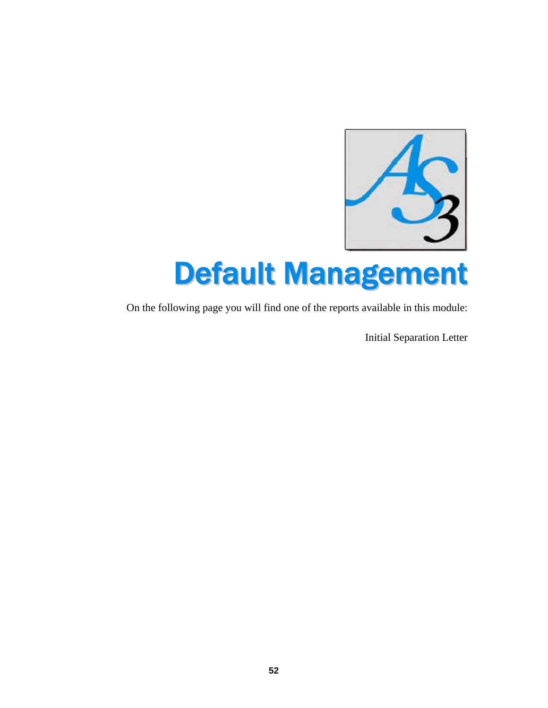

# Default Management

On the following page you will find one of the reports available in this module:

Initial Separation Letter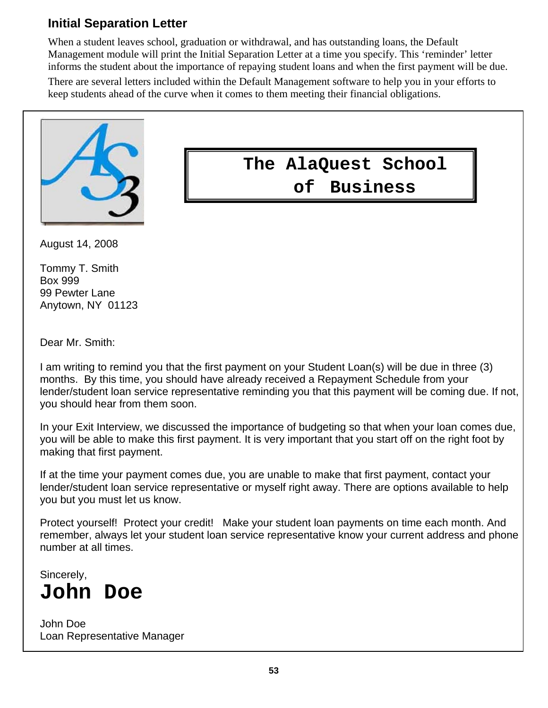#### **Initial Separation Letter**

When a student leaves school, graduation or withdrawal, and has outstanding loans, the Default Management module will print the Initial Separation Letter at a time you specify. This 'reminder' letter informs the student about the importance of repaying student loans and when the first payment will be due.

There are several letters included within the Default Management software to help you in your efforts to keep students ahead of the curve when it comes to them meeting their financial obligations.



August 14, 2008

Tommy T. Smith Box 999 99 Pewter Lane Anytown, NY 01123

Dear Mr. Smith:

I am writing to remind you that the first payment on your Student Loan(s) will be due in three (3) months. By this time, you should have already received a Repayment Schedule from your lender/student loan service representative reminding you that this payment will be coming due. If not, you should hear from them soon.

In your Exit Interview, we discussed the importance of budgeting so that when your loan comes due, you will be able to make this first payment. It is very important that you start off on the right foot by making that first payment.

If at the time your payment comes due, you are unable to make that first payment, contact your lender/student loan service representative or myself right away. There are options available to help you but you must let us know.

Protect yourself! Protect your credit! Make your student loan payments on time each month. And remember, always let your student loan service representative know your current address and phone number at all times.

Sincerely,

## **John Doe**

John Doe Loan Representative Manager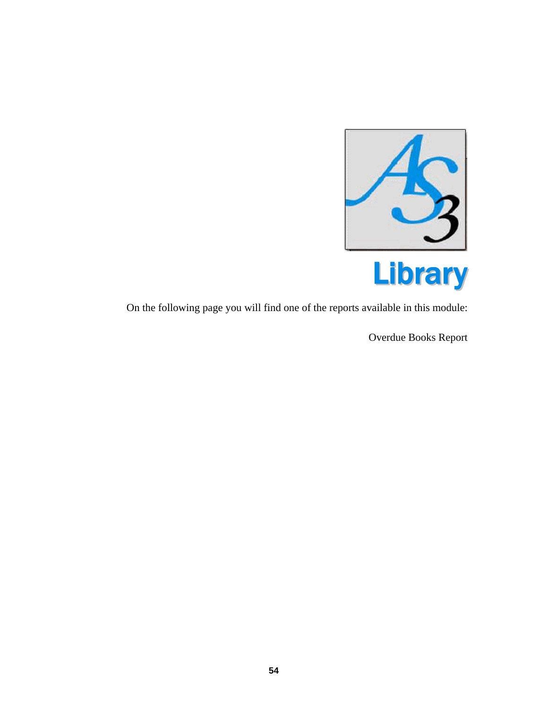

On the following page you will find one of the reports available in this module:

Overdue Books Report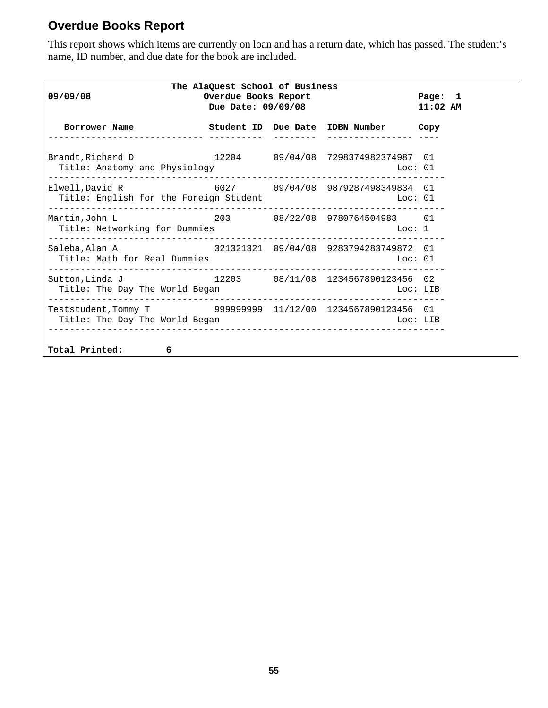#### **Overdue Books Report**

This report shows which items are currently on loan and has a return date, which has passed. The student's name, ID number, and due date for the book are included.

| 09/09/08                                                                                                                      | The AlaQuest School of Business<br>Overdue Books Report<br>Due Date: 09/09/08 |  |                                                   |          |  |  |
|-------------------------------------------------------------------------------------------------------------------------------|-------------------------------------------------------------------------------|--|---------------------------------------------------|----------|--|--|
| Borrower Name Student ID Due Date IDBN Number Copy                                                                            |                                                                               |  |                                                   |          |  |  |
| Brandt, Richard D<br>Title: Anatomy and Physiology                                                                            |                                                                               |  | 12204  09/04/08  7298374982374987  01<br>Loc: 01  |          |  |  |
| Elwell, David R 6027 09/04/08 9879287498349834 01<br>Title: English for the Foreign Student Theory Controller and The Loc: 01 |                                                                               |  |                                                   |          |  |  |
| Martin, John L<br>Title: Networking for Dummies                                                                               |                                                                               |  | 203 08/22/08 9780764504983 01                     |          |  |  |
| Saleba, Alan A<br>Title: Math for Real Dummies                                                                                |                                                                               |  | 321321321 09/04/08 9283794283749872 01<br>Loc: 01 |          |  |  |
| Sutton, Linda J<br>Title: The Day The World Began                                                                             |                                                                               |  | $12203$ 08/11/08 1234567890123456 02<br>Loc: LIB  |          |  |  |
| Teststudent, Tommy T 9999999999 11/12/00 1234567890123456 01<br>Title: The Day The World Began                                |                                                                               |  |                                                   | Loc: LIB |  |  |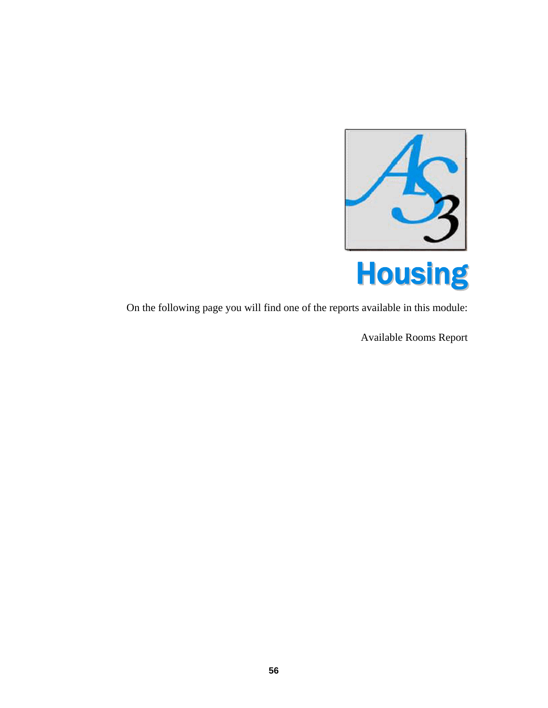

On the following page you will find one of the reports available in this module:

Available Rooms Report